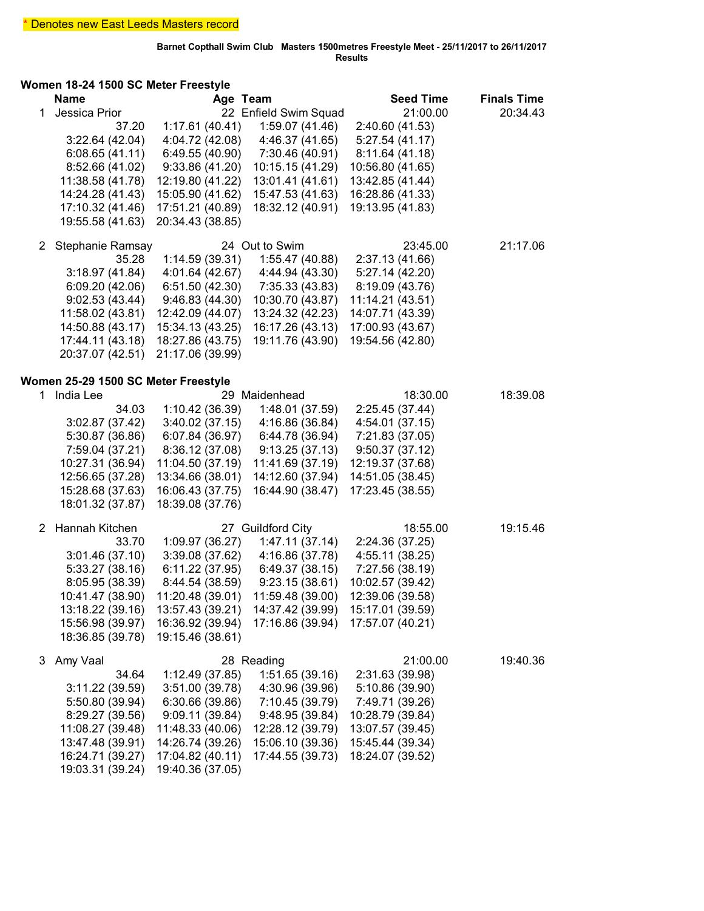## **Women 18-24 1500 SC Meter Freestyle**

|    | <b>Name</b>                         | Age Team         |                       | <b>Seed Time</b> | <b>Finals Time</b> |
|----|-------------------------------------|------------------|-----------------------|------------------|--------------------|
| 1  | Jessica Prior                       |                  | 22 Enfield Swim Squad | 21:00.00         | 20:34.43           |
|    | 37.20                               | 1:17.61(40.41)   | 1:59.07 (41.46)       | 2:40.60 (41.53)  |                    |
|    | 3:22.64(42.04)                      | 4:04.72 (42.08)  | 4:46.37 (41.65)       | 5:27.54(41.17)   |                    |
|    | 6:08.65(41.11)                      | 6:49.55 (40.90)  | 7:30.46 (40.91)       | 8:11.64 (41.18)  |                    |
|    | 8:52.66 (41.02)                     | 9:33.86 (41.20)  | 10:15.15 (41.29)      | 10:56.80 (41.65) |                    |
|    | 11:38.58 (41.78)                    | 12:19.80 (41.22) | 13:01.41 (41.61)      | 13:42.85 (41.44) |                    |
|    | 14:24.28 (41.43)                    | 15:05.90 (41.62) | 15:47.53 (41.63)      | 16:28.86 (41.33) |                    |
|    | 17:10.32 (41.46)                    | 17:51.21 (40.89) | 18:32.12 (40.91)      | 19:13.95 (41.83) |                    |
|    | 19:55.58 (41.63)                    | 20:34.43 (38.85) |                       |                  |                    |
|    |                                     |                  |                       |                  |                    |
| 2  | Stephanie Ramsay                    |                  | 24 Out to Swim        | 23:45.00         | 21:17.06           |
|    | 35.28                               | 1:14.59(39.31)   | 1:55.47 (40.88)       | 2:37.13 (41.66)  |                    |
|    | 3:18.97(41.84)                      | 4:01.64 (42.67)  | 4:44.94 (43.30)       | 5:27.14 (42.20)  |                    |
|    | 6:09.20(42.06)                      | 6:51.50(42.30)   | 7:35.33 (43.83)       | 8:19.09 (43.76)  |                    |
|    | 9:02.53(43.44)                      | 9:46.83 (44.30)  | 10:30.70 (43.87)      | 11:14.21 (43.51) |                    |
|    | 11:58.02 (43.81)                    | 12:42.09 (44.07) | 13:24.32 (42.23)      | 14:07.71 (43.39) |                    |
|    | 14:50.88 (43.17)                    | 15:34.13 (43.25) | 16:17.26 (43.13)      | 17:00.93 (43.67) |                    |
|    | 17:44.11 (43.18)                    | 18:27.86 (43.75) | 19:11.76 (43.90)      | 19:54.56 (42.80) |                    |
|    | 20:37.07 (42.51)                    | 21:17.06 (39.99) |                       |                  |                    |
|    |                                     |                  |                       |                  |                    |
|    | Women 25-29 1500 SC Meter Freestyle |                  |                       |                  |                    |
| 1. | India Lee                           |                  | 29 Maidenhead         | 18:30.00         | 18:39.08           |
|    | 34.03                               | 1:10.42 (36.39)  | 1:48.01 (37.59)       | 2:25.45 (37.44)  |                    |
|    | 3:02.87 (37.42)                     | 3:40.02(37.15)   | 4:16.86 (36.84)       | 4:54.01 (37.15)  |                    |
|    | 5:30.87 (36.86)                     | 6:07.84 (36.97)  | 6:44.78 (36.94)       | 7:21.83 (37.05)  |                    |
|    | 7:59.04 (37.21)                     | 8:36.12 (37.08)  | 9:13.25(37.13)        | 9:50.37(37.12)   |                    |
|    | 10:27.31 (36.94)                    | 11:04.50 (37.19) | 11:41.69 (37.19)      | 12:19.37 (37.68) |                    |
|    | 12:56.65 (37.28)                    | 13:34.66 (38.01) | 14:12.60 (37.94)      | 14:51.05 (38.45) |                    |
|    | 15:28.68 (37.63)                    | 16:06.43 (37.75) | 16:44.90 (38.47)      | 17:23.45 (38.55) |                    |
|    | 18:01.32 (37.87)                    | 18:39.08 (37.76) |                       |                  |                    |
|    |                                     |                  |                       |                  |                    |
| 2  | Hannah Kitchen                      |                  | 27 Guildford City     | 18:55.00         | 19:15.46           |
|    | 33.70                               | 1:09.97 (36.27)  | 1:47.11(37.14)        | 2:24.36 (37.25)  |                    |
|    | 3:01.46(37.10)                      | 3:39.08 (37.62)  | 4:16.86 (37.78)       | 4:55.11 (38.25)  |                    |
|    | 5:33.27(38.16)                      | 6:11.22(37.95)   | 6:49.37(38.15)        | 7:27.56 (38.19)  |                    |
|    | 8:05.95 (38.39)                     | 8:44.54 (38.59)  | 9:23.15(38.61)        | 10:02.57 (39.42) |                    |
|    | 10:41.47 (38.90)                    | 11:20.48 (39.01) | 11:59.48 (39.00)      | 12:39.06 (39.58) |                    |
|    | 13:18.22 (39.16)                    | 13:57.43 (39.21) | 14:37.42 (39.99)      | 15:17.01 (39.59) |                    |
|    | 15:56.98 (39.97)                    | 16:36.92 (39.94) | 17:16.86 (39.94)      | 17:57.07 (40.21) |                    |
|    | 18:36.85 (39.78)                    | 19:15.46 (38.61) |                       |                  |                    |
|    |                                     |                  |                       |                  |                    |
| 3  | Amy Vaal                            |                  | 28 Reading            | 21:00.00         | 19:40.36           |
|    | 34.64                               | 1:12.49 (37.85)  | 1:51.65(39.16)        | 2:31.63 (39.98)  |                    |
|    | 3:11.22 (39.59)                     | 3:51.00 (39.78)  | 4:30.96 (39.96)       | 5:10.86 (39.90)  |                    |
|    | 5:50.80 (39.94)                     | 6:30.66(39.86)   | 7:10.45 (39.79)       | 7:49.71 (39.26)  |                    |
|    | 8:29.27 (39.56)                     | 9:09.11 (39.84)  | 9:48.95 (39.84)       | 10:28.79 (39.84) |                    |
|    | 11:08.27 (39.48)                    | 11:48.33 (40.06) | 12:28.12 (39.79)      | 13:07.57 (39.45) |                    |
|    | 13:47.48 (39.91)                    | 14:26.74 (39.26) | 15:06.10 (39.36)      | 15:45.44 (39.34) |                    |
|    | 16:24.71 (39.27)                    | 17:04.82 (40.11) | 17:44.55 (39.73)      | 18:24.07 (39.52) |                    |
|    | 19:03.31 (39.24)                    | 19:40.36 (37.05) |                       |                  |                    |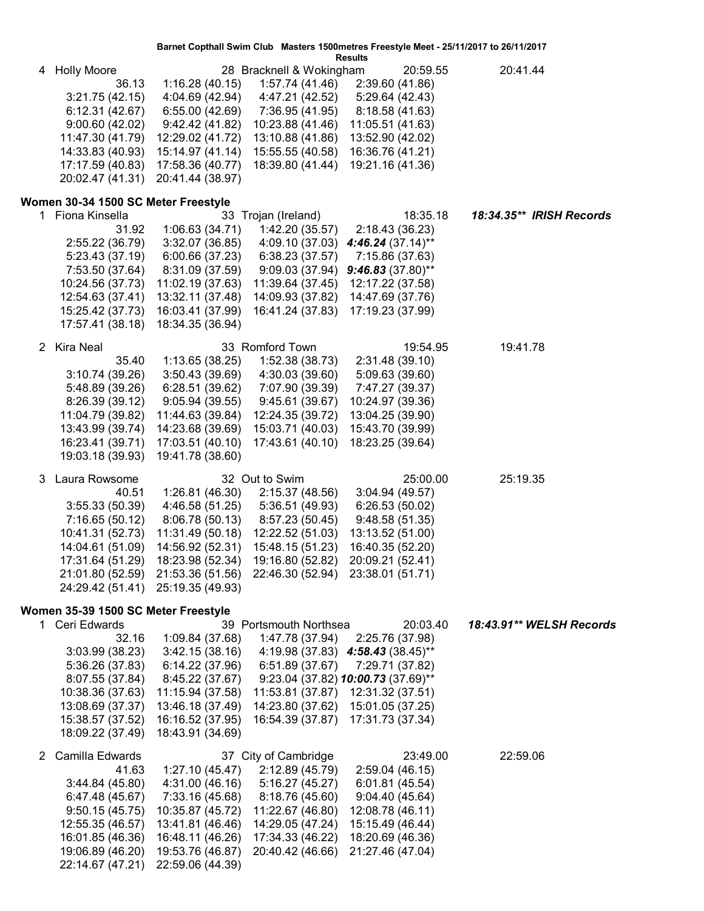| Barnet Copthall Swim Club Masters 1500metres Freestyle Meet - 25/11/2017 to 26/11/2017 |
|----------------------------------------------------------------------------------------|
|                                                                                        |

**Results**

| 4 Holly Moore<br>36.13<br>3:21.75 (42.15)<br>6:12.31(42.67)<br>9:00.60(42.02)<br>11:47.30 (41.79)<br>14:33.83 (40.93)<br>17:17.59 (40.83) | 1:16.28(40.15)<br>4:04.69 (42.94)<br>6:55.00(42.69)<br>9:42.42(41.82)<br>12:29.02 (41.72)<br>15:14.97 (41.14)<br>17:58.36 (40.77) | 28 Bracknell & Wokingham<br>1:57.74(41.46)<br>4:47.21 (42.52)<br>7:36.95 (41.95)<br>10:23.88 (41.46)<br>13:10.88 (41.86)<br>15:55.55 (40.58)<br>18:39.80 (41.44) | 20:59.55<br>2:39.60 (41.86)<br>5:29.64 (42.43)<br>8:18.58 (41.63)<br>11:05.51 (41.63)<br>13:52.90 (42.02)<br>16:36.76 (41.21)<br>19:21.16 (41.36) | 20:41.44                 |
|-------------------------------------------------------------------------------------------------------------------------------------------|-----------------------------------------------------------------------------------------------------------------------------------|------------------------------------------------------------------------------------------------------------------------------------------------------------------|---------------------------------------------------------------------------------------------------------------------------------------------------|--------------------------|
|                                                                                                                                           |                                                                                                                                   |                                                                                                                                                                  |                                                                                                                                                   |                          |
|                                                                                                                                           |                                                                                                                                   |                                                                                                                                                                  |                                                                                                                                                   |                          |
|                                                                                                                                           |                                                                                                                                   |                                                                                                                                                                  |                                                                                                                                                   |                          |
|                                                                                                                                           |                                                                                                                                   |                                                                                                                                                                  |                                                                                                                                                   |                          |
|                                                                                                                                           |                                                                                                                                   |                                                                                                                                                                  |                                                                                                                                                   |                          |
|                                                                                                                                           |                                                                                                                                   |                                                                                                                                                                  |                                                                                                                                                   |                          |
|                                                                                                                                           |                                                                                                                                   |                                                                                                                                                                  |                                                                                                                                                   |                          |
| 20:02.47 (41.31)                                                                                                                          | 20:41.44 (38.97)                                                                                                                  |                                                                                                                                                                  |                                                                                                                                                   |                          |
| Women 30-34 1500 SC Meter Freestyle                                                                                                       |                                                                                                                                   |                                                                                                                                                                  |                                                                                                                                                   |                          |
| 1 Fiona Kinsella                                                                                                                          |                                                                                                                                   | 33 Trojan (Ireland)                                                                                                                                              | 18:35.18                                                                                                                                          | 18:34.35** IRISH Records |
| 31.92                                                                                                                                     | 1:06.63 (34.71)                                                                                                                   | 1:42.20 (35.57)                                                                                                                                                  | 2:18.43 (36.23)                                                                                                                                   |                          |
| 2:55.22 (36.79)                                                                                                                           | 3:32.07(36.85)                                                                                                                    | 4:09.10 (37.03)                                                                                                                                                  | 4:46.24 $(37.14)$ **                                                                                                                              |                          |
| 5:23.43 (37.19)                                                                                                                           | 6:00.66 (37.23)                                                                                                                   | 6:38.23(37.57)                                                                                                                                                   | 7:15.86 (37.63)                                                                                                                                   |                          |
| 7:53.50 (37.64)                                                                                                                           | 8:31.09 (37.59)                                                                                                                   | 9:09.03(37.94)                                                                                                                                                   | $9:46.83(37.80)$ **                                                                                                                               |                          |
| 10:24.56 (37.73)                                                                                                                          | 11:02.19 (37.63)                                                                                                                  | 11:39.64 (37.45)                                                                                                                                                 | 12:17.22 (37.58)                                                                                                                                  |                          |
| 12:54.63 (37.41)                                                                                                                          | 13:32.11 (37.48)                                                                                                                  | 14:09.93 (37.82)                                                                                                                                                 | 14:47.69 (37.76)                                                                                                                                  |                          |
| 15:25.42 (37.73)                                                                                                                          | 16:03.41 (37.99)                                                                                                                  | 16:41.24 (37.83)                                                                                                                                                 | 17:19.23 (37.99)                                                                                                                                  |                          |
| 17:57.41 (38.18)                                                                                                                          | 18:34.35 (36.94)                                                                                                                  |                                                                                                                                                                  |                                                                                                                                                   |                          |
| 2 Kira Neal                                                                                                                               |                                                                                                                                   | 33 Romford Town                                                                                                                                                  | 19:54.95                                                                                                                                          | 19:41.78                 |
| 35.40                                                                                                                                     | 1:13.65(38.25)                                                                                                                    | 1:52.38(38.73)                                                                                                                                                   | 2:31.48 (39.10)                                                                                                                                   |                          |
| 3:10.74(39.26)                                                                                                                            | 3:50.43 (39.69)                                                                                                                   | 4:30.03 (39.60)                                                                                                                                                  | 5:09.63 (39.60)                                                                                                                                   |                          |
| 5:48.89 (39.26)                                                                                                                           | 6:28.51 (39.62)                                                                                                                   | 7:07.90 (39.39)                                                                                                                                                  | 7:47.27 (39.37)                                                                                                                                   |                          |
| 8:26.39 (39.12)                                                                                                                           | 9:05.94(39.55)                                                                                                                    | 9:45.61(39.67)                                                                                                                                                   | 10:24.97 (39.36)                                                                                                                                  |                          |
| 11:04.79 (39.82)                                                                                                                          | 11:44.63 (39.84)                                                                                                                  | 12:24.35 (39.72)                                                                                                                                                 | 13:04.25 (39.90)                                                                                                                                  |                          |
| 13:43.99 (39.74)                                                                                                                          | 14:23.68 (39.69)                                                                                                                  | 15:03.71 (40.03)                                                                                                                                                 | 15:43.70 (39.99)                                                                                                                                  |                          |
| 16:23.41 (39.71)                                                                                                                          |                                                                                                                                   |                                                                                                                                                                  |                                                                                                                                                   |                          |
|                                                                                                                                           | 17:03.51 (40.10)                                                                                                                  | 17:43.61 (40.10)                                                                                                                                                 | 18:23.25 (39.64)                                                                                                                                  |                          |
| 19:03.18 (39.93)                                                                                                                          | 19:41.78 (38.60)                                                                                                                  |                                                                                                                                                                  |                                                                                                                                                   |                          |
| 3<br>Laura Rowsome                                                                                                                        |                                                                                                                                   | 32 Out to Swim                                                                                                                                                   | 25:00.00                                                                                                                                          | 25:19.35                 |
| 40.51                                                                                                                                     | 1:26.81 (46.30)                                                                                                                   | 2:15.37 (48.56)                                                                                                                                                  | 3:04.94(49.57)                                                                                                                                    |                          |
| 3:55.33(50.39)                                                                                                                            | 4:46.58 (51.25)                                                                                                                   | 5:36.51 (49.93)                                                                                                                                                  | 6:26.53(50.02)                                                                                                                                    |                          |
| 7:16.65 (50.12)                                                                                                                           | 8:06.78 (50.13)                                                                                                                   | 8:57.23 (50.45)                                                                                                                                                  | 9:48.58(51.35)                                                                                                                                    |                          |
| 10:41.31 (52.73)                                                                                                                          | 11:31.49 (50.18)                                                                                                                  | 12:22.52 (51.03)                                                                                                                                                 | 13:13.52 (51.00)                                                                                                                                  |                          |
| 14:04.61 (51.09)                                                                                                                          | 14:56.92 (52.31)                                                                                                                  | 15:48.15 (51.23)                                                                                                                                                 | 16:40.35 (52.20)                                                                                                                                  |                          |
| 17:31.64 (51.29)                                                                                                                          | 18:23.98 (52.34)                                                                                                                  | 19:16.80 (52.82)                                                                                                                                                 | 20:09.21 (52.41)                                                                                                                                  |                          |
|                                                                                                                                           | 21:01.80 (52.59) 21:53.36 (51.56) 22:46.30 (52.94) 23:38.01 (51.71)                                                               |                                                                                                                                                                  |                                                                                                                                                   |                          |
|                                                                                                                                           | 24:29.42 (51.41) 25:19.35 (49.93)                                                                                                 |                                                                                                                                                                  |                                                                                                                                                   |                          |
| Women 35-39 1500 SC Meter Freestyle                                                                                                       |                                                                                                                                   |                                                                                                                                                                  |                                                                                                                                                   |                          |
| 1 Ceri Edwards                                                                                                                            |                                                                                                                                   | 39 Portsmouth Northsea                                                                                                                                           | 20:03.40                                                                                                                                          | 18:43.91** WELSH Records |
| 32.16                                                                                                                                     | 1:09.84 (37.68)                                                                                                                   | 1:47.78 (37.94)                                                                                                                                                  | 2:25.76 (37.98)                                                                                                                                   |                          |
| 3:03.99(38.23)                                                                                                                            | 3:42.15(38.16)                                                                                                                    | 4:19.98 (37.83)                                                                                                                                                  | $4:58.43(38.45)$ **                                                                                                                               |                          |
| 5:36.26 (37.83)                                                                                                                           | 6:14.22(37.96)                                                                                                                    | 6:51.89(37.67)                                                                                                                                                   | 7:29.71 (37.82)                                                                                                                                   |                          |
| 8:07.55 (37.84)                                                                                                                           | 8:45.22 (37.67)                                                                                                                   |                                                                                                                                                                  | 9:23.04 (37.82) 10:00.73 (37.69)**                                                                                                                |                          |
| 10:38.36 (37.63)                                                                                                                          | 11:15.94 (37.58)                                                                                                                  | 11:53.81 (37.87)                                                                                                                                                 | 12:31.32 (37.51)                                                                                                                                  |                          |
| 13:08.69 (37.37)                                                                                                                          | 13:46.18 (37.49)                                                                                                                  | 14:23.80 (37.62)                                                                                                                                                 | 15:01.05 (37.25)                                                                                                                                  |                          |
| 15:38.57 (37.52)<br>18:09.22 (37.49)                                                                                                      | 16:16.52 (37.95)<br>18:43.91 (34.69)                                                                                              | 16:54.39 (37.87)                                                                                                                                                 | 17:31.73 (37.34)                                                                                                                                  |                          |
|                                                                                                                                           |                                                                                                                                   |                                                                                                                                                                  |                                                                                                                                                   |                          |
| 2 Camilla Edwards                                                                                                                         |                                                                                                                                   | 37 City of Cambridge                                                                                                                                             | 23:49.00                                                                                                                                          | 22:59.06                 |
| 41.63                                                                                                                                     | 1:27.10(45.47)                                                                                                                    | 2:12.89 (45.79)                                                                                                                                                  | 2:59.04(46.15)                                                                                                                                    |                          |
| 3:44.84(45.80)                                                                                                                            | 4:31.00(46.16)                                                                                                                    | 5:16.27 (45.27)                                                                                                                                                  | 6:01.81 (45.54)                                                                                                                                   |                          |
| 6:47.48 (45.67)                                                                                                                           | 7:33.16 (45.68)                                                                                                                   | 8:18.76 (45.60)                                                                                                                                                  | 9:04.40(45.64)                                                                                                                                    |                          |
| 9:50.15(45.75)                                                                                                                            | 10:35.87 (45.72)                                                                                                                  | 11:22.67 (46.80)                                                                                                                                                 | 12:08.78 (46.11)                                                                                                                                  |                          |
| 12:55.35 (46.57)                                                                                                                          | 13:41.81 (46.46)                                                                                                                  | 14:29.05 (47.24)                                                                                                                                                 | 15:15.49 (46.44)                                                                                                                                  |                          |
| 16:01.85 (46.36)<br>19:06.89 (46.20)                                                                                                      | 16:48.11 (46.26)<br>19:53.76 (46.87)                                                                                              | 17:34.33 (46.22)<br>20:40.42 (46.66)                                                                                                                             | 18:20.69 (46.36)<br>21:27.46 (47.04)                                                                                                              |                          |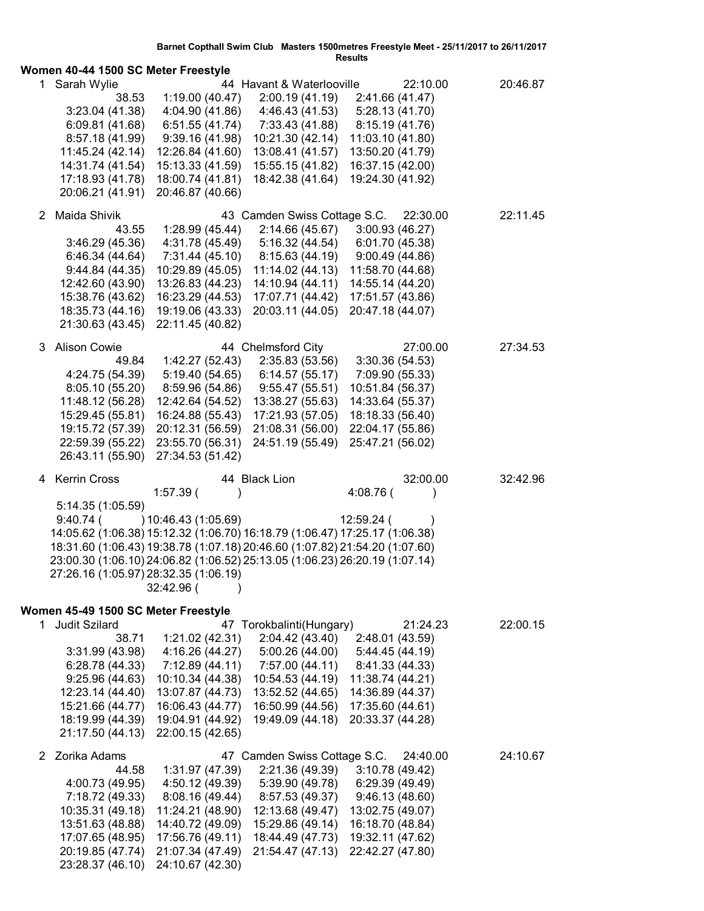|    | Women 40-44 1500 SC Meter Freestyle                                                                                                                                                                                                                                                                                                      |                                                                                                                                                           |                                                                                                                                                                    | Results                                                                                                                                           |          |
|----|------------------------------------------------------------------------------------------------------------------------------------------------------------------------------------------------------------------------------------------------------------------------------------------------------------------------------------------|-----------------------------------------------------------------------------------------------------------------------------------------------------------|--------------------------------------------------------------------------------------------------------------------------------------------------------------------|---------------------------------------------------------------------------------------------------------------------------------------------------|----------|
|    | 1 Sarah Wylie<br>38.53<br>3:23.04(41.38)<br>6:09.81 (41.68)<br>8:57.18 (41.99)<br>11:45.24 (42.14)<br>14:31.74 (41.54)<br>17:18.93 (41.78)<br>20:06.21 (41.91)                                                                                                                                                                           | 1:19.00(40.47)<br>4:04.90 (41.86)<br>6:51.55(41.74)<br>9:39.16(41.98)<br>12:26.84 (41.60)<br>15:13.33 (41.59)<br>18:00.74 (41.81)<br>20:46.87 (40.66)     | 44 Havant & Waterlooville<br>2:00.19(41.19)<br>4:46.43 (41.53)<br>7:33.43 (41.88)<br>10:21.30 (42.14)<br>13:08.41 (41.57)<br>15:55.15 (41.82)<br>18:42.38 (41.64)  | 22:10.00<br>2:41.66 (41.47)<br>5:28.13 (41.70)<br>8:15.19 (41.76)<br>11:03.10 (41.80)<br>13:50.20 (41.79)<br>16:37.15 (42.00)<br>19:24.30 (41.92) | 20:46.87 |
|    | 2 Maida Shivik<br>43.55<br>3:46.29(45.36)<br>6:46.34 (44.64)<br>9:44.84(44.35)<br>12:42.60 (43.90)<br>15:38.76 (43.62)<br>18:35.73 (44.16)<br>21:30.63 (43.45)                                                                                                                                                                           | 1:28.99(45.44)<br>4:31.78 (45.49)<br>7:31.44(45.10)<br>10:29.89 (45.05)<br>13:26.83 (44.23)<br>16:23.29 (44.53)<br>19:19.06 (43.33)<br>22:11.45 (40.82)   | 43 Camden Swiss Cottage S.C.<br>2:14.66(45.67)<br>5:16.32(44.54)<br>8:15.63(44.19)<br>11:14.02 (44.13)<br>14:10.94 (44.11)<br>17:07.71 (44.42)<br>20:03.11 (44.05) | 22:30.00<br>3:00.93(46.27)<br>6:01.70 (45.38)<br>9:00.49(44.86)<br>11:58.70 (44.68)<br>14:55.14 (44.20)<br>17:51.57 (43.86)<br>20:47.18 (44.07)   | 22:11.45 |
|    | 3 Alison Cowie<br>49.84<br>4:24.75 (54.39)<br>8:05.10 (55.20)<br>11:48.12 (56.28)<br>15:29.45 (55.81)<br>19:15.72 (57.39)<br>22:59.39 (55.22)<br>26:43.11 (55.90)                                                                                                                                                                        | 1:42.27 (52.43)<br>5:19.40 (54.65)<br>8:59.96 (54.86)<br>12:42.64 (54.52)<br>16:24.88 (55.43)<br>20:12.31 (56.59)<br>23:55.70 (56.31)<br>27:34.53 (51.42) | 44 Chelmsford City<br>2:35.83 (53.56)<br>6:14.57(55.17)<br>9:55.47(55.51)<br>13:38.27 (55.63)<br>17:21.93 (57.05)<br>21:08.31 (56.00)<br>24:51.19 (55.49)          | 27:00.00<br>3:30.36(54.53)<br>7:09.90 (55.33)<br>10:51.84 (56.37)<br>14:33.64 (55.37)<br>18:18.33 (56.40)<br>22:04.17 (55.86)<br>25:47.21 (56.02) | 27:34.53 |
|    |                                                                                                                                                                                                                                                                                                                                          |                                                                                                                                                           |                                                                                                                                                                    |                                                                                                                                                   |          |
|    | 4 Kerrin Cross<br>5:14.35 (1:05.59)<br>$9:40.74$ (<br>14:05.62 (1:06.38) 15:12.32 (1:06.70) 16:18.79 (1:06.47) 17:25.17 (1:06.38)<br>18:31.60 (1:06.43) 19:38.78 (1:07.18) 20:46.60 (1:07.82) 21:54.20 (1:07.60)<br>23:00.30 (1:06.10) 24:06.82 (1:06.52) 25:13.05 (1:06.23) 26:20.19 (1:07.14)<br>27:26.16 (1:05.97) 28:32.35 (1:06.19) | $1:57.39$ (<br>) 10:46.43 (1:05.69)<br>32:42.96 (                                                                                                         | 44 Black Lion                                                                                                                                                      | 32:00.00<br>4:08.76 (<br>12:59.24 (                                                                                                               | 32:42.96 |
| 1. | Women 45-49 1500 SC Meter Freestyle<br>Judit Szilard<br>38.71<br>3:31.99(43.98)<br>6:28.78 (44.33)<br>9:25.96(44.63)<br>12:23.14 (44.40)<br>15:21.66 (44.77)<br>18:19.99 (44.39)<br>21:17.50 (44.13)                                                                                                                                     | 1:21.02 (42.31)<br>4:16.26 (44.27)<br>7:12.89(44.11)<br>10:10.34 (44.38)<br>13:07.87 (44.73)<br>16:06.43 (44.77)<br>19:04.91 (44.92)<br>22:00.15 (42.65)  | 47 Torokbalinti(Hungary)<br>2:04.42 (43.40)<br>5:00.26 (44.00)<br>7:57.00 (44.11)<br>10:54.53 (44.19)<br>13:52.52 (44.65)<br>16:50.99 (44.56)<br>19:49.09 (44.18)  | 21:24.23<br>2:48.01 (43.59)<br>5:44.45 (44.19)<br>8:41.33 (44.33)<br>11:38.74 (44.21)<br>14:36.89 (44.37)<br>17:35.60 (44.61)<br>20:33.37 (44.28) | 22:00.15 |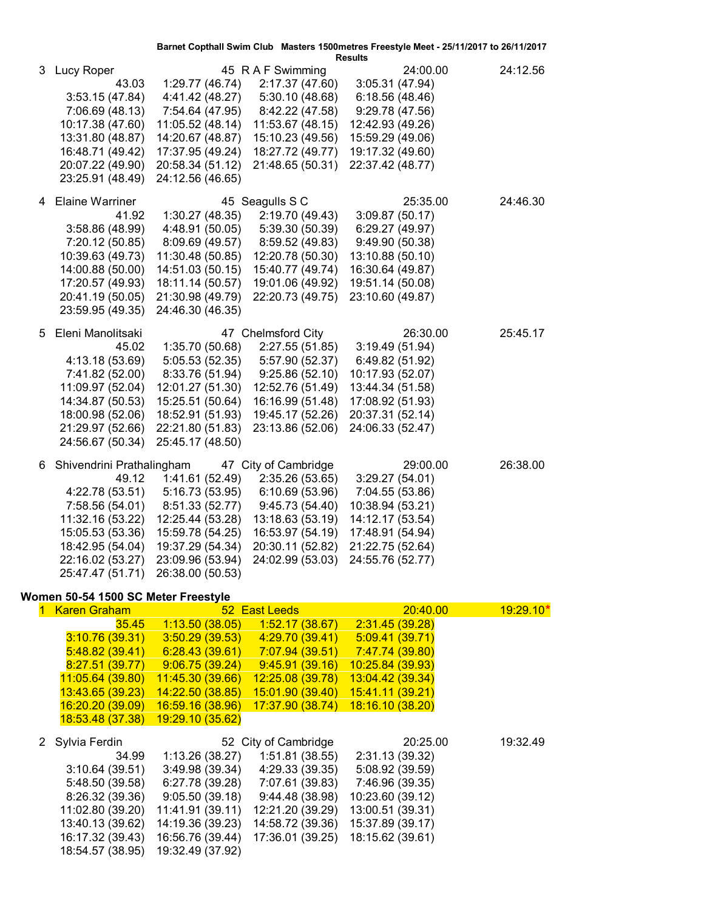| <b>Results</b><br>45 R A F Swimming<br>24:00.00<br>24:12.56<br>3<br>Lucy Roper<br>1:29.77 (46.74)<br>2:17.37 (47.60)<br>3:05.31 (47.94)<br>43.03<br>4:41.42 (48.27)<br>5:30.10(48.68)<br>6:18.56(48.46)<br>3:53.15(47.84)<br>7:06.69 (48.13)<br>7:54.64 (47.95)<br>8:42.22 (47.58)<br>9:29.78 (47.56)<br>11:05.52 (48.14)<br>10:17.38 (47.60)<br>11:53.67 (48.15)<br>12:42.93 (49.26)<br>13:31.80 (48.87)<br>14:20.67 (48.87)<br>15:10.23 (49.56)<br>15:59.29 (49.06)<br>16:48.71 (49.42)<br>17:37.95 (49.24)<br>18:27.72 (49.77)<br>19:17.32 (49.60)<br>20:07.22 (49.90)<br>20:58.34 (51.12)<br>21:48.65 (50.31)<br>22:37.42 (48.77)<br>23:25.91 (48.49)<br>24:12.56 (46.65)<br><b>Elaine Warriner</b><br>45 Seagulls S C<br>25:35.00<br>24:46.30<br>4<br>1:30.27(48.35)<br>2:19.70 (49.43)<br>3:09.87(50.17)<br>41.92<br>4:48.91 (50.05)<br>5:39.30 (50.39)<br>6:29.27 (49.97)<br>3:58.86 (48.99)<br>9:49.90 (50.38)<br>7:20.12 (50.85)<br>8:09.69 (49.57)<br>8:59.52 (49.83)<br>10:39.63 (49.73)<br>11:30.48 (50.85)<br>12:20.78 (50.30)<br>13:10.88 (50.10)<br>14:00.88 (50.00)<br>14:51.03 (50.15)<br>15:40.77 (49.74)<br>16:30.64 (49.87)<br>17:20.57 (49.93)<br>18:11.14 (50.57)<br>19:01.06 (49.92)<br>19:51.14 (50.08)<br>20:41.19 (50.05)<br>21:30.98 (49.79)<br>22:20.73 (49.75)<br>23:10.60 (49.87)<br>23:59.95 (49.35)<br>24:46.30 (46.35)<br>Eleni Manolitsaki<br>47 Chelmsford City<br>26:30.00<br>25:45.17<br>5.<br>2:27.55 (51.85)<br>45.02<br>1:35.70 (50.68)<br>3:19.49(51.94)<br>4:13.18 (53.69)<br>5:05.53(52.35)<br>5:57.90 (52.37)<br>6:49.82 (51.92)<br>10:17.93 (52.07)<br>7:41.82 (52.00)<br>8:33.76 (51.94)<br>9:25.86(52.10)<br>11:09.97 (52.04)<br>12:01.27 (51.30)<br>13:44.34 (51.58)<br>12:52.76 (51.49)<br>14:34.87 (50.53)<br>17:08.92 (51.93)<br>15:25.51 (50.64)<br>16:16.99 (51.48)<br>18:00.98 (52.06)<br>18:52.91 (51.93)<br>19:45.17 (52.26)<br>20:37.31 (52.14)<br>21:29.97 (52.66)<br>22:21.80 (51.83)<br>23:13.86 (52.06)<br>24:06.33 (52.47)<br>24:56.67 (50.34)<br>25:45.17 (48.50)<br>47 City of Cambridge<br>29:00.00<br>26:38.00<br>Shivendrini Prathalingham<br>6.<br>1:41.61 (52.49)<br>49.12<br>2:35.26 (53.65)<br>3:29.27(54.01)<br>4:22.78 (53.51)<br>5:16.73 (53.95)<br>6:10.69(53.96)<br>7:04.55 (53.86)<br>7:58.56 (54.01)<br>8:51.33 (52.77)<br>9:45.73 (54.40)<br>10:38.94 (53.21)<br>11:32.16 (53.22)<br>12:25.44 (53.28)<br>13:18.63 (53.19)<br>14:12.17 (53.54)<br>17:48.91 (54.94)<br>15:05.53 (53.36)<br>15:59.78 (54.25)<br>16:53.97 (54.19)<br>20:30.11 (52.82)<br>21:22.75 (52.64)<br>18:42.95 (54.04)<br>19:37.29 (54.34)<br>22:16.02 (53.27) 23:09.96 (53.94) 24:02.99 (53.03) 24:55.76 (52.77)<br>25:47.47 (51.71) 26:38.00 (50.53)<br>Women 50-54 1500 SC Meter Freestyle<br>52 East Leeds<br>19:29.10*<br><b>Karen Graham</b><br>20:40.00<br>1:13.50(38.05)<br>35.45<br>1:52.17(38.67)<br>2:31.45(39.28)<br>3:10.76(39.31)<br>3:50.29(39.53)<br>4:29.70 (39.41)<br>5:09.41(39.71)<br>5:48.82(39.41)<br>6:28.43(39.61)<br>7:07.94 (39.51)<br>7:47.74 (39.80)<br>8:27.51(39.77)<br>9:06.75(39.24)<br>9:45.91(39.16)<br>10:25.84 (39.93)<br>11:05.64 (39.80)<br>11:45.30 (39.66)<br>12:25.08 (39.78)<br>13:04.42 (39.34)<br>14:22.50 (38.85)<br>15:01.90 (39.40)<br>13:43.65 (39.23)<br>15:41.11 (39.21)<br>18:16.10 (38.20)<br>16:20.20 (39.09)<br>16:59.16 (38.96)<br>17:37.90 (38.74)<br>18:53.48 (37.38)<br>19:29.10 (35.62)<br>52 City of Cambridge<br>Sylvia Ferdin<br>20:25.00<br>19:32.49<br>2<br>1:13.26 (38.27)<br>1:51.81(38.55)<br>34.99<br>2:31.13 (39.32)<br>3:10.64(39.51)<br>3:49.98 (39.34)<br>4:29.33 (39.35)<br>5:08.92 (39.59)<br>6:27.78 (39.28)<br>7:07.61 (39.83)<br>7:46.96 (39.35)<br>5:48.50 (39.58)<br>8:26.32 (39.36)<br>9:05.50(39.18)<br>9:44.48 (38.98)<br>10:23.60 (39.12)<br>11:02.80 (39.20)<br>11:41.91 (39.11)<br>12:21.20 (39.29)<br>13:00.51 (39.31)<br>13:40.13 (39.62)<br>14:19.36 (39.23)<br>14:58.72 (39.36)<br>15:37.89 (39.17)<br>16:17.32 (39.43)<br>16:56.76 (39.44)<br>17:36.01 (39.25)<br>18:15.62 (39.61)<br>18:54.57 (38.95)<br>19:32.49 (37.92) |  |  | Barnet Copthall Swim Club Masters 1500 metres Freestyle Meet - 25/11/2017 to 26/11/2017 |  |
|------------------------------------------------------------------------------------------------------------------------------------------------------------------------------------------------------------------------------------------------------------------------------------------------------------------------------------------------------------------------------------------------------------------------------------------------------------------------------------------------------------------------------------------------------------------------------------------------------------------------------------------------------------------------------------------------------------------------------------------------------------------------------------------------------------------------------------------------------------------------------------------------------------------------------------------------------------------------------------------------------------------------------------------------------------------------------------------------------------------------------------------------------------------------------------------------------------------------------------------------------------------------------------------------------------------------------------------------------------------------------------------------------------------------------------------------------------------------------------------------------------------------------------------------------------------------------------------------------------------------------------------------------------------------------------------------------------------------------------------------------------------------------------------------------------------------------------------------------------------------------------------------------------------------------------------------------------------------------------------------------------------------------------------------------------------------------------------------------------------------------------------------------------------------------------------------------------------------------------------------------------------------------------------------------------------------------------------------------------------------------------------------------------------------------------------------------------------------------------------------------------------------------------------------------------------------------------------------------------------------------------------------------------------------------------------------------------------------------------------------------------------------------------------------------------------------------------------------------------------------------------------------------------------------------------------------------------------------------------------------------------------------------------------------------------------------------------------------------------------------------------------------------------------------------------------------------------------------------------------------------------------------------------------------------------------------------------------------------------------------------------------------------------------------------------------------------------------------------------------------------------------------------------------------------------------------------------------------------------------------------------------------------------------------------------------------------------------------------------------------------------------------------------------------------------------------------------------------------------------------------------------------------------------------------------------------------------------------------------------------------------------------------------------------------------------------|--|--|-----------------------------------------------------------------------------------------|--|
|                                                                                                                                                                                                                                                                                                                                                                                                                                                                                                                                                                                                                                                                                                                                                                                                                                                                                                                                                                                                                                                                                                                                                                                                                                                                                                                                                                                                                                                                                                                                                                                                                                                                                                                                                                                                                                                                                                                                                                                                                                                                                                                                                                                                                                                                                                                                                                                                                                                                                                                                                                                                                                                                                                                                                                                                                                                                                                                                                                                                                                                                                                                                                                                                                                                                                                                                                                                                                                                                                                                                                                                                                                                                                                                                                                                                                                                                                                                                                                                                                                                                        |  |  |                                                                                         |  |
|                                                                                                                                                                                                                                                                                                                                                                                                                                                                                                                                                                                                                                                                                                                                                                                                                                                                                                                                                                                                                                                                                                                                                                                                                                                                                                                                                                                                                                                                                                                                                                                                                                                                                                                                                                                                                                                                                                                                                                                                                                                                                                                                                                                                                                                                                                                                                                                                                                                                                                                                                                                                                                                                                                                                                                                                                                                                                                                                                                                                                                                                                                                                                                                                                                                                                                                                                                                                                                                                                                                                                                                                                                                                                                                                                                                                                                                                                                                                                                                                                                                                        |  |  |                                                                                         |  |
|                                                                                                                                                                                                                                                                                                                                                                                                                                                                                                                                                                                                                                                                                                                                                                                                                                                                                                                                                                                                                                                                                                                                                                                                                                                                                                                                                                                                                                                                                                                                                                                                                                                                                                                                                                                                                                                                                                                                                                                                                                                                                                                                                                                                                                                                                                                                                                                                                                                                                                                                                                                                                                                                                                                                                                                                                                                                                                                                                                                                                                                                                                                                                                                                                                                                                                                                                                                                                                                                                                                                                                                                                                                                                                                                                                                                                                                                                                                                                                                                                                                                        |  |  |                                                                                         |  |
|                                                                                                                                                                                                                                                                                                                                                                                                                                                                                                                                                                                                                                                                                                                                                                                                                                                                                                                                                                                                                                                                                                                                                                                                                                                                                                                                                                                                                                                                                                                                                                                                                                                                                                                                                                                                                                                                                                                                                                                                                                                                                                                                                                                                                                                                                                                                                                                                                                                                                                                                                                                                                                                                                                                                                                                                                                                                                                                                                                                                                                                                                                                                                                                                                                                                                                                                                                                                                                                                                                                                                                                                                                                                                                                                                                                                                                                                                                                                                                                                                                                                        |  |  |                                                                                         |  |
|                                                                                                                                                                                                                                                                                                                                                                                                                                                                                                                                                                                                                                                                                                                                                                                                                                                                                                                                                                                                                                                                                                                                                                                                                                                                                                                                                                                                                                                                                                                                                                                                                                                                                                                                                                                                                                                                                                                                                                                                                                                                                                                                                                                                                                                                                                                                                                                                                                                                                                                                                                                                                                                                                                                                                                                                                                                                                                                                                                                                                                                                                                                                                                                                                                                                                                                                                                                                                                                                                                                                                                                                                                                                                                                                                                                                                                                                                                                                                                                                                                                                        |  |  |                                                                                         |  |
|                                                                                                                                                                                                                                                                                                                                                                                                                                                                                                                                                                                                                                                                                                                                                                                                                                                                                                                                                                                                                                                                                                                                                                                                                                                                                                                                                                                                                                                                                                                                                                                                                                                                                                                                                                                                                                                                                                                                                                                                                                                                                                                                                                                                                                                                                                                                                                                                                                                                                                                                                                                                                                                                                                                                                                                                                                                                                                                                                                                                                                                                                                                                                                                                                                                                                                                                                                                                                                                                                                                                                                                                                                                                                                                                                                                                                                                                                                                                                                                                                                                                        |  |  |                                                                                         |  |
|                                                                                                                                                                                                                                                                                                                                                                                                                                                                                                                                                                                                                                                                                                                                                                                                                                                                                                                                                                                                                                                                                                                                                                                                                                                                                                                                                                                                                                                                                                                                                                                                                                                                                                                                                                                                                                                                                                                                                                                                                                                                                                                                                                                                                                                                                                                                                                                                                                                                                                                                                                                                                                                                                                                                                                                                                                                                                                                                                                                                                                                                                                                                                                                                                                                                                                                                                                                                                                                                                                                                                                                                                                                                                                                                                                                                                                                                                                                                                                                                                                                                        |  |  |                                                                                         |  |
|                                                                                                                                                                                                                                                                                                                                                                                                                                                                                                                                                                                                                                                                                                                                                                                                                                                                                                                                                                                                                                                                                                                                                                                                                                                                                                                                                                                                                                                                                                                                                                                                                                                                                                                                                                                                                                                                                                                                                                                                                                                                                                                                                                                                                                                                                                                                                                                                                                                                                                                                                                                                                                                                                                                                                                                                                                                                                                                                                                                                                                                                                                                                                                                                                                                                                                                                                                                                                                                                                                                                                                                                                                                                                                                                                                                                                                                                                                                                                                                                                                                                        |  |  |                                                                                         |  |
|                                                                                                                                                                                                                                                                                                                                                                                                                                                                                                                                                                                                                                                                                                                                                                                                                                                                                                                                                                                                                                                                                                                                                                                                                                                                                                                                                                                                                                                                                                                                                                                                                                                                                                                                                                                                                                                                                                                                                                                                                                                                                                                                                                                                                                                                                                                                                                                                                                                                                                                                                                                                                                                                                                                                                                                                                                                                                                                                                                                                                                                                                                                                                                                                                                                                                                                                                                                                                                                                                                                                                                                                                                                                                                                                                                                                                                                                                                                                                                                                                                                                        |  |  |                                                                                         |  |
|                                                                                                                                                                                                                                                                                                                                                                                                                                                                                                                                                                                                                                                                                                                                                                                                                                                                                                                                                                                                                                                                                                                                                                                                                                                                                                                                                                                                                                                                                                                                                                                                                                                                                                                                                                                                                                                                                                                                                                                                                                                                                                                                                                                                                                                                                                                                                                                                                                                                                                                                                                                                                                                                                                                                                                                                                                                                                                                                                                                                                                                                                                                                                                                                                                                                                                                                                                                                                                                                                                                                                                                                                                                                                                                                                                                                                                                                                                                                                                                                                                                                        |  |  |                                                                                         |  |
|                                                                                                                                                                                                                                                                                                                                                                                                                                                                                                                                                                                                                                                                                                                                                                                                                                                                                                                                                                                                                                                                                                                                                                                                                                                                                                                                                                                                                                                                                                                                                                                                                                                                                                                                                                                                                                                                                                                                                                                                                                                                                                                                                                                                                                                                                                                                                                                                                                                                                                                                                                                                                                                                                                                                                                                                                                                                                                                                                                                                                                                                                                                                                                                                                                                                                                                                                                                                                                                                                                                                                                                                                                                                                                                                                                                                                                                                                                                                                                                                                                                                        |  |  |                                                                                         |  |
|                                                                                                                                                                                                                                                                                                                                                                                                                                                                                                                                                                                                                                                                                                                                                                                                                                                                                                                                                                                                                                                                                                                                                                                                                                                                                                                                                                                                                                                                                                                                                                                                                                                                                                                                                                                                                                                                                                                                                                                                                                                                                                                                                                                                                                                                                                                                                                                                                                                                                                                                                                                                                                                                                                                                                                                                                                                                                                                                                                                                                                                                                                                                                                                                                                                                                                                                                                                                                                                                                                                                                                                                                                                                                                                                                                                                                                                                                                                                                                                                                                                                        |  |  |                                                                                         |  |
|                                                                                                                                                                                                                                                                                                                                                                                                                                                                                                                                                                                                                                                                                                                                                                                                                                                                                                                                                                                                                                                                                                                                                                                                                                                                                                                                                                                                                                                                                                                                                                                                                                                                                                                                                                                                                                                                                                                                                                                                                                                                                                                                                                                                                                                                                                                                                                                                                                                                                                                                                                                                                                                                                                                                                                                                                                                                                                                                                                                                                                                                                                                                                                                                                                                                                                                                                                                                                                                                                                                                                                                                                                                                                                                                                                                                                                                                                                                                                                                                                                                                        |  |  |                                                                                         |  |
|                                                                                                                                                                                                                                                                                                                                                                                                                                                                                                                                                                                                                                                                                                                                                                                                                                                                                                                                                                                                                                                                                                                                                                                                                                                                                                                                                                                                                                                                                                                                                                                                                                                                                                                                                                                                                                                                                                                                                                                                                                                                                                                                                                                                                                                                                                                                                                                                                                                                                                                                                                                                                                                                                                                                                                                                                                                                                                                                                                                                                                                                                                                                                                                                                                                                                                                                                                                                                                                                                                                                                                                                                                                                                                                                                                                                                                                                                                                                                                                                                                                                        |  |  |                                                                                         |  |
|                                                                                                                                                                                                                                                                                                                                                                                                                                                                                                                                                                                                                                                                                                                                                                                                                                                                                                                                                                                                                                                                                                                                                                                                                                                                                                                                                                                                                                                                                                                                                                                                                                                                                                                                                                                                                                                                                                                                                                                                                                                                                                                                                                                                                                                                                                                                                                                                                                                                                                                                                                                                                                                                                                                                                                                                                                                                                                                                                                                                                                                                                                                                                                                                                                                                                                                                                                                                                                                                                                                                                                                                                                                                                                                                                                                                                                                                                                                                                                                                                                                                        |  |  |                                                                                         |  |
|                                                                                                                                                                                                                                                                                                                                                                                                                                                                                                                                                                                                                                                                                                                                                                                                                                                                                                                                                                                                                                                                                                                                                                                                                                                                                                                                                                                                                                                                                                                                                                                                                                                                                                                                                                                                                                                                                                                                                                                                                                                                                                                                                                                                                                                                                                                                                                                                                                                                                                                                                                                                                                                                                                                                                                                                                                                                                                                                                                                                                                                                                                                                                                                                                                                                                                                                                                                                                                                                                                                                                                                                                                                                                                                                                                                                                                                                                                                                                                                                                                                                        |  |  |                                                                                         |  |
|                                                                                                                                                                                                                                                                                                                                                                                                                                                                                                                                                                                                                                                                                                                                                                                                                                                                                                                                                                                                                                                                                                                                                                                                                                                                                                                                                                                                                                                                                                                                                                                                                                                                                                                                                                                                                                                                                                                                                                                                                                                                                                                                                                                                                                                                                                                                                                                                                                                                                                                                                                                                                                                                                                                                                                                                                                                                                                                                                                                                                                                                                                                                                                                                                                                                                                                                                                                                                                                                                                                                                                                                                                                                                                                                                                                                                                                                                                                                                                                                                                                                        |  |  |                                                                                         |  |
|                                                                                                                                                                                                                                                                                                                                                                                                                                                                                                                                                                                                                                                                                                                                                                                                                                                                                                                                                                                                                                                                                                                                                                                                                                                                                                                                                                                                                                                                                                                                                                                                                                                                                                                                                                                                                                                                                                                                                                                                                                                                                                                                                                                                                                                                                                                                                                                                                                                                                                                                                                                                                                                                                                                                                                                                                                                                                                                                                                                                                                                                                                                                                                                                                                                                                                                                                                                                                                                                                                                                                                                                                                                                                                                                                                                                                                                                                                                                                                                                                                                                        |  |  |                                                                                         |  |
|                                                                                                                                                                                                                                                                                                                                                                                                                                                                                                                                                                                                                                                                                                                                                                                                                                                                                                                                                                                                                                                                                                                                                                                                                                                                                                                                                                                                                                                                                                                                                                                                                                                                                                                                                                                                                                                                                                                                                                                                                                                                                                                                                                                                                                                                                                                                                                                                                                                                                                                                                                                                                                                                                                                                                                                                                                                                                                                                                                                                                                                                                                                                                                                                                                                                                                                                                                                                                                                                                                                                                                                                                                                                                                                                                                                                                                                                                                                                                                                                                                                                        |  |  |                                                                                         |  |
|                                                                                                                                                                                                                                                                                                                                                                                                                                                                                                                                                                                                                                                                                                                                                                                                                                                                                                                                                                                                                                                                                                                                                                                                                                                                                                                                                                                                                                                                                                                                                                                                                                                                                                                                                                                                                                                                                                                                                                                                                                                                                                                                                                                                                                                                                                                                                                                                                                                                                                                                                                                                                                                                                                                                                                                                                                                                                                                                                                                                                                                                                                                                                                                                                                                                                                                                                                                                                                                                                                                                                                                                                                                                                                                                                                                                                                                                                                                                                                                                                                                                        |  |  |                                                                                         |  |
|                                                                                                                                                                                                                                                                                                                                                                                                                                                                                                                                                                                                                                                                                                                                                                                                                                                                                                                                                                                                                                                                                                                                                                                                                                                                                                                                                                                                                                                                                                                                                                                                                                                                                                                                                                                                                                                                                                                                                                                                                                                                                                                                                                                                                                                                                                                                                                                                                                                                                                                                                                                                                                                                                                                                                                                                                                                                                                                                                                                                                                                                                                                                                                                                                                                                                                                                                                                                                                                                                                                                                                                                                                                                                                                                                                                                                                                                                                                                                                                                                                                                        |  |  |                                                                                         |  |
|                                                                                                                                                                                                                                                                                                                                                                                                                                                                                                                                                                                                                                                                                                                                                                                                                                                                                                                                                                                                                                                                                                                                                                                                                                                                                                                                                                                                                                                                                                                                                                                                                                                                                                                                                                                                                                                                                                                                                                                                                                                                                                                                                                                                                                                                                                                                                                                                                                                                                                                                                                                                                                                                                                                                                                                                                                                                                                                                                                                                                                                                                                                                                                                                                                                                                                                                                                                                                                                                                                                                                                                                                                                                                                                                                                                                                                                                                                                                                                                                                                                                        |  |  |                                                                                         |  |
|                                                                                                                                                                                                                                                                                                                                                                                                                                                                                                                                                                                                                                                                                                                                                                                                                                                                                                                                                                                                                                                                                                                                                                                                                                                                                                                                                                                                                                                                                                                                                                                                                                                                                                                                                                                                                                                                                                                                                                                                                                                                                                                                                                                                                                                                                                                                                                                                                                                                                                                                                                                                                                                                                                                                                                                                                                                                                                                                                                                                                                                                                                                                                                                                                                                                                                                                                                                                                                                                                                                                                                                                                                                                                                                                                                                                                                                                                                                                                                                                                                                                        |  |  |                                                                                         |  |
|                                                                                                                                                                                                                                                                                                                                                                                                                                                                                                                                                                                                                                                                                                                                                                                                                                                                                                                                                                                                                                                                                                                                                                                                                                                                                                                                                                                                                                                                                                                                                                                                                                                                                                                                                                                                                                                                                                                                                                                                                                                                                                                                                                                                                                                                                                                                                                                                                                                                                                                                                                                                                                                                                                                                                                                                                                                                                                                                                                                                                                                                                                                                                                                                                                                                                                                                                                                                                                                                                                                                                                                                                                                                                                                                                                                                                                                                                                                                                                                                                                                                        |  |  |                                                                                         |  |
|                                                                                                                                                                                                                                                                                                                                                                                                                                                                                                                                                                                                                                                                                                                                                                                                                                                                                                                                                                                                                                                                                                                                                                                                                                                                                                                                                                                                                                                                                                                                                                                                                                                                                                                                                                                                                                                                                                                                                                                                                                                                                                                                                                                                                                                                                                                                                                                                                                                                                                                                                                                                                                                                                                                                                                                                                                                                                                                                                                                                                                                                                                                                                                                                                                                                                                                                                                                                                                                                                                                                                                                                                                                                                                                                                                                                                                                                                                                                                                                                                                                                        |  |  |                                                                                         |  |
|                                                                                                                                                                                                                                                                                                                                                                                                                                                                                                                                                                                                                                                                                                                                                                                                                                                                                                                                                                                                                                                                                                                                                                                                                                                                                                                                                                                                                                                                                                                                                                                                                                                                                                                                                                                                                                                                                                                                                                                                                                                                                                                                                                                                                                                                                                                                                                                                                                                                                                                                                                                                                                                                                                                                                                                                                                                                                                                                                                                                                                                                                                                                                                                                                                                                                                                                                                                                                                                                                                                                                                                                                                                                                                                                                                                                                                                                                                                                                                                                                                                                        |  |  |                                                                                         |  |
|                                                                                                                                                                                                                                                                                                                                                                                                                                                                                                                                                                                                                                                                                                                                                                                                                                                                                                                                                                                                                                                                                                                                                                                                                                                                                                                                                                                                                                                                                                                                                                                                                                                                                                                                                                                                                                                                                                                                                                                                                                                                                                                                                                                                                                                                                                                                                                                                                                                                                                                                                                                                                                                                                                                                                                                                                                                                                                                                                                                                                                                                                                                                                                                                                                                                                                                                                                                                                                                                                                                                                                                                                                                                                                                                                                                                                                                                                                                                                                                                                                                                        |  |  |                                                                                         |  |
|                                                                                                                                                                                                                                                                                                                                                                                                                                                                                                                                                                                                                                                                                                                                                                                                                                                                                                                                                                                                                                                                                                                                                                                                                                                                                                                                                                                                                                                                                                                                                                                                                                                                                                                                                                                                                                                                                                                                                                                                                                                                                                                                                                                                                                                                                                                                                                                                                                                                                                                                                                                                                                                                                                                                                                                                                                                                                                                                                                                                                                                                                                                                                                                                                                                                                                                                                                                                                                                                                                                                                                                                                                                                                                                                                                                                                                                                                                                                                                                                                                                                        |  |  |                                                                                         |  |
|                                                                                                                                                                                                                                                                                                                                                                                                                                                                                                                                                                                                                                                                                                                                                                                                                                                                                                                                                                                                                                                                                                                                                                                                                                                                                                                                                                                                                                                                                                                                                                                                                                                                                                                                                                                                                                                                                                                                                                                                                                                                                                                                                                                                                                                                                                                                                                                                                                                                                                                                                                                                                                                                                                                                                                                                                                                                                                                                                                                                                                                                                                                                                                                                                                                                                                                                                                                                                                                                                                                                                                                                                                                                                                                                                                                                                                                                                                                                                                                                                                                                        |  |  |                                                                                         |  |
|                                                                                                                                                                                                                                                                                                                                                                                                                                                                                                                                                                                                                                                                                                                                                                                                                                                                                                                                                                                                                                                                                                                                                                                                                                                                                                                                                                                                                                                                                                                                                                                                                                                                                                                                                                                                                                                                                                                                                                                                                                                                                                                                                                                                                                                                                                                                                                                                                                                                                                                                                                                                                                                                                                                                                                                                                                                                                                                                                                                                                                                                                                                                                                                                                                                                                                                                                                                                                                                                                                                                                                                                                                                                                                                                                                                                                                                                                                                                                                                                                                                                        |  |  |                                                                                         |  |
|                                                                                                                                                                                                                                                                                                                                                                                                                                                                                                                                                                                                                                                                                                                                                                                                                                                                                                                                                                                                                                                                                                                                                                                                                                                                                                                                                                                                                                                                                                                                                                                                                                                                                                                                                                                                                                                                                                                                                                                                                                                                                                                                                                                                                                                                                                                                                                                                                                                                                                                                                                                                                                                                                                                                                                                                                                                                                                                                                                                                                                                                                                                                                                                                                                                                                                                                                                                                                                                                                                                                                                                                                                                                                                                                                                                                                                                                                                                                                                                                                                                                        |  |  |                                                                                         |  |
|                                                                                                                                                                                                                                                                                                                                                                                                                                                                                                                                                                                                                                                                                                                                                                                                                                                                                                                                                                                                                                                                                                                                                                                                                                                                                                                                                                                                                                                                                                                                                                                                                                                                                                                                                                                                                                                                                                                                                                                                                                                                                                                                                                                                                                                                                                                                                                                                                                                                                                                                                                                                                                                                                                                                                                                                                                                                                                                                                                                                                                                                                                                                                                                                                                                                                                                                                                                                                                                                                                                                                                                                                                                                                                                                                                                                                                                                                                                                                                                                                                                                        |  |  |                                                                                         |  |
|                                                                                                                                                                                                                                                                                                                                                                                                                                                                                                                                                                                                                                                                                                                                                                                                                                                                                                                                                                                                                                                                                                                                                                                                                                                                                                                                                                                                                                                                                                                                                                                                                                                                                                                                                                                                                                                                                                                                                                                                                                                                                                                                                                                                                                                                                                                                                                                                                                                                                                                                                                                                                                                                                                                                                                                                                                                                                                                                                                                                                                                                                                                                                                                                                                                                                                                                                                                                                                                                                                                                                                                                                                                                                                                                                                                                                                                                                                                                                                                                                                                                        |  |  |                                                                                         |  |
|                                                                                                                                                                                                                                                                                                                                                                                                                                                                                                                                                                                                                                                                                                                                                                                                                                                                                                                                                                                                                                                                                                                                                                                                                                                                                                                                                                                                                                                                                                                                                                                                                                                                                                                                                                                                                                                                                                                                                                                                                                                                                                                                                                                                                                                                                                                                                                                                                                                                                                                                                                                                                                                                                                                                                                                                                                                                                                                                                                                                                                                                                                                                                                                                                                                                                                                                                                                                                                                                                                                                                                                                                                                                                                                                                                                                                                                                                                                                                                                                                                                                        |  |  |                                                                                         |  |
|                                                                                                                                                                                                                                                                                                                                                                                                                                                                                                                                                                                                                                                                                                                                                                                                                                                                                                                                                                                                                                                                                                                                                                                                                                                                                                                                                                                                                                                                                                                                                                                                                                                                                                                                                                                                                                                                                                                                                                                                                                                                                                                                                                                                                                                                                                                                                                                                                                                                                                                                                                                                                                                                                                                                                                                                                                                                                                                                                                                                                                                                                                                                                                                                                                                                                                                                                                                                                                                                                                                                                                                                                                                                                                                                                                                                                                                                                                                                                                                                                                                                        |  |  |                                                                                         |  |
|                                                                                                                                                                                                                                                                                                                                                                                                                                                                                                                                                                                                                                                                                                                                                                                                                                                                                                                                                                                                                                                                                                                                                                                                                                                                                                                                                                                                                                                                                                                                                                                                                                                                                                                                                                                                                                                                                                                                                                                                                                                                                                                                                                                                                                                                                                                                                                                                                                                                                                                                                                                                                                                                                                                                                                                                                                                                                                                                                                                                                                                                                                                                                                                                                                                                                                                                                                                                                                                                                                                                                                                                                                                                                                                                                                                                                                                                                                                                                                                                                                                                        |  |  |                                                                                         |  |
|                                                                                                                                                                                                                                                                                                                                                                                                                                                                                                                                                                                                                                                                                                                                                                                                                                                                                                                                                                                                                                                                                                                                                                                                                                                                                                                                                                                                                                                                                                                                                                                                                                                                                                                                                                                                                                                                                                                                                                                                                                                                                                                                                                                                                                                                                                                                                                                                                                                                                                                                                                                                                                                                                                                                                                                                                                                                                                                                                                                                                                                                                                                                                                                                                                                                                                                                                                                                                                                                                                                                                                                                                                                                                                                                                                                                                                                                                                                                                                                                                                                                        |  |  |                                                                                         |  |
|                                                                                                                                                                                                                                                                                                                                                                                                                                                                                                                                                                                                                                                                                                                                                                                                                                                                                                                                                                                                                                                                                                                                                                                                                                                                                                                                                                                                                                                                                                                                                                                                                                                                                                                                                                                                                                                                                                                                                                                                                                                                                                                                                                                                                                                                                                                                                                                                                                                                                                                                                                                                                                                                                                                                                                                                                                                                                                                                                                                                                                                                                                                                                                                                                                                                                                                                                                                                                                                                                                                                                                                                                                                                                                                                                                                                                                                                                                                                                                                                                                                                        |  |  |                                                                                         |  |
|                                                                                                                                                                                                                                                                                                                                                                                                                                                                                                                                                                                                                                                                                                                                                                                                                                                                                                                                                                                                                                                                                                                                                                                                                                                                                                                                                                                                                                                                                                                                                                                                                                                                                                                                                                                                                                                                                                                                                                                                                                                                                                                                                                                                                                                                                                                                                                                                                                                                                                                                                                                                                                                                                                                                                                                                                                                                                                                                                                                                                                                                                                                                                                                                                                                                                                                                                                                                                                                                                                                                                                                                                                                                                                                                                                                                                                                                                                                                                                                                                                                                        |  |  |                                                                                         |  |
|                                                                                                                                                                                                                                                                                                                                                                                                                                                                                                                                                                                                                                                                                                                                                                                                                                                                                                                                                                                                                                                                                                                                                                                                                                                                                                                                                                                                                                                                                                                                                                                                                                                                                                                                                                                                                                                                                                                                                                                                                                                                                                                                                                                                                                                                                                                                                                                                                                                                                                                                                                                                                                                                                                                                                                                                                                                                                                                                                                                                                                                                                                                                                                                                                                                                                                                                                                                                                                                                                                                                                                                                                                                                                                                                                                                                                                                                                                                                                                                                                                                                        |  |  |                                                                                         |  |
|                                                                                                                                                                                                                                                                                                                                                                                                                                                                                                                                                                                                                                                                                                                                                                                                                                                                                                                                                                                                                                                                                                                                                                                                                                                                                                                                                                                                                                                                                                                                                                                                                                                                                                                                                                                                                                                                                                                                                                                                                                                                                                                                                                                                                                                                                                                                                                                                                                                                                                                                                                                                                                                                                                                                                                                                                                                                                                                                                                                                                                                                                                                                                                                                                                                                                                                                                                                                                                                                                                                                                                                                                                                                                                                                                                                                                                                                                                                                                                                                                                                                        |  |  |                                                                                         |  |
|                                                                                                                                                                                                                                                                                                                                                                                                                                                                                                                                                                                                                                                                                                                                                                                                                                                                                                                                                                                                                                                                                                                                                                                                                                                                                                                                                                                                                                                                                                                                                                                                                                                                                                                                                                                                                                                                                                                                                                                                                                                                                                                                                                                                                                                                                                                                                                                                                                                                                                                                                                                                                                                                                                                                                                                                                                                                                                                                                                                                                                                                                                                                                                                                                                                                                                                                                                                                                                                                                                                                                                                                                                                                                                                                                                                                                                                                                                                                                                                                                                                                        |  |  |                                                                                         |  |
|                                                                                                                                                                                                                                                                                                                                                                                                                                                                                                                                                                                                                                                                                                                                                                                                                                                                                                                                                                                                                                                                                                                                                                                                                                                                                                                                                                                                                                                                                                                                                                                                                                                                                                                                                                                                                                                                                                                                                                                                                                                                                                                                                                                                                                                                                                                                                                                                                                                                                                                                                                                                                                                                                                                                                                                                                                                                                                                                                                                                                                                                                                                                                                                                                                                                                                                                                                                                                                                                                                                                                                                                                                                                                                                                                                                                                                                                                                                                                                                                                                                                        |  |  |                                                                                         |  |
|                                                                                                                                                                                                                                                                                                                                                                                                                                                                                                                                                                                                                                                                                                                                                                                                                                                                                                                                                                                                                                                                                                                                                                                                                                                                                                                                                                                                                                                                                                                                                                                                                                                                                                                                                                                                                                                                                                                                                                                                                                                                                                                                                                                                                                                                                                                                                                                                                                                                                                                                                                                                                                                                                                                                                                                                                                                                                                                                                                                                                                                                                                                                                                                                                                                                                                                                                                                                                                                                                                                                                                                                                                                                                                                                                                                                                                                                                                                                                                                                                                                                        |  |  |                                                                                         |  |
|                                                                                                                                                                                                                                                                                                                                                                                                                                                                                                                                                                                                                                                                                                                                                                                                                                                                                                                                                                                                                                                                                                                                                                                                                                                                                                                                                                                                                                                                                                                                                                                                                                                                                                                                                                                                                                                                                                                                                                                                                                                                                                                                                                                                                                                                                                                                                                                                                                                                                                                                                                                                                                                                                                                                                                                                                                                                                                                                                                                                                                                                                                                                                                                                                                                                                                                                                                                                                                                                                                                                                                                                                                                                                                                                                                                                                                                                                                                                                                                                                                                                        |  |  |                                                                                         |  |
|                                                                                                                                                                                                                                                                                                                                                                                                                                                                                                                                                                                                                                                                                                                                                                                                                                                                                                                                                                                                                                                                                                                                                                                                                                                                                                                                                                                                                                                                                                                                                                                                                                                                                                                                                                                                                                                                                                                                                                                                                                                                                                                                                                                                                                                                                                                                                                                                                                                                                                                                                                                                                                                                                                                                                                                                                                                                                                                                                                                                                                                                                                                                                                                                                                                                                                                                                                                                                                                                                                                                                                                                                                                                                                                                                                                                                                                                                                                                                                                                                                                                        |  |  |                                                                                         |  |
|                                                                                                                                                                                                                                                                                                                                                                                                                                                                                                                                                                                                                                                                                                                                                                                                                                                                                                                                                                                                                                                                                                                                                                                                                                                                                                                                                                                                                                                                                                                                                                                                                                                                                                                                                                                                                                                                                                                                                                                                                                                                                                                                                                                                                                                                                                                                                                                                                                                                                                                                                                                                                                                                                                                                                                                                                                                                                                                                                                                                                                                                                                                                                                                                                                                                                                                                                                                                                                                                                                                                                                                                                                                                                                                                                                                                                                                                                                                                                                                                                                                                        |  |  |                                                                                         |  |
|                                                                                                                                                                                                                                                                                                                                                                                                                                                                                                                                                                                                                                                                                                                                                                                                                                                                                                                                                                                                                                                                                                                                                                                                                                                                                                                                                                                                                                                                                                                                                                                                                                                                                                                                                                                                                                                                                                                                                                                                                                                                                                                                                                                                                                                                                                                                                                                                                                                                                                                                                                                                                                                                                                                                                                                                                                                                                                                                                                                                                                                                                                                                                                                                                                                                                                                                                                                                                                                                                                                                                                                                                                                                                                                                                                                                                                                                                                                                                                                                                                                                        |  |  |                                                                                         |  |
|                                                                                                                                                                                                                                                                                                                                                                                                                                                                                                                                                                                                                                                                                                                                                                                                                                                                                                                                                                                                                                                                                                                                                                                                                                                                                                                                                                                                                                                                                                                                                                                                                                                                                                                                                                                                                                                                                                                                                                                                                                                                                                                                                                                                                                                                                                                                                                                                                                                                                                                                                                                                                                                                                                                                                                                                                                                                                                                                                                                                                                                                                                                                                                                                                                                                                                                                                                                                                                                                                                                                                                                                                                                                                                                                                                                                                                                                                                                                                                                                                                                                        |  |  |                                                                                         |  |
|                                                                                                                                                                                                                                                                                                                                                                                                                                                                                                                                                                                                                                                                                                                                                                                                                                                                                                                                                                                                                                                                                                                                                                                                                                                                                                                                                                                                                                                                                                                                                                                                                                                                                                                                                                                                                                                                                                                                                                                                                                                                                                                                                                                                                                                                                                                                                                                                                                                                                                                                                                                                                                                                                                                                                                                                                                                                                                                                                                                                                                                                                                                                                                                                                                                                                                                                                                                                                                                                                                                                                                                                                                                                                                                                                                                                                                                                                                                                                                                                                                                                        |  |  |                                                                                         |  |
|                                                                                                                                                                                                                                                                                                                                                                                                                                                                                                                                                                                                                                                                                                                                                                                                                                                                                                                                                                                                                                                                                                                                                                                                                                                                                                                                                                                                                                                                                                                                                                                                                                                                                                                                                                                                                                                                                                                                                                                                                                                                                                                                                                                                                                                                                                                                                                                                                                                                                                                                                                                                                                                                                                                                                                                                                                                                                                                                                                                                                                                                                                                                                                                                                                                                                                                                                                                                                                                                                                                                                                                                                                                                                                                                                                                                                                                                                                                                                                                                                                                                        |  |  |                                                                                         |  |
|                                                                                                                                                                                                                                                                                                                                                                                                                                                                                                                                                                                                                                                                                                                                                                                                                                                                                                                                                                                                                                                                                                                                                                                                                                                                                                                                                                                                                                                                                                                                                                                                                                                                                                                                                                                                                                                                                                                                                                                                                                                                                                                                                                                                                                                                                                                                                                                                                                                                                                                                                                                                                                                                                                                                                                                                                                                                                                                                                                                                                                                                                                                                                                                                                                                                                                                                                                                                                                                                                                                                                                                                                                                                                                                                                                                                                                                                                                                                                                                                                                                                        |  |  |                                                                                         |  |
|                                                                                                                                                                                                                                                                                                                                                                                                                                                                                                                                                                                                                                                                                                                                                                                                                                                                                                                                                                                                                                                                                                                                                                                                                                                                                                                                                                                                                                                                                                                                                                                                                                                                                                                                                                                                                                                                                                                                                                                                                                                                                                                                                                                                                                                                                                                                                                                                                                                                                                                                                                                                                                                                                                                                                                                                                                                                                                                                                                                                                                                                                                                                                                                                                                                                                                                                                                                                                                                                                                                                                                                                                                                                                                                                                                                                                                                                                                                                                                                                                                                                        |  |  |                                                                                         |  |
|                                                                                                                                                                                                                                                                                                                                                                                                                                                                                                                                                                                                                                                                                                                                                                                                                                                                                                                                                                                                                                                                                                                                                                                                                                                                                                                                                                                                                                                                                                                                                                                                                                                                                                                                                                                                                                                                                                                                                                                                                                                                                                                                                                                                                                                                                                                                                                                                                                                                                                                                                                                                                                                                                                                                                                                                                                                                                                                                                                                                                                                                                                                                                                                                                                                                                                                                                                                                                                                                                                                                                                                                                                                                                                                                                                                                                                                                                                                                                                                                                                                                        |  |  |                                                                                         |  |
|                                                                                                                                                                                                                                                                                                                                                                                                                                                                                                                                                                                                                                                                                                                                                                                                                                                                                                                                                                                                                                                                                                                                                                                                                                                                                                                                                                                                                                                                                                                                                                                                                                                                                                                                                                                                                                                                                                                                                                                                                                                                                                                                                                                                                                                                                                                                                                                                                                                                                                                                                                                                                                                                                                                                                                                                                                                                                                                                                                                                                                                                                                                                                                                                                                                                                                                                                                                                                                                                                                                                                                                                                                                                                                                                                                                                                                                                                                                                                                                                                                                                        |  |  |                                                                                         |  |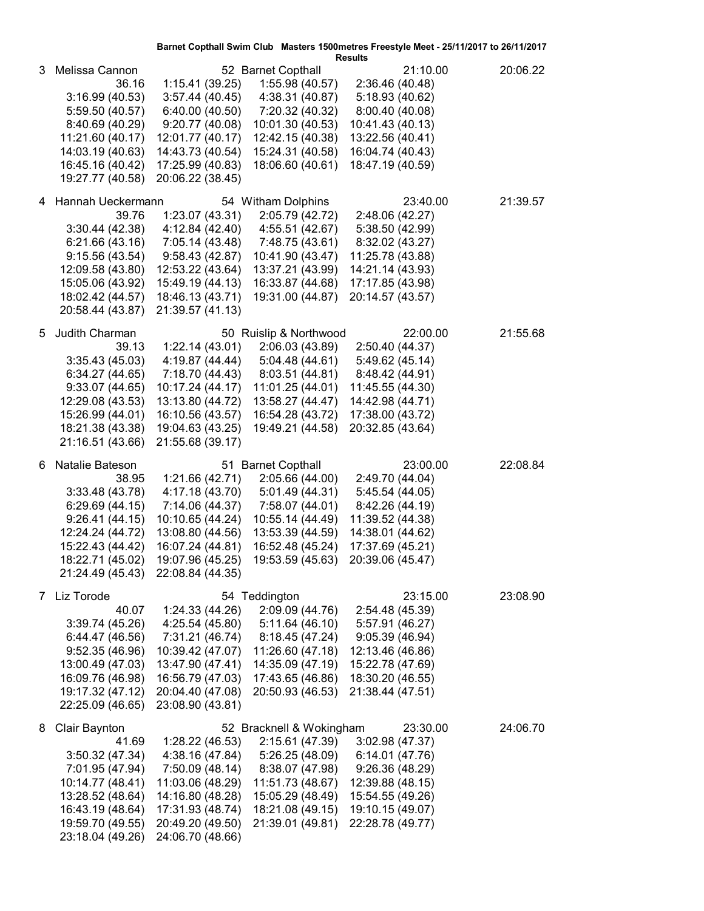|   |                                                                                                                                                                    |                                                                                                                                                           |                                                                                                                                                                   | Barnet Copthall Swim Club Masters 1500metres Freestyle Meet - 25/11/2017 to 26/11/2017<br><b>Results</b>                                                           |          |
|---|--------------------------------------------------------------------------------------------------------------------------------------------------------------------|-----------------------------------------------------------------------------------------------------------------------------------------------------------|-------------------------------------------------------------------------------------------------------------------------------------------------------------------|--------------------------------------------------------------------------------------------------------------------------------------------------------------------|----------|
| 3 | Melissa Cannon<br>36.16<br>3:16.99(40.53)<br>5:59.50 (40.57)<br>8:40.69 (40.29)<br>11:21.60 (40.17)<br>14:03.19 (40.63)<br>16:45.16 (40.42)<br>19:27.77 (40.58)    | 1:15.41(39.25)<br>3:57.44(40.45)<br>6:40.00 (40.50)<br>9:20.77(40.08)<br>12:01.77 (40.17)<br>14:43.73 (40.54)<br>17:25.99 (40.83)<br>20:06.22 (38.45)     | 52 Barnet Copthall<br>1:55.98(40.57)<br>4:38.31 (40.87)<br>7:20.32 (40.32)<br>10:01.30 (40.53)<br>12:42.15 (40.38)<br>15:24.31 (40.58)<br>18:06.60 (40.61)        | 21:10.00<br>2:36.46 (40.48)<br>5:18.93 (40.62)<br>8:00.40 (40.08)<br>10:41.43 (40.13)<br>13:22.56 (40.41)<br>16:04.74 (40.43)<br>18:47.19 (40.59)                  | 20:06.22 |
|   | 4 Hannah Ueckermann<br>39.76<br>3:30.44(42.38)<br>6:21.66(43.16)<br>9:15.56(43.54)<br>12:09.58 (43.80)<br>15:05.06 (43.92)<br>18:02.42 (44.57)<br>20:58.44 (43.87) | 1:23.07(43.31)<br>4:12.84 (42.40)<br>7:05.14 (43.48)<br>9:58.43(42.87)<br>12:53.22 (43.64)<br>15:49.19 (44.13)<br>18:46.13 (43.71)<br>21:39.57 (41.13)    | 54 Witham Dolphins<br>2:05.79 (42.72)<br>4:55.51 (42.67)<br>7:48.75 (43.61)<br>10:41.90 (43.47)<br>13:37.21 (43.99)<br>16:33.87 (44.68)<br>19:31.00 (44.87)       | 23:40.00<br>2:48.06 (42.27)<br>5:38.50 (42.99)<br>8:32.02 (43.27)<br>11:25.78 (43.88)<br>14:21.14 (43.93)<br>17:17.85 (43.98)<br>20:14.57 (43.57)                  | 21:39.57 |
| 5 | Judith Charman<br>39.13<br>3:35.43(45.03)<br>6:34.27(44.65)<br>9:33.07(44.65)<br>12:29.08 (43.53)<br>15:26.99 (44.01)<br>18:21.38 (43.38)<br>21:16.51 (43.66)      | 1:22.14(43.01)<br>4:19.87 (44.44)<br>7:18.70 (44.43)<br>10:17.24 (44.17)<br>13:13.80 (44.72)<br>16:10.56 (43.57)<br>19:04.63 (43.25)<br>21:55.68 (39.17)  | 50 Ruislip & Northwood<br>2:06.03 (43.89)<br>5:04.48(44.61)<br>8:03.51(44.81)<br>11:01.25 (44.01)<br>13:58.27 (44.47)<br>16:54.28 (43.72)<br>19:49.21 (44.58)     | 22:00.00<br>2:50.40 (44.37)<br>5:49.62 (45.14)<br>8:48.42 (44.91)<br>11:45.55 (44.30)<br>14:42.98 (44.71)<br>17:38.00 (43.72)<br>20:32.85 (43.64)                  | 21:55.68 |
| 6 | Natalie Bateson<br>38.95<br>3:33.48(43.78)<br>6:29.69(44.15)<br>9:26.41(44.15)<br>12:24.24 (44.72)<br>15:22.43 (44.42)<br>18:22.71 (45.02)<br>21:24.49 (45.43)     | 1:21.66(42.71)<br>4:17.18 (43.70)<br>7:14.06 (44.37)<br>10:10.65 (44.24)<br>13:08.80 (44.56)<br>16:07.24 (44.81)<br>19:07.96 (45.25)<br>22:08.84 (44.35)  | 51 Barnet Copthall<br>2:05.66 (44.00)<br>5:01.49(44.31)<br>7:58.07 (44.01)<br>10:55.14 (44.49)<br>13:53.39 (44.59)<br>16:52.48 (45.24)                            | 23:00.00<br>2:49.70 (44.04)<br>5:45.54 (44.05)<br>8:42.26 (44.19)<br>11:39.52 (44.38)<br>14:38.01 (44.62)<br>17:37.69 (45.21)<br>19:53.59 (45.63) 20:39.06 (45.47) | 22:08.84 |
| 7 | Liz Torode<br>40.07<br>3:39.74(45.26)<br>6:44.47 (46.56)<br>9:52.35(46.96)<br>13:00.49 (47.03)<br>16:09.76 (46.98)<br>19:17.32 (47.12)<br>22:25.09 (46.65)         | 1:24.33(44.26)<br>4:25.54 (45.80)<br>7:31.21 (46.74)<br>10:39.42 (47.07)<br>13:47.90 (47.41)<br>16:56.79 (47.03)<br>20:04.40 (47.08)<br>23:08.90 (43.81)  | 54 Teddington<br>2:09.09 (44.76)<br>5:11.64(46.10)<br>8:18.45 (47.24)<br>11:26.60 (47.18)<br>14:35.09 (47.19)<br>17:43.65 (46.86)<br>20:50.93 (46.53)             | 23:15.00<br>2:54.48 (45.39)<br>5:57.91 (46.27)<br>9:05.39(46.94)<br>12:13.46 (46.86)<br>15:22.78 (47.69)<br>18:30.20 (46.55)<br>21:38.44 (47.51)                   | 23:08.90 |
| 8 | Clair Baynton<br>41.69<br>3:50.32(47.34)<br>7:01.95 (47.94)<br>10:14.77 (48.41)<br>13:28.52 (48.64)<br>16:43.19 (48.64)<br>19:59.70 (49.55)<br>23:18.04 (49.26)    | 1:28.22 (46.53)<br>4:38.16 (47.84)<br>7:50.09 (48.14)<br>11:03.06 (48.29)<br>14:16.80 (48.28)<br>17:31.93 (48.74)<br>20:49.20 (49.50)<br>24:06.70 (48.66) | 52 Bracknell & Wokingham<br>2:15.61 (47.39)<br>5:26.25 (48.09)<br>8:38.07 (47.98)<br>11:51.73 (48.67)<br>15:05.29 (48.49)<br>18:21.08 (49.15)<br>21:39.01 (49.81) | 23:30.00<br>3:02.98(47.37)<br>6:14.01 (47.76)<br>9:26.36(48.29)<br>12:39.88 (48.15)<br>15:54.55 (49.26)<br>19:10.15 (49.07)<br>22:28.78 (49.77)                    | 24:06.70 |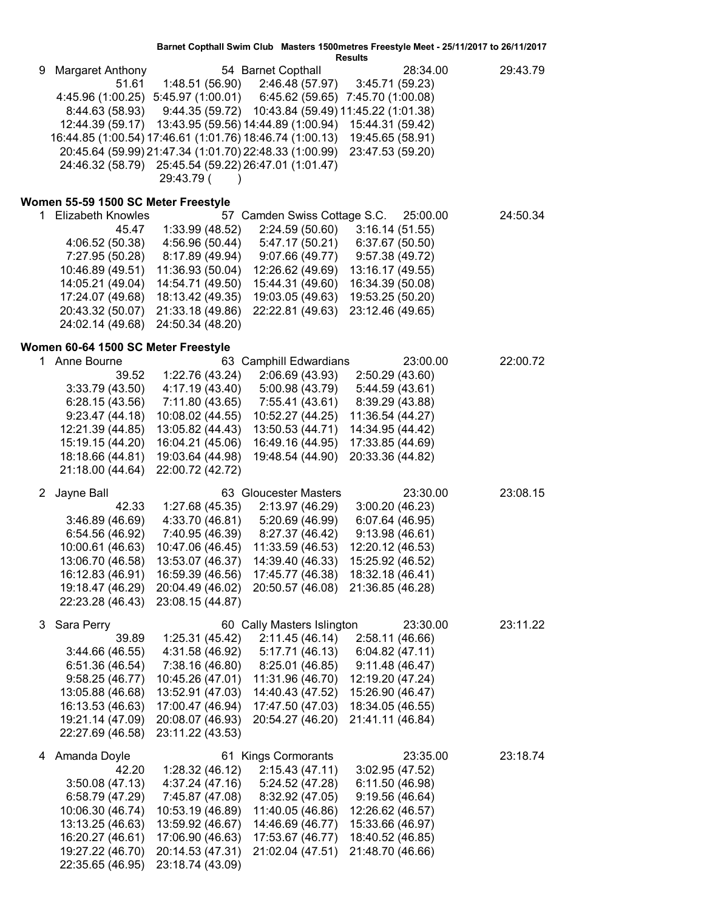|  |  | Rosulte |  |  |  |
|--|--|---------|--|--|--|

|    |                                     |                                                          |                                       | <b>Results</b>                                      |          |
|----|-------------------------------------|----------------------------------------------------------|---------------------------------------|-----------------------------------------------------|----------|
| 9  | Margaret Anthony<br>51.61           | 1:48.51 (56.90)                                          | 54 Barnet Copthall<br>2:46.48 (57.97) | 28:34.00<br>3:45.71(59.23)                          | 29:43.79 |
|    |                                     | 4:45.96 (1:00.25) 5:45.97 (1:00.01)                      | 6:45.62 (59.65)                       | 7:45.70 (1:00.08)                                   |          |
|    | 8:44.63 (58.93)                     |                                                          |                                       | 9:44.35 (59.72) 10:43.84 (59.49) 11:45.22 (1:01.38) |          |
|    |                                     | 12:44.39 (59.17) 13:43.95 (59.56) 14:44.89 (1:00.94)     |                                       | 15:44.31 (59.42)                                    |          |
|    |                                     | 16:44.85 (1:00.54) 17:46.61 (1:01.76) 18:46.74 (1:00.13) |                                       | 19:45.65 (58.91)                                    |          |
|    |                                     | 20:45.64 (59.99) 21:47.34 (1:01.70) 22:48.33 (1:00.99)   |                                       | 23:47.53 (59.20)                                    |          |
|    |                                     | 24:46.32 (58.79) 25:45.54 (59.22) 26:47.01 (1:01.47)     |                                       |                                                     |          |
|    |                                     | 29:43.79 (                                               |                                       |                                                     |          |
|    |                                     |                                                          |                                       |                                                     |          |
|    | Women 55-59 1500 SC Meter Freestyle |                                                          |                                       |                                                     |          |
| 1. | <b>Elizabeth Knowles</b>            |                                                          | 57 Camden Swiss Cottage S.C.          | 25:00.00                                            | 24:50.34 |
|    | 45.47                               | 1:33.99 (48.52)                                          | 2:24.59 (50.60)                       | 3:16.14(51.55)                                      |          |
|    | 4:06.52 (50.38)                     | 4:56.96 (50.44)                                          | 5:47.17 (50.21)                       | 6:37.67 (50.50)                                     |          |
|    | 7:27.95 (50.28)                     | 8:17.89 (49.94)                                          | 9:07.66 (49.77)                       | 9:57.38(49.72)                                      |          |
|    | 10:46.89 (49.51)                    | 11:36.93 (50.04)                                         | 12:26.62 (49.69)                      | 13:16.17 (49.55)                                    |          |
|    | 14:05.21 (49.04)                    | 14:54.71 (49.50)                                         | 15:44.31 (49.60)                      | 16:34.39 (50.08)                                    |          |
|    | 17:24.07 (49.68)                    | 18:13.42 (49.35)                                         | 19:03.05 (49.63)                      | 19:53.25 (50.20)                                    |          |
|    | 20:43.32 (50.07)                    | 21:33.18 (49.86)                                         | 22:22.81 (49.63)                      | 23:12.46 (49.65)                                    |          |
|    | 24:02.14 (49.68)                    | 24:50.34 (48.20)                                         |                                       |                                                     |          |
|    | Women 60-64 1500 SC Meter Freestyle |                                                          |                                       |                                                     |          |
| 1. | Anne Bourne                         |                                                          | 63 Camphill Edwardians                | 23:00.00                                            | 22:00.72 |
|    | 39.52                               | 1:22.76 (43.24)                                          | 2:06.69 (43.93)                       | 2:50.29 (43.60)                                     |          |
|    | 3:33.79(43.50)                      | 4:17.19 (43.40)                                          | 5:00.98 (43.79)                       | 5:44.59 (43.61)                                     |          |
|    | 6:28.15(43.56)                      | 7:11.80 (43.65)                                          | 7:55.41 (43.61)                       | 8:39.29 (43.88)                                     |          |
|    | 9:23.47(44.18)                      | 10:08.02 (44.55)                                         | 10:52.27 (44.25)                      | 11:36.54 (44.27)                                    |          |
|    | 12:21.39 (44.85)                    | 13:05.82 (44.43)                                         | 13:50.53 (44.71)                      | 14:34.95 (44.42)                                    |          |
|    | 15:19.15 (44.20)                    | 16:04.21 (45.06)                                         | 16:49.16 (44.95)                      | 17:33.85 (44.69)                                    |          |
|    | 18:18.66 (44.81)                    | 19:03.64 (44.98)                                         | 19:48.54 (44.90)                      | 20:33.36 (44.82)                                    |          |
|    | 21:18.00 (44.64)                    | 22:00.72 (42.72)                                         |                                       |                                                     |          |
|    |                                     |                                                          | 63 Gloucester Masters                 | 23:30.00                                            | 23:08.15 |
|    | 2 Jayne Ball<br>42.33               |                                                          | 2:13.97 (46.29)                       | 3:00.20(46.23)                                      |          |
|    | 3:46.89 (46.69)                     | 1:27.68(45.35)<br>4:33.70 (46.81)                        | 5:20.69 (46.99)                       | 6:07.64 (46.95)                                     |          |
|    | 6:54.56 (46.92)                     | 7:40.95 (46.39)                                          | 8:27.37 (46.42)                       | 9:13.98(46.61)                                      |          |
|    | 10:00.61 (46.63)                    | 10:47.06 (46.45)                                         | 11:33.59 (46.53)                      | 12:20.12 (46.53)                                    |          |
|    | 13:06.70 (46.58)                    | 13:53.07 (46.37)                                         | 14:39.40 (46.33)                      | 15:25.92 (46.52)                                    |          |
|    | 16:12.83 (46.91)                    | 16:59.39 (46.56)                                         | 17:45.77 (46.38)                      | 18:32.18 (46.41)                                    |          |
|    | 19:18.47 (46.29)                    | 20:04.49 (46.02)                                         | 20:50.57 (46.08)                      | 21:36.85 (46.28)                                    |          |
|    | 22:23.28 (46.43)                    | 23:08.15 (44.87)                                         |                                       |                                                     |          |
|    |                                     |                                                          |                                       |                                                     |          |
| 3  | Sara Perry                          |                                                          | 60 Cally Masters Islington            | 23:30.00                                            | 23:11.22 |
|    | 39.89                               | 1:25.31 (45.42)                                          | 2:11.45(46.14)                        | 2:58.11 (46.66)                                     |          |
|    | 3:44.66(46.55)                      | 4:31.58 (46.92)                                          | 5:17.71 (46.13)                       | 6:04.82(47.11)                                      |          |
|    | 6:51.36 (46.54)                     | 7:38.16 (46.80)                                          | 8:25.01 (46.85)                       | 9:11.48(46.47)                                      |          |
|    | 9:58.25(46.77)                      | 10:45.26 (47.01)                                         | 11:31.96 (46.70)                      | 12:19.20 (47.24)                                    |          |
|    | 13:05.88 (46.68)                    | 13:52.91 (47.03)                                         | 14:40.43 (47.52)                      | 15:26.90 (46.47)                                    |          |
|    | 16:13.53 (46.63)                    | 17:00.47 (46.94)                                         | 17:47.50 (47.03)                      | 18:34.05 (46.55)                                    |          |
|    | 19:21.14 (47.09)                    | 20:08.07 (46.93)                                         | 20:54.27 (46.20)                      | 21:41.11 (46.84)                                    |          |
|    | 22:27.69 (46.58)                    | 23:11.22 (43.53)                                         |                                       |                                                     |          |
| 4  | Amanda Doyle                        |                                                          | 61 Kings Cormorants                   | 23:35.00                                            | 23:18.74 |
|    | 42.20                               | 1:28.32(46.12)                                           | 2:15.43(47.11)                        | 3:02.95(47.52)                                      |          |
|    | 3:50.08(47.13)                      | 4:37.24 (47.16)                                          | 5:24.52 (47.28)                       | 6:11.50 (46.98)                                     |          |
|    | 6:58.79 (47.29)                     | 7:45.87 (47.08)                                          | 8:32.92 (47.05)                       | 9:19.56(46.64)                                      |          |
|    | 10:06.30 (46.74)                    | 10:53.19 (46.89)                                         | 11:40.05 (46.86)                      | 12:26.62 (46.57)                                    |          |
|    | 13:13.25 (46.63)                    | 13:59.92 (46.67)                                         | 14:46.69 (46.77)                      | 15:33.66 (46.97)                                    |          |
|    | 16:20.27 (46.61)                    | 17:06.90 (46.63)                                         | 17:53.67 (46.77)                      | 18:40.52 (46.85)                                    |          |
|    | 19:27.22 (46.70)                    | 20:14.53 (47.31)                                         | 21:02.04 (47.51)                      | 21:48.70 (46.66)                                    |          |
|    | 22:35.65 (46.95)                    | 23:18.74 (43.09)                                         |                                       |                                                     |          |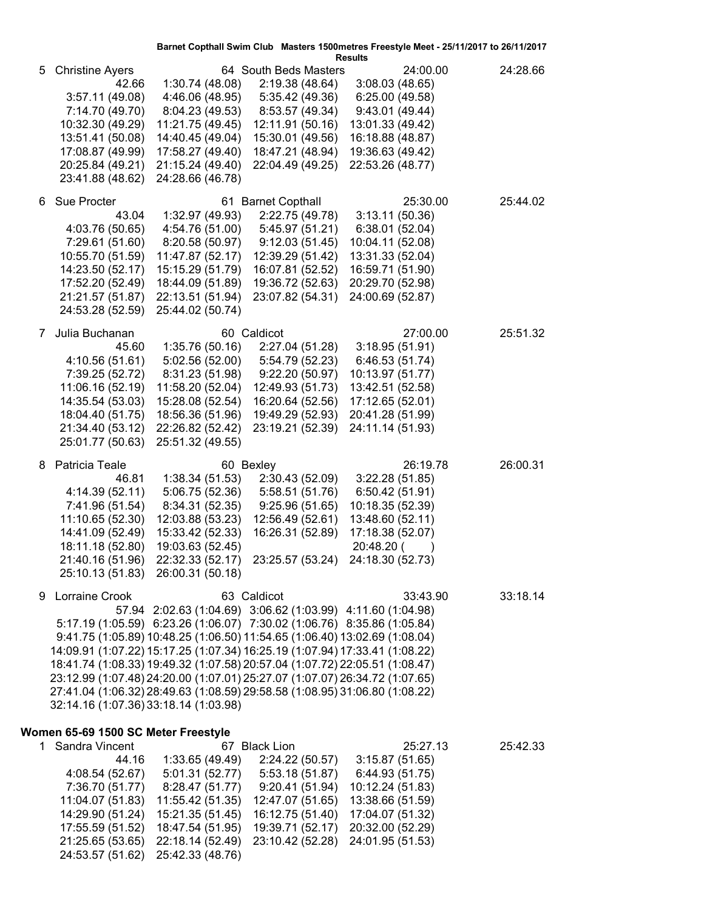|    |                                       |                                                                             |                                    | Barnet Copthall Swim Club Masters 1500metres Freestyle Meet - 25/11/2017 to 26/11/2017<br><b>Results</b> |          |
|----|---------------------------------------|-----------------------------------------------------------------------------|------------------------------------|----------------------------------------------------------------------------------------------------------|----------|
| 5  | <b>Christine Ayers</b>                |                                                                             | 64 South Beds Masters              | 24:00.00                                                                                                 | 24:28.66 |
|    | 42.66                                 | 1:30.74(48.08)                                                              | 2:19.38 (48.64)                    | 3:08.03(48.65)                                                                                           |          |
|    | 3:57.11(49.08)                        | 4:46.06 (48.95)                                                             | 5:35.42 (49.36)                    | 6:25.00 (49.58)                                                                                          |          |
|    | 7:14.70 (49.70)                       | 8:04.23 (49.53)                                                             | 8:53.57 (49.34)                    | 9:43.01(49.44)                                                                                           |          |
|    | 10:32.30 (49.29)                      | 11:21.75 (49.45)                                                            | 12:11.91 (50.16)                   | 13:01.33 (49.42)                                                                                         |          |
|    | 13:51.41 (50.08)                      | 14:40.45 (49.04)                                                            | 15:30.01 (49.56)                   | 16:18.88 (48.87)                                                                                         |          |
|    | 17:08.87 (49.99)                      | 17:58.27 (49.40)                                                            | 18:47.21 (48.94)                   | 19:36.63 (49.42)                                                                                         |          |
|    | 20:25.84 (49.21)                      | 21:15.24 (49.40)                                                            | 22:04.49 (49.25)                   | 22:53.26 (48.77)                                                                                         |          |
|    | 23:41.88 (48.62)                      | 24:28.66 (46.78)                                                            |                                    |                                                                                                          |          |
| 6. | Sue Procter                           |                                                                             | 61 Barnet Copthall                 | 25:30.00                                                                                                 | 25:44.02 |
|    | 43.04                                 | 1:32.97 (49.93)                                                             | 2:22.75 (49.78)                    | 3:13.11(50.36)                                                                                           |          |
|    | 4:03.76 (50.65)                       | 4:54.76 (51.00)                                                             | 5:45.97 (51.21)                    | 6:38.01 (52.04)                                                                                          |          |
|    | 7:29.61 (51.60)                       | 8:20.58 (50.97)                                                             | 9:12.03(51.45)                     | 10:04.11 (52.08)                                                                                         |          |
|    | 10:55.70 (51.59)                      | 11:47.87 (52.17)                                                            | 12:39.29 (51.42)                   | 13:31.33 (52.04)                                                                                         |          |
|    | 14:23.50 (52.17)                      | 15:15.29 (51.79)                                                            | 16:07.81 (52.52)                   | 16:59.71 (51.90)                                                                                         |          |
|    | 17:52.20 (52.49)                      | 18:44.09 (51.89)                                                            | 19:36.72 (52.63)                   | 20:29.70 (52.98)                                                                                         |          |
|    | 21:21.57 (51.87)                      | 22:13.51 (51.94)                                                            | 23:07.82 (54.31)                   | 24:00.69 (52.87)                                                                                         |          |
|    | 24:53.28 (52.59)                      | 25:44.02 (50.74)                                                            |                                    |                                                                                                          |          |
|    |                                       |                                                                             |                                    |                                                                                                          |          |
| 7  | Julia Buchanan                        |                                                                             | 60 Caldicot                        | 27:00.00                                                                                                 | 25:51.32 |
|    | 45.60                                 | 1:35.76(50.16)<br>5:02.56 (52.00)                                           | 2:27.04 (51.28)                    | 3:18.95(51.91)                                                                                           |          |
|    | 4:10.56 (51.61)                       | 8:31.23 (51.98)                                                             | 5:54.79 (52.23)<br>9:22.20(50.97)  | 6:46.53 (51.74)<br>10:13.97 (51.77)                                                                      |          |
|    | 7:39.25 (52.72)<br>11:06.16 (52.19)   | 11:58.20 (52.04)                                                            | 12:49.93 (51.73)                   | 13:42.51 (52.58)                                                                                         |          |
|    | 14:35.54 (53.03)                      | 15:28.08 (52.54)                                                            | 16:20.64 (52.56)                   | 17:12.65 (52.01)                                                                                         |          |
|    | 18:04.40 (51.75)                      | 18:56.36 (51.96)                                                            | 19:49.29 (52.93)                   | 20:41.28 (51.99)                                                                                         |          |
|    | 21:34.40 (53.12)                      | 22:26.82 (52.42)                                                            | 23:19.21 (52.39)                   | 24:11.14 (51.93)                                                                                         |          |
|    | 25:01.77 (50.63)                      | 25:51.32 (49.55)                                                            |                                    |                                                                                                          |          |
|    |                                       |                                                                             |                                    |                                                                                                          |          |
| 8  | Patricia Teale                        |                                                                             | 60 Bexley                          | 26:19.78                                                                                                 | 26:00.31 |
|    | 46.81<br>4:14.39 (52.11)              | 1:38.34(51.53)<br>5:06.75 (52.36)                                           | 2:30.43 (52.09)<br>5:58.51 (51.76) | 3:22.28(51.85)<br>6:50.42(51.91)                                                                         |          |
|    | 7:41.96 (51.54)                       | 8:34.31 (52.35)                                                             | 9:25.96(51.65)                     | 10:18.35 (52.39)                                                                                         |          |
|    | 11:10.65 (52.30)                      | 12:03.88 (53.23)                                                            | 12:56.49 (52.61)                   | 13:48.60 (52.11)                                                                                         |          |
|    | 14:41.09 (52.49)                      | 15:33.42 (52.33)                                                            | 16:26.31 (52.89)                   | 17:18.38 (52.07)                                                                                         |          |
|    | 18:11.18 (52.80)                      | 19:03.63 (52.45)                                                            |                                    | 20:48.20 (                                                                                               |          |
|    | 21:40.16 (51.96)                      |                                                                             |                                    | 22:32.33 (52.17) 23:25.57 (53.24) 24:18.30 (52.73)                                                       |          |
|    | 25:10.13 (51.83)                      | 26:00.31 (50.18)                                                            |                                    |                                                                                                          |          |
|    |                                       |                                                                             |                                    | 33:43.90                                                                                                 |          |
| 9  | Lorraine Crook                        | 57.94 2:02.63 (1:04.69) 3:06.62 (1:03.99) 4:11.60 (1:04.98)                 | 63 Caldicot                        |                                                                                                          | 33:18.14 |
|    |                                       | 5:17.19 (1:05.59) 6:23.26 (1:06.07) 7:30.02 (1:06.76) 8:35.86 (1:05.84)     |                                    |                                                                                                          |          |
|    |                                       | 9:41.75 (1:05.89) 10:48.25 (1:06.50) 11:54.65 (1:06.40) 13:02.69 (1:08.04)  |                                    |                                                                                                          |          |
|    |                                       | 14:09.91 (1:07.22) 15:17.25 (1:07.34) 16:25.19 (1:07.94) 17:33.41 (1:08.22) |                                    |                                                                                                          |          |
|    |                                       | 18:41.74 (1:08.33) 19:49.32 (1:07.58) 20:57.04 (1:07.72) 22:05.51 (1:08.47) |                                    |                                                                                                          |          |
|    |                                       | 23:12.99 (1:07.48) 24:20.00 (1:07.01) 25:27.07 (1:07.07) 26:34.72 (1:07.65) |                                    |                                                                                                          |          |
|    |                                       | 27:41.04 (1:06.32) 28:49.63 (1:08.59) 29:58.58 (1:08.95) 31:06.80 (1:08.22) |                                    |                                                                                                          |          |
|    | 32:14.16 (1:07.36) 33:18.14 (1:03.98) |                                                                             |                                    |                                                                                                          |          |
|    |                                       |                                                                             |                                    |                                                                                                          |          |
|    | Women 65-69 1500 SC Meter Freestyle   |                                                                             |                                    |                                                                                                          |          |
|    | 1 Sandra Vincent                      |                                                                             | 67 Black Lion                      | 25:27.13                                                                                                 | 25:42.33 |
|    | 44.16                                 | 1:33.65 (49.49)                                                             | 2:24.22 (50.57)                    | 3:15.87(51.65)                                                                                           |          |
|    | 4:08.54 (52.67)<br>7:36.70 (51.77)    | 5:01.31 (52.77)<br>8:28.47 (51.77)                                          | 5:53.18 (51.87)<br>9:20.41(51.94)  | 6:44.93 (51.75)<br>10:12.24 (51.83)                                                                      |          |
|    | 11:04.07 (51.83)                      | 11:55.42 (51.35)                                                            | 12:47.07 (51.65)                   | 13:38.66 (51.59)                                                                                         |          |
|    | 14:29.90 (51.24)                      | 15:21.35 (51.45)                                                            | 16:12.75 (51.40)                   | 17:04.07 (51.32)                                                                                         |          |
|    | 17:55.59 (51.52)                      | 18:47.54 (51.95)                                                            | 19:39.71 (52.17)                   | 20:32.00 (52.29)                                                                                         |          |
|    | 21:25.65 (53.65)                      | 22:18.14 (52.49)                                                            | 23:10.42 (52.28)                   | 24:01.95 (51.53)                                                                                         |          |
|    | 24:53.57 (51.62)                      | 25:42.33 (48.76)                                                            |                                    |                                                                                                          |          |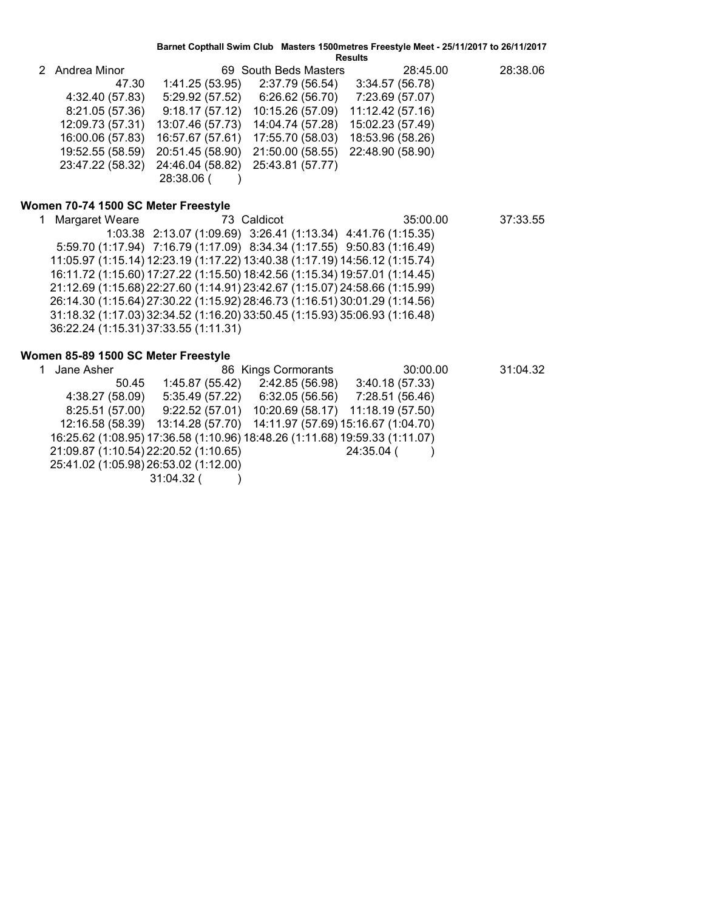| Result. |  |
|---------|--|
|---------|--|

| 2 Andrea Minor   |                  | 69 South Beds Masters                              | 28:45.00         | 28:38.06 |
|------------------|------------------|----------------------------------------------------|------------------|----------|
| 47.30            | 1:41.25(53.95)   | 2:37.79 (56.54)                                    | 3:34.57 (56.78)  |          |
| 4:32.40 (57.83)  | 5:29.92 (57.52)  | 6:26.62 (56.70)                                    | 7:23.69 (57.07)  |          |
| 8:21.05 (57.36)  |                  | $9:18.17(57.12)$ 10:15.26 (57.09)                  | 11:12.42 (57.16) |          |
| 12:09.73 (57.31) | 13:07.46 (57.73) | 14:04.74 (57.28)                                   | 15:02.23 (57.49) |          |
| 16:00.06 (57.83) |                  | 16:57.67 (57.61) 17:55.70 (58.03)                  | 18:53.96 (58.26) |          |
| 19:52.55 (58.59) |                  | 20:51.45 (58.90) 21:50.00 (58.55) 22:48.90 (58.90) |                  |          |
| 23:47.22 (58.32) |                  | 24:46.04 (58.82) 25:43.81 (57.77)                  |                  |          |
|                  | 28:38.06 (       |                                                    |                  |          |

#### **Women 70-74 1500 SC Meter Freestyle**

1 Margaret Weare 73 Caldicot 35:00.00 37:33.55 1:03.38 2:13.07 (1:09.69) 3:26.41 (1:13.34) 4:41.76 (1:15.35) 5:59.70 (1:17.94) 7:16.79 (1:17.09) 8:34.34 (1:17.55) 9:50.83 (1:16.49) 11:05.97 (1:15.14) 12:23.19 (1:17.22) 13:40.38 (1:17.19) 14:56.12 (1:15.74) 16:11.72 (1:15.60) 17:27.22 (1:15.50) 18:42.56 (1:15.34) 19:57.01 (1:14.45) 21:12.69 (1:15.68) 22:27.60 (1:14.91) 23:42.67 (1:15.07) 24:58.66 (1:15.99) 26:14.30 (1:15.64) 27:30.22 (1:15.92) 28:46.73 (1:16.51) 30:01.29 (1:14.56) 31:18.32 (1:17.03) 32:34.52 (1:16.20) 33:50.45 (1:15.93) 35:06.93 (1:16.48) 36:22.24 (1:15.31) 37:33.55 (1:11.31)

#### **Women 85-89 1500 SC Meter Freestyle**

| Jane Asher                            |                 | 86 Kings Cormorants                                                         | 30:00.00        | 31:04.32 |
|---------------------------------------|-----------------|-----------------------------------------------------------------------------|-----------------|----------|
| 50.45                                 | 1:45.87 (55.42) | 2:42.85 (56.98)                                                             | 3:40.18(57.33)  |          |
| 4:38.27 (58.09)                       | 5:35.49 (57.22) | 6:32.05 (56.56)                                                             | 7:28.51 (56.46) |          |
| 8:25.51(57.00)                        |                 | $9:22.52(57.01)$ 10:20.69 (58.17) 11:18.19 (57.50)                          |                 |          |
|                                       |                 | 12:16.58 (58.39) 13:14.28 (57.70) 14:11.97 (57.69) 15:16.67 (1:04.70)       |                 |          |
|                                       |                 | 16:25.62 (1:08.95) 17:36.58 (1:10.96) 18:48.26 (1:11.68) 19:59.33 (1:11.07) |                 |          |
| 21:09.87 (1:10.54) 22:20.52 (1:10.65) |                 |                                                                             | 24:35.04 (      |          |
| 25:41.02 (1:05.98) 26:53.02 (1:12.00) |                 |                                                                             |                 |          |
|                                       | $31:04.32$ (    |                                                                             |                 |          |
|                                       |                 |                                                                             |                 |          |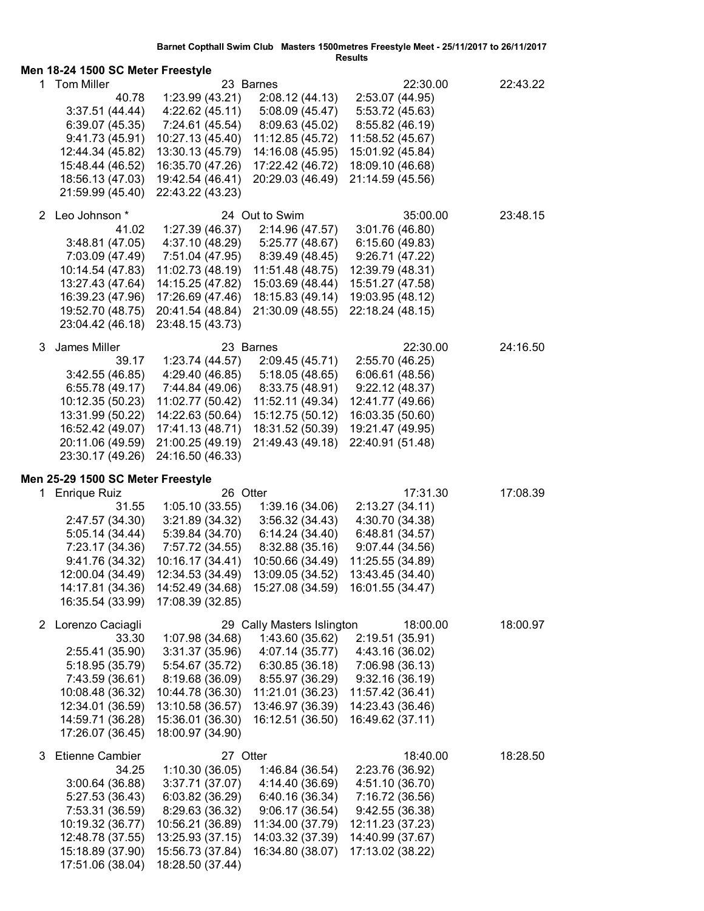| Results<br>Men 18-24 1500 SC Meter Freestyle |                                      |                                      |                                      |                                      |          |
|----------------------------------------------|--------------------------------------|--------------------------------------|--------------------------------------|--------------------------------------|----------|
|                                              | 1 Tom Miller                         |                                      | 23 Barnes                            | 22:30.00                             | 22:43.22 |
|                                              | 40.78                                | 1:23.99(43.21)                       | 2:08.12 (44.13)                      | 2:53.07 (44.95)                      |          |
|                                              | 3:37.51(44.44)                       | 4:22.62 (45.11)                      | 5:08.09 (45.47)                      | 5:53.72 (45.63)                      |          |
|                                              | 6:39.07 (45.35)                      | 7:24.61 (45.54)                      | 8:09.63 (45.02)                      | 8:55.82 (46.19)                      |          |
|                                              | 9:41.73(45.91)                       | 10:27.13 (45.40)                     | 11:12.85 (45.72)                     | 11:58.52 (45.67)                     |          |
|                                              | 12:44.34 (45.82)                     | 13:30.13 (45.79)                     | 14:16.08 (45.95)                     | 15:01.92 (45.84)                     |          |
|                                              | 15:48.44 (46.52)                     | 16:35.70 (47.26)                     | 17:22.42 (46.72)                     | 18:09.10 (46.68)                     |          |
|                                              | 18:56.13 (47.03)                     | 19:42.54 (46.41)                     | 20:29.03 (46.49)                     | 21:14.59 (45.56)                     |          |
|                                              | 21:59.99 (45.40)                     | 22:43.22 (43.23)                     |                                      |                                      |          |
|                                              |                                      |                                      |                                      |                                      |          |
|                                              | 2 Leo Johnson *                      |                                      | 24 Out to Swim                       | 35:00.00                             | 23:48.15 |
|                                              | 41.02                                | 1:27.39 (46.37)                      | 2:14.96 (47.57)                      | 3:01.76 (46.80)                      |          |
|                                              | 3:48.81 (47.05)                      | 4:37.10 (48.29)                      | 5:25.77 (48.67)                      | 6:15.60 (49.83)                      |          |
|                                              | 7:03.09 (47.49)                      | 7:51.04 (47.95)                      | 8:39.49 (48.45)                      | 9:26.71(47.22)                       |          |
|                                              | 10:14.54 (47.83)                     | 11:02.73 (48.19)                     | 11:51.48 (48.75)                     | 12:39.79 (48.31)                     |          |
|                                              | 13:27.43 (47.64)                     | 14:15.25 (47.82)                     | 15:03.69 (48.44)                     | 15:51.27 (47.58)                     |          |
|                                              | 16:39.23 (47.96)                     | 17:26.69 (47.46)                     | 18:15.83 (49.14)                     | 19:03.95 (48.12)                     |          |
|                                              | 19:52.70 (48.75)                     | 20:41.54 (48.84)                     | 21:30.09 (48.55)                     | 22:18.24 (48.15)                     |          |
|                                              | 23:04.42 (46.18)                     | 23:48.15 (43.73)                     |                                      |                                      |          |
| 3                                            | James Miller                         |                                      | 23 Barnes                            | 22:30.00                             | 24:16.50 |
|                                              | 39.17                                | 1:23.74 (44.57)                      | 2:09.45 (45.71)                      | 2:55.70 (46.25)                      |          |
|                                              | 3:42.55 (46.85)                      | 4:29.40 (46.85)                      | 5:18.05 (48.65)                      | 6:06.61(48.56)                       |          |
|                                              | 6:55.78(49.17)                       | 7:44.84 (49.06)                      | 8:33.75 (48.91)                      | 9:22.12(48.37)                       |          |
|                                              | 10:12.35 (50.23)                     | 11:02.77 (50.42)                     | 11:52.11 (49.34)                     | 12:41.77 (49.66)                     |          |
|                                              | 13:31.99 (50.22)                     | 14:22.63 (50.64)                     | 15:12.75 (50.12)                     | 16:03.35 (50.60)                     |          |
|                                              | 16:52.42 (49.07)                     | 17:41.13 (48.71)                     | 18:31.52 (50.39)                     | 19:21.47 (49.95)                     |          |
|                                              | 20:11.06 (49.59)                     | 21:00.25 (49.19)                     | 21:49.43 (49.18)                     | 22:40.91 (51.48)                     |          |
|                                              | 23:30.17 (49.26)                     | 24:16.50 (46.33)                     |                                      |                                      |          |
|                                              | Men 25-29 1500 SC Meter Freestyle    |                                      |                                      |                                      |          |
| 1                                            | <b>Enrique Ruiz</b>                  | 26 Otter                             |                                      | 17:31.30                             | 17:08.39 |
|                                              | 31.55                                | 1:05.10(33.55)                       | 1:39.16 (34.06)                      | 2:13.27 (34.11)                      |          |
|                                              | 2:47.57 (34.30)                      | 3:21.89 (34.32)                      | 3:56.32(34.43)                       | 4:30.70 (34.38)                      |          |
|                                              | 5:05.14(34.44)                       | 5:39.84 (34.70)                      | 6:14.24 (34.40)                      | 6:48.81 (34.57)                      |          |
|                                              | 7:23.17 (34.36)                      | 7:57.72 (34.55)                      | 8:32.88 (35.16)                      | 9:07.44 (34.56)                      |          |
|                                              | 9:41.76 (34.32)                      | 10:16.17 (34.41)                     | 10:50.66 (34.49)                     | 11:25.55 (34.89)                     |          |
|                                              | 12:00.04 (34.49)                     | 12:34.53 (34.49)                     | 13:09.05 (34.52)                     | 13:43.45 (34.40)                     |          |
|                                              | 14:17.81 (34.36)                     | 14:52.49 (34.68)                     | 15:27.08 (34.59)                     | 16:01.55 (34.47)                     |          |
|                                              | 16:35.54 (33.99)                     | 17:08.39 (32.85)                     |                                      |                                      |          |
|                                              |                                      |                                      |                                      |                                      |          |
|                                              | 2 Lorenzo Caciagli                   |                                      | 29 Cally Masters Islington           | 18:00.00                             | 18:00.97 |
|                                              | 33.30                                | 1:07.98 (34.68)                      | 1:43.60 (35.62)                      | 2:19.51 (35.91)                      |          |
|                                              | 2:55.41 (35.90)                      | 3:31.37(35.96)                       | 4:07.14 (35.77)                      | 4:43.16 (36.02)                      |          |
|                                              | 5:18.95 (35.79)                      | 5:54.67 (35.72)                      | 6:30.85(36.18)                       | 7:06.98 (36.13)                      |          |
|                                              | 7:43.59 (36.61)                      | 8:19.68 (36.09)                      | 8:55.97 (36.29)                      | 9:32.16(36.19)                       |          |
|                                              | 10:08.48 (36.32)                     | 10:44.78 (36.30)                     | 11:21.01 (36.23)                     | 11:57.42 (36.41)<br>14:23.43 (36.46) |          |
|                                              | 12:34.01 (36.59)<br>14:59.71 (36.28) | 13:10.58 (36.57)<br>15:36.01 (36.30) | 13:46.97 (36.39)<br>16:12.51 (36.50) | 16:49.62 (37.11)                     |          |
|                                              | 17:26.07 (36.45)                     | 18:00.97 (34.90)                     |                                      |                                      |          |
|                                              |                                      |                                      |                                      |                                      |          |
| 3                                            | <b>Etienne Cambier</b>               | 27 Otter                             |                                      | 18:40.00                             | 18:28.50 |
|                                              | 34.25                                | 1:10.30(36.05)                       | 1:46.84 (36.54)                      | 2:23.76 (36.92)                      |          |
|                                              | 3:00.64(36.88)                       | 3:37.71 (37.07)                      | 4:14.40 (36.69)                      | 4:51.10 (36.70)                      |          |
|                                              | 5:27.53 (36.43)                      | 6:03.82 (36.29)                      | 6:40.16 (36.34)                      | 7:16.72 (36.56)                      |          |
|                                              | 7:53.31 (36.59)                      | 8:29.63 (36.32)                      | 9:06.17(36.54)                       | 9:42.55(36.38)                       |          |
|                                              | 10:19.32 (36.77)                     | 10:56.21 (36.89)                     | 11:34.00 (37.79)                     | 12:11.23 (37.23)                     |          |
|                                              |                                      |                                      |                                      |                                      |          |
|                                              | 12:48.78 (37.55)                     | 13:25.93 (37.15)                     | 14:03.32 (37.39)                     | 14:40.99 (37.67)                     |          |
|                                              | 15:18.89 (37.90)<br>17:51.06 (38.04) | 15:56.73 (37.84)<br>18:28.50 (37.44) | 16:34.80 (38.07)                     | 17:13.02 (38.22)                     |          |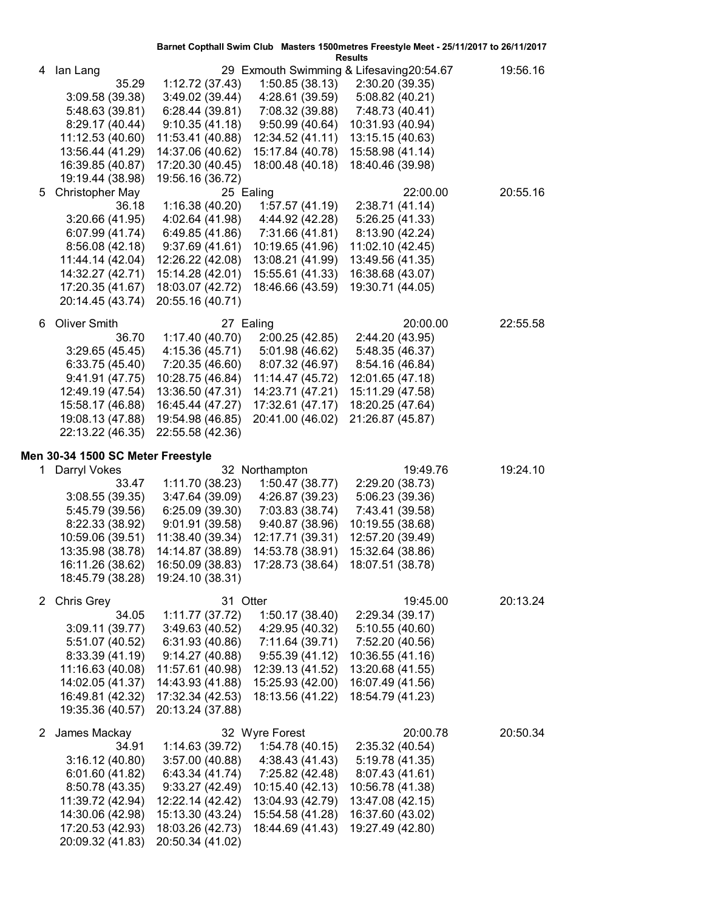|              |                                      |                                    |                                      | Barnet Copthall Swim Club Masters 1500 metres Freestyle Meet - 25/11/2017 to 26/11/2017<br><b>Results</b> |          |
|--------------|--------------------------------------|------------------------------------|--------------------------------------|-----------------------------------------------------------------------------------------------------------|----------|
| 4            | lan Lang                             |                                    |                                      | 29 Exmouth Swimming & Lifesaving20:54.67                                                                  | 19:56.16 |
|              | 35.29                                | 1:12.72 (37.43)                    | 1:50.85(38.13)                       | 2:30.20 (39.35)                                                                                           |          |
|              | 3:09.58(39.38)                       | 3:49.02 (39.44)                    | 4:28.61 (39.59)                      | 5:08.82 (40.21)                                                                                           |          |
|              | 5:48.63 (39.81)                      | 6:28.44(39.81)                     | 7:08.32 (39.88)                      | 7:48.73 (40.41)                                                                                           |          |
|              | 8:29.17 (40.44)                      | 9:10.35(41.18)                     | 9:50.99(40.64)                       | 10:31.93 (40.94)                                                                                          |          |
|              | 11:12.53 (40.60)                     | 11:53.41 (40.88)                   | 12:34.52 (41.11)                     | 13:15.15 (40.63)                                                                                          |          |
|              | 13:56.44 (41.29)                     | 14:37.06 (40.62)                   | 15:17.84 (40.78)                     | 15:58.98 (41.14)                                                                                          |          |
|              | 16:39.85 (40.87)                     | 17:20.30 (40.45)                   | 18:00.48 (40.18)                     | 18:40.46 (39.98)                                                                                          |          |
|              | 19:19.44 (38.98)                     | 19:56.16 (36.72)                   |                                      |                                                                                                           |          |
| 5            | <b>Christopher May</b>               |                                    | 25 Ealing                            | 22:00.00                                                                                                  | 20:55.16 |
|              | 36.18                                | 1:16.38(40.20)                     | 1:57.57 (41.19)                      | 2:38.71 (41.14)                                                                                           |          |
|              | 3:20.66 (41.95)                      | 4:02.64 (41.98)                    | 4:44.92 (42.28)                      | 5:26.25 (41.33)                                                                                           |          |
|              | 6:07.99 (41.74)<br>8:56.08(42.18)    | 6:49.85 (41.86)<br>9:37.69(41.61)  | 7:31.66 (41.81)                      | 8:13.90 (42.24)                                                                                           |          |
|              | 11:44.14 (42.04)                     | 12:26.22 (42.08)                   | 10:19.65 (41.96)<br>13:08.21 (41.99) | 11:02.10 (42.45)<br>13:49.56 (41.35)                                                                      |          |
|              | 14:32.27 (42.71)                     | 15:14.28 (42.01)                   | 15:55.61 (41.33)                     | 16:38.68 (43.07)                                                                                          |          |
|              | 17:20.35 (41.67)                     | 18:03.07 (42.72)                   | 18:46.66 (43.59)                     | 19:30.71 (44.05)                                                                                          |          |
|              | 20:14.45 (43.74)                     | 20:55.16 (40.71)                   |                                      |                                                                                                           |          |
|              |                                      |                                    |                                      |                                                                                                           |          |
| 6            | <b>Oliver Smith</b>                  |                                    | 27 Ealing                            | 20:00.00                                                                                                  | 22:55.58 |
|              | 36.70                                | 1:17.40(40.70)                     | 2:00.25 (42.85)                      | 2:44.20 (43.95)                                                                                           |          |
|              | 3:29.65(45.45)                       | 4:15.36 (45.71)                    | 5:01.98 (46.62)                      | 5:48.35 (46.37)                                                                                           |          |
|              | 6:33.75(45.40)                       | 7:20.35 (46.60)                    | 8:07.32 (46.97)                      | 8:54.16 (46.84)                                                                                           |          |
|              | 9:41.91(47.75)                       | 10:28.75 (46.84)                   | 11:14.47 (45.72)                     | 12:01.65 (47.18)                                                                                          |          |
|              | 12:49.19 (47.54)                     | 13:36.50 (47.31)                   | 14:23.71 (47.21)                     | 15:11.29 (47.58)                                                                                          |          |
|              | 15:58.17 (46.88)                     | 16:45.44 (47.27)                   | 17:32.61 (47.17)                     | 18:20.25 (47.64)                                                                                          |          |
|              | 19:08.13 (47.88)<br>22:13.22 (46.35) | 19:54.98 (46.85)                   | 20:41.00 (46.02)                     | 21:26.87 (45.87)                                                                                          |          |
|              |                                      | 22:55.58 (42.36)                   |                                      |                                                                                                           |          |
|              |                                      |                                    |                                      |                                                                                                           |          |
|              | Men 30-34 1500 SC Meter Freestyle    |                                    |                                      |                                                                                                           |          |
| 1.           | Darryl Vokes                         |                                    | 32 Northampton                       | 19:49.76                                                                                                  | 19:24.10 |
|              | 33.47                                | 1:11.70 (38.23)                    | 1:50.47 (38.77)                      | 2:29.20 (38.73)                                                                                           |          |
|              | 3:08.55(39.35)                       | 3:47.64 (39.09)                    | 4:26.87 (39.23)                      | 5:06.23 (39.36)                                                                                           |          |
|              | 5:45.79 (39.56)                      | 6:25.09 (39.30)                    | 7:03.83 (38.74)                      | 7:43.41 (39.58)                                                                                           |          |
|              | 8:22.33 (38.92)                      | 9:01.91(39.58)                     | 9:40.87 (38.96)                      | 10:19.55 (38.68)                                                                                          |          |
|              | 10:59.06 (39.51)                     | 11:38.40 (39.34)                   | 12:17.71 (39.31)                     | 12:57.20 (39.49)                                                                                          |          |
|              | 13:35.98 (38.78)                     | 14:14.87 (38.89)                   | 14:53.78 (38.91)                     | 15:32.64 (38.86)                                                                                          |          |
|              | 16:11.26 (38.62)                     | 16:50.09 (38.83)                   | 17:28.73 (38.64) 18:07.51 (38.78)    |                                                                                                           |          |
|              | 18:45.79 (38.28)                     | 19:24.10 (38.31)                   |                                      |                                                                                                           |          |
| 2            |                                      |                                    |                                      |                                                                                                           |          |
|              | Chris Grey<br>34.05                  | 31 Otter                           | 1:50.17 (38.40)                      | 19:45.00<br>2:29.34 (39.17)                                                                               | 20:13.24 |
|              | 3:09.11(39.77)                       | 1:11.77 (37.72)<br>3:49.63 (40.52) | 4:29.95 (40.32)                      | 5:10.55(40.60)                                                                                            |          |
|              | 5:51.07 (40.52)                      | 6:31.93 (40.86)                    | 7:11.64 (39.71)                      | 7:52.20 (40.56)                                                                                           |          |
|              | 8:33.39 (41.19)                      | 9:14.27(40.88)                     | 9:55.39(41.12)                       | 10:36.55 (41.16)                                                                                          |          |
|              | 11:16.63 (40.08)                     | 11:57.61 (40.98)                   | 12:39.13 (41.52)                     | 13:20.68 (41.55)                                                                                          |          |
|              | 14:02.05 (41.37)                     | 14:43.93 (41.88)                   | 15:25.93 (42.00)                     | 16:07.49 (41.56)                                                                                          |          |
|              | 16:49.81 (42.32)                     | 17:32.34 (42.53)                   | 18:13.56 (41.22)                     | 18:54.79 (41.23)                                                                                          |          |
|              | 19:35.36 (40.57)                     | 20:13.24 (37.88)                   |                                      |                                                                                                           |          |
|              |                                      |                                    |                                      |                                                                                                           |          |
| $\mathbf{2}$ | James Mackay                         |                                    | 32 Wyre Forest                       | 20:00.78                                                                                                  | 20:50.34 |
|              | 34.91                                | 1:14.63 (39.72)                    | 1:54.78(40.15)                       | 2:35.32 (40.54)                                                                                           |          |
|              | 3:16.12(40.80)                       | 3:57.00 (40.88)                    | 4:38.43 (41.43)                      | 5:19.78 (41.35)                                                                                           |          |
|              | 6:01.60 (41.82)<br>8:50.78 (43.35)   | 6:43.34 (41.74)<br>9:33.27(42.49)  | 7:25.82 (42.48)<br>10:15.40 (42.13)  | 8:07.43 (41.61)<br>10:56.78 (41.38)                                                                       |          |
|              | 11:39.72 (42.94)                     | 12:22.14 (42.42)                   | 13:04.93 (42.79)                     | 13:47.08 (42.15)                                                                                          |          |
|              | 14:30.06 (42.98)                     | 15:13.30 (43.24)                   | 15:54.58 (41.28)                     | 16:37.60 (43.02)                                                                                          |          |
|              | 17:20.53 (42.93)                     | 18:03.26 (42.73)                   | 18:44.69 (41.43)                     | 19:27.49 (42.80)                                                                                          |          |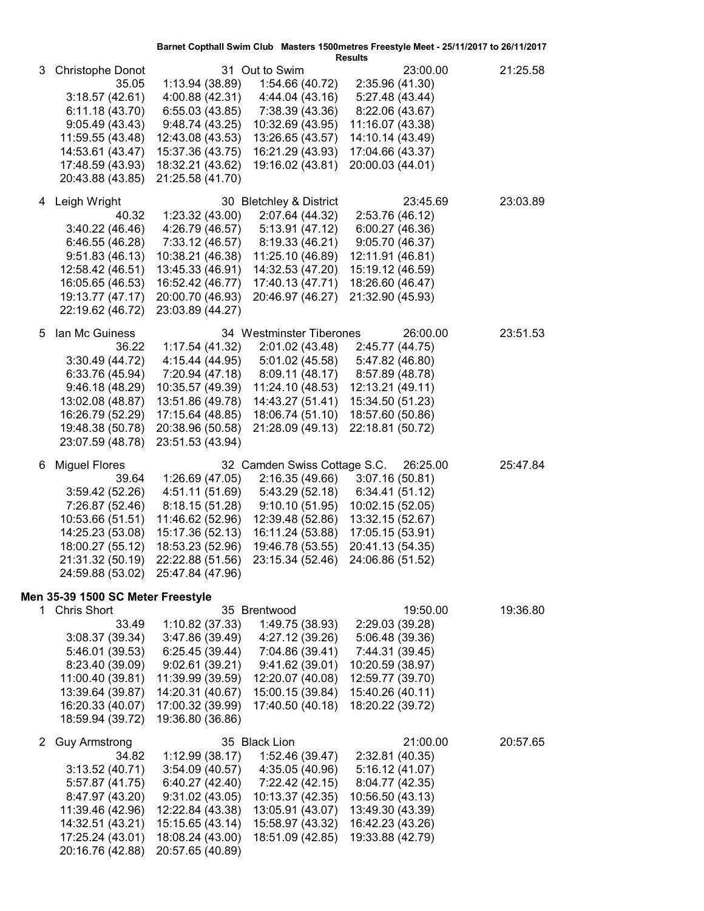|             |                                                                                                                                                                                                             |                                                                                                                                                           |                                                                                                                                                                  | Barnet Copthall Swim Club Masters 1500metres Freestyle Meet - 25/11/2017 to 26/11/2017<br><b>Results</b>                                                           |          |
|-------------|-------------------------------------------------------------------------------------------------------------------------------------------------------------------------------------------------------------|-----------------------------------------------------------------------------------------------------------------------------------------------------------|------------------------------------------------------------------------------------------------------------------------------------------------------------------|--------------------------------------------------------------------------------------------------------------------------------------------------------------------|----------|
| 3           | <b>Christophe Donot</b><br>35.05<br>3:18.57(42.61)<br>6:11.18(43.70)<br>9:05.49(43.43)<br>11:59.55 (43.48)<br>14:53.61 (43.47)<br>17:48.59 (43.93)<br>20:43.88 (43.85)                                      | 1:13.94 (38.89)<br>4:00.88 (42.31)<br>6:55.03(43.85)<br>9:48.74(43.25)<br>12:43.08 (43.53)<br>15:37.36 (43.75)<br>18:32.21 (43.62)<br>21:25.58 (41.70)    | 31 Out to Swim<br>1:54.66 (40.72)<br>4:44.04 (43.16)<br>7:38.39 (43.36)<br>10:32.69 (43.95)<br>13:26.65 (43.57)<br>16:21.29 (43.93)<br>19:16.02 (43.81)          | 23:00.00<br>2:35.96 (41.30)<br>5:27.48 (43.44)<br>8:22.06 (43.67)<br>11:16.07 (43.38)<br>14:10.14 (43.49)<br>17:04.66 (43.37)<br>20:00.03 (44.01)                  | 21:25.58 |
| 4           | Leigh Wright<br>40.32<br>3:40.22(46.46)<br>6:46.55 (46.28)<br>9:51.83(46.13)<br>12:58.42 (46.51)<br>16:05.65 (46.53)<br>19:13.77 (47.17)<br>22:19.62 (46.72)                                                | 1:23.32 (43.00)<br>4:26.79 (46.57)<br>7:33.12 (46.57)<br>10:38.21 (46.38)<br>13:45.33 (46.91)<br>16:52.42 (46.77)<br>20:00.70 (46.93)<br>23:03.89 (44.27) | 30 Bletchley & District<br>2:07.64 (44.32)<br>5:13.91(47.12)<br>8:19.33 (46.21)<br>11:25.10 (46.89)<br>14:32.53 (47.20)<br>17:40.13 (47.71)<br>20:46.97 (46.27)  | 23:45.69<br>2:53.76 (46.12)<br>6:00.27 (46.36)<br>9:05.70 (46.37)<br>12:11.91 (46.81)<br>15:19.12 (46.59)<br>18:26.60 (46.47)<br>21:32.90 (45.93)                  | 23:03.89 |
| 5           | Ian Mc Guiness<br>36.22<br>3:30.49(44.72)<br>6:33.76 (45.94)<br>9:46.18(48.29)<br>13:02.08 (48.87)<br>16:26.79 (52.29)<br>19:48.38 (50.78)<br>23:07.59 (48.78)                                              | 1:17.54(41.32)<br>4:15.44 (44.95)<br>7:20.94 (47.18)<br>10:35.57 (49.39)<br>13:51.86 (49.78)<br>17:15.64 (48.85)<br>20:38.96 (50.58)<br>23:51.53 (43.94)  | 34 Westminster Tiberones<br>2:01.02 (43.48)<br>5:01.02 (45.58)<br>8:09.11(48.17)<br>11:24.10 (48.53)<br>14:43.27 (51.41)<br>18:06.74 (51.10)<br>21:28.09 (49.13) | 26:00.00<br>2:45.77 (44.75)<br>5:47.82 (46.80)<br>8:57.89 (48.78)<br>12:13.21 (49.11)<br>15:34.50 (51.23)<br>18:57.60 (50.86)<br>22:18.81 (50.72)                  | 23:51.53 |
| 6           | <b>Miguel Flores</b><br>39.64<br>3:59.42(52.26)<br>7:26.87 (52.46)<br>10:53.66 (51.51)<br>14:25.23 (53.08)<br>18:00.27 (55.12)<br>21:31.32 (50.19)<br>24:59.88 (53.02)<br>Men 35-39 1500 SC Meter Freestyle | 1:26.69 (47.05)<br>4:51.11 (51.69)<br>8:18.15(51.28)<br>11:46.62 (52.96)<br>15:17.36 (52.13)<br>18:53.23 (52.96)<br>22:22.88 (51.56)<br>25:47.84 (47.96)  | 32 Camden Swiss Cottage S.C.<br>2:16.35(49.66)<br>5:43.29(52.18)<br>9:10.10(51.95)<br>12:39.48 (52.86)<br>16:11.24 (53.88)<br>19:46.78 (53.55)                   | 26:25.00<br>3:07.16(50.81)<br>6:34.41 (51.12)<br>10:02.15 (52.05)<br>13:32.15 (52.67)<br>17:05.15 (53.91)<br>20:41.13 (54.35)<br>23:15.34 (52.46) 24:06.86 (51.52) | 25:47.84 |
| 1.          | <b>Chris Short</b><br>33.49<br>3:08.37 (39.34)<br>5:46.01 (39.53)<br>8:23.40 (39.09)<br>11:00.40 (39.81)<br>13:39.64 (39.87)<br>16:20.33 (40.07)<br>18:59.94 (39.72)                                        | 1:10.82 (37.33)<br>3:47.86 (39.49)<br>6:25.45(39.44)<br>9:02.61 (39.21)<br>11:39.99 (39.59)<br>14:20.31 (40.67)<br>17:00.32 (39.99)<br>19:36.80 (36.86)   | 35 Brentwood<br>1:49.75 (38.93)<br>4:27.12 (39.26)<br>7:04.86 (39.41)<br>9:41.62(39.01)<br>12:20.07 (40.08)<br>15:00.15 (39.84)<br>17:40.50 (40.18)              | 19:50.00<br>2:29.03 (39.28)<br>5:06.48 (39.36)<br>7:44.31 (39.45)<br>10:20.59 (38.97)<br>12:59.77 (39.70)<br>15:40.26 (40.11)<br>18:20.22 (39.72)                  | 19:36.80 |
| $2^{\circ}$ | <b>Guy Armstrong</b><br>34.82<br>3:13.52(40.71)<br>5:57.87 (41.75)<br>8:47.97 (43.20)<br>11:39.46 (42.96)<br>14:32.51 (43.21)<br>17:25.24 (43.01)<br>20:16.76 (42.88)                                       | 1:12.99 (38.17)<br>3:54.09 (40.57)<br>6:40.27 (42.40)<br>9:31.02(43.05)<br>12:22.84 (43.38)<br>15:15.65 (43.14)<br>18:08.24 (43.00)<br>20:57.65 (40.89)   | 35 Black Lion<br>1:52.46 (39.47)<br>4:35.05 (40.96)<br>7:22.42 (42.15)<br>10:13.37 (42.35)<br>13:05.91 (43.07)<br>15:58.97 (43.32)<br>18:51.09 (42.85)           | 21:00.00<br>2:32.81 (40.35)<br>5:16.12 (41.07)<br>8:04.77 (42.35)<br>10:56.50 (43.13)<br>13:49.30 (43.39)<br>16:42.23 (43.26)<br>19:33.88 (42.79)                  | 20:57.65 |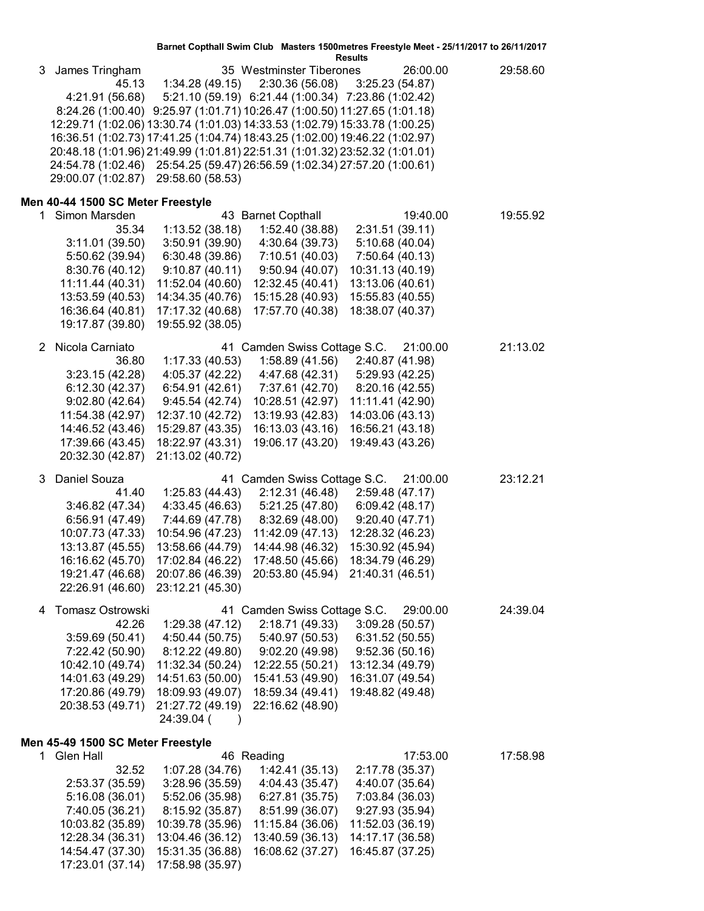**Results**

| 3  | James Tringham<br>45.13<br>4:21.91 (56.68)<br>12:29.71 (1:02.06) 13:30.74 (1:01.03) 14:33.53 (1:02.79) 15:33.78 (1:00.25)<br>16:36.51 (1:02.73) 17:41.25 (1:04.74) 18:43.25 (1:02.00) 19:46.22 (1:02.97)<br>20:48.18 (1:01.96) 21:49.99 (1:01.81) 22:51.31 (1:01.32) 23:52.32 (1:01.01)<br>24:54.78 (1:02.46) 25:54.25 (59.47) 26:56.59 (1:02.34) 27:57.20 (1:00.61)<br>29:00.07 (1:02.87) 29:58.60 (58.53) | 1:34.28(49.15)<br>8:24.26 (1:00.40) 9:25.97 (1:01.71) 10:26.47 (1:00.50) 11:27.65 (1:01.18) | 35 Westminster Tiberones<br>2:30.36 (56.08)<br>5:21.10 (59.19) 6:21.44 (1:00.34) 7:23.86 (1:02.42) | 26:00.00<br>3:25.23(54.87)           | 29:58.60 |
|----|-------------------------------------------------------------------------------------------------------------------------------------------------------------------------------------------------------------------------------------------------------------------------------------------------------------------------------------------------------------------------------------------------------------|---------------------------------------------------------------------------------------------|----------------------------------------------------------------------------------------------------|--------------------------------------|----------|
|    | Men 40-44 1500 SC Meter Freestyle                                                                                                                                                                                                                                                                                                                                                                           |                                                                                             |                                                                                                    |                                      |          |
| 1. | Simon Marsden                                                                                                                                                                                                                                                                                                                                                                                               |                                                                                             | 43 Barnet Copthall                                                                                 | 19:40.00                             | 19:55.92 |
|    | 35.34                                                                                                                                                                                                                                                                                                                                                                                                       | 1:13.52(38.18)                                                                              | 1:52.40 (38.88)                                                                                    | 2:31.51(39.11)                       |          |
|    | 3:11.01(39.50)                                                                                                                                                                                                                                                                                                                                                                                              | 3:50.91(39.90)                                                                              | 4:30.64 (39.73)                                                                                    | 5:10.68 (40.04)                      |          |
|    | 5:50.62 (39.94)                                                                                                                                                                                                                                                                                                                                                                                             | 6:30.48 (39.86)                                                                             | 7:10.51 (40.03)                                                                                    | 7:50.64 (40.13)                      |          |
|    | 8:30.76 (40.12)<br>11:11.44 (40.31)                                                                                                                                                                                                                                                                                                                                                                         | 9:10.87 (40.11)                                                                             | 9:50.94 (40.07)                                                                                    | 10:31.13 (40.19)                     |          |
|    | 13:53.59 (40.53)                                                                                                                                                                                                                                                                                                                                                                                            | 11:52.04 (40.60)<br>14:34.35 (40.76)                                                        | 12:32.45 (40.41)<br>15:15.28 (40.93)                                                               | 13:13.06 (40.61)<br>15:55.83 (40.55) |          |
|    | 16:36.64 (40.81)                                                                                                                                                                                                                                                                                                                                                                                            | 17:17.32 (40.68)                                                                            | 17:57.70 (40.38)                                                                                   | 18:38.07 (40.37)                     |          |
|    | 19:17.87 (39.80)                                                                                                                                                                                                                                                                                                                                                                                            | 19:55.92 (38.05)                                                                            |                                                                                                    |                                      |          |
|    |                                                                                                                                                                                                                                                                                                                                                                                                             |                                                                                             |                                                                                                    |                                      |          |
|    | 2 Nicola Carniato                                                                                                                                                                                                                                                                                                                                                                                           |                                                                                             | 41 Camden Swiss Cottage S.C.                                                                       | 21:00.00                             | 21:13.02 |
|    | 36.80                                                                                                                                                                                                                                                                                                                                                                                                       | 1:17.33(40.53)                                                                              |                                                                                                    | 1:58.89 (41.56) 2:40.87 (41.98)      |          |
|    | 3:23.15(42.28)                                                                                                                                                                                                                                                                                                                                                                                              | 4:05.37 (42.22)                                                                             | 4:47.68 (42.31)                                                                                    | 5:29.93(42.25)                       |          |
|    | 6:12.30(42.37)                                                                                                                                                                                                                                                                                                                                                                                              | 6:54.91(42.61)                                                                              | 7:37.61 (42.70)                                                                                    | 8:20.16 (42.55)                      |          |
|    | 9:02.80(42.64)                                                                                                                                                                                                                                                                                                                                                                                              | 9:45.54(42.74)                                                                              | 10:28.51 (42.97)                                                                                   | 11:11.41 (42.90)                     |          |
|    | 11:54.38 (42.97)                                                                                                                                                                                                                                                                                                                                                                                            | 12:37.10 (42.72)                                                                            | 13:19.93 (42.83)                                                                                   | 14:03.06 (43.13)                     |          |
|    | 14:46.52 (43.46)                                                                                                                                                                                                                                                                                                                                                                                            | 15:29.87 (43.35)                                                                            | 16:13.03 (43.16)                                                                                   | 16:56.21 (43.18)                     |          |
|    | 17:39.66 (43.45)<br>20:32.30 (42.87)                                                                                                                                                                                                                                                                                                                                                                        | 18:22.97 (43.31)<br>21:13.02 (40.72)                                                        | 19:06.17 (43.20)                                                                                   | 19:49.43 (43.26)                     |          |
|    |                                                                                                                                                                                                                                                                                                                                                                                                             |                                                                                             |                                                                                                    |                                      |          |
|    | 3 Daniel Souza                                                                                                                                                                                                                                                                                                                                                                                              |                                                                                             | 41 Camden Swiss Cottage S.C.                                                                       | 21:00.00                             | 23:12.21 |
|    | 41.40                                                                                                                                                                                                                                                                                                                                                                                                       | 1:25.83(44.43)                                                                              | 2:12.31(46.48)                                                                                     | 2:59.48 (47.17)                      |          |
|    | 3:46.82(47.34)                                                                                                                                                                                                                                                                                                                                                                                              | 4:33.45 (46.63)                                                                             | 5:21.25 (47.80)                                                                                    | 6:09.42(48.17)                       |          |
|    | 6:56.91 (47.49)                                                                                                                                                                                                                                                                                                                                                                                             | 7:44.69 (47.78)                                                                             | 8:32.69 (48.00)                                                                                    | 9:20.40(47.71)                       |          |
|    | 10:07.73 (47.33)                                                                                                                                                                                                                                                                                                                                                                                            | 10:54.96 (47.23)                                                                            | 11:42.09 (47.13)                                                                                   | 12:28.32 (46.23)                     |          |
|    | 13:13.87 (45.55)                                                                                                                                                                                                                                                                                                                                                                                            | 13:58.66 (44.79)                                                                            | 14:44.98 (46.32)                                                                                   | 15:30.92 (45.94)                     |          |
|    | 16:16.62 (45.70)                                                                                                                                                                                                                                                                                                                                                                                            | 17:02.84 (46.22)                                                                            | 17:48.50 (45.66)                                                                                   | 18:34.79 (46.29)                     |          |
|    | 19:21.47 (46.68)                                                                                                                                                                                                                                                                                                                                                                                            | 20:07.86 (46.39)                                                                            | 20:53.80 (45.94)                                                                                   | 21:40.31 (46.51)                     |          |
|    |                                                                                                                                                                                                                                                                                                                                                                                                             | 22:26.91 (46.60) 23:12.21 (45.30)                                                           |                                                                                                    |                                      |          |
| 4  | Tomasz Ostrowski                                                                                                                                                                                                                                                                                                                                                                                            |                                                                                             | 41 Camden Swiss Cottage S.C.                                                                       | 29:00.00                             | 24:39.04 |
|    | 42.26                                                                                                                                                                                                                                                                                                                                                                                                       | 1:29.38(47.12)                                                                              | 2:18.71 (49.33)                                                                                    | 3:09.28 (50.57)                      |          |
|    | 3:59.69(50.41)                                                                                                                                                                                                                                                                                                                                                                                              | 4:50.44 (50.75)                                                                             | 5:40.97 (50.53)                                                                                    | 6:31.52(50.55)                       |          |
|    | 7:22.42 (50.90)                                                                                                                                                                                                                                                                                                                                                                                             | 8:12.22 (49.80)                                                                             | 9:02.20(49.98)                                                                                     | 9:52.36(50.16)                       |          |
|    | 10:42.10 (49.74)                                                                                                                                                                                                                                                                                                                                                                                            | 11:32.34 (50.24)                                                                            | 12:22.55 (50.21)                                                                                   | 13:12.34 (49.79)                     |          |
|    | 14:01.63 (49.29)                                                                                                                                                                                                                                                                                                                                                                                            | 14:51.63 (50.00)                                                                            | 15:41.53 (49.90)                                                                                   | 16:31.07 (49.54)                     |          |
|    | 17:20.86 (49.79)                                                                                                                                                                                                                                                                                                                                                                                            | 18:09.93 (49.07)                                                                            | 18:59.34 (49.41)                                                                                   | 19:48.82 (49.48)                     |          |
|    | 20:38.53 (49.71)                                                                                                                                                                                                                                                                                                                                                                                            | 21:27.72 (49.19)<br>24:39.04 (                                                              | 22:16.62 (48.90)                                                                                   |                                      |          |
|    |                                                                                                                                                                                                                                                                                                                                                                                                             |                                                                                             |                                                                                                    |                                      |          |
|    | Men 45-49 1500 SC Meter Freestyle                                                                                                                                                                                                                                                                                                                                                                           |                                                                                             |                                                                                                    |                                      |          |
|    | 1 Glen Hall                                                                                                                                                                                                                                                                                                                                                                                                 |                                                                                             | 46 Reading                                                                                         | 17:53.00                             | 17:58.98 |
|    | 32.52                                                                                                                                                                                                                                                                                                                                                                                                       | 1:07.28 (34.76)                                                                             | 1:42.41(35.13)                                                                                     | 2:17.78 (35.37)                      |          |
|    | 2:53.37 (35.59)                                                                                                                                                                                                                                                                                                                                                                                             | 3:28.96 (35.59)                                                                             | 4:04.43 (35.47)                                                                                    | 4:40.07 (35.64)                      |          |
|    | 5:16.08(36.01)                                                                                                                                                                                                                                                                                                                                                                                              | 5:52.06 (35.98)                                                                             | 6:27.81 (35.75)                                                                                    | 7:03.84 (36.03)                      |          |
|    | 7:40.05 (36.21)                                                                                                                                                                                                                                                                                                                                                                                             | 8:15.92 (35.87)                                                                             | 8:51.99 (36.07)                                                                                    | 9:27.93 (35.94)                      |          |
|    | 10:03.82 (35.89)                                                                                                                                                                                                                                                                                                                                                                                            | 10:39.78 (35.96)                                                                            | 11:15.84 (36.06)                                                                                   | 11:52.03 (36.19)                     |          |
|    | 12:28.34 (36.31)<br>14:54.47 (37.30)                                                                                                                                                                                                                                                                                                                                                                        | 13:04.46 (36.12)                                                                            | 13:40.59 (36.13)                                                                                   | 14:17.17 (36.58)<br>16:45.87 (37.25) |          |
|    |                                                                                                                                                                                                                                                                                                                                                                                                             | 15:31.35 (36.88)                                                                            | 16:08.62 (37.27)                                                                                   |                                      |          |

17:23.01 (37.14) 17:58.98 (35.97)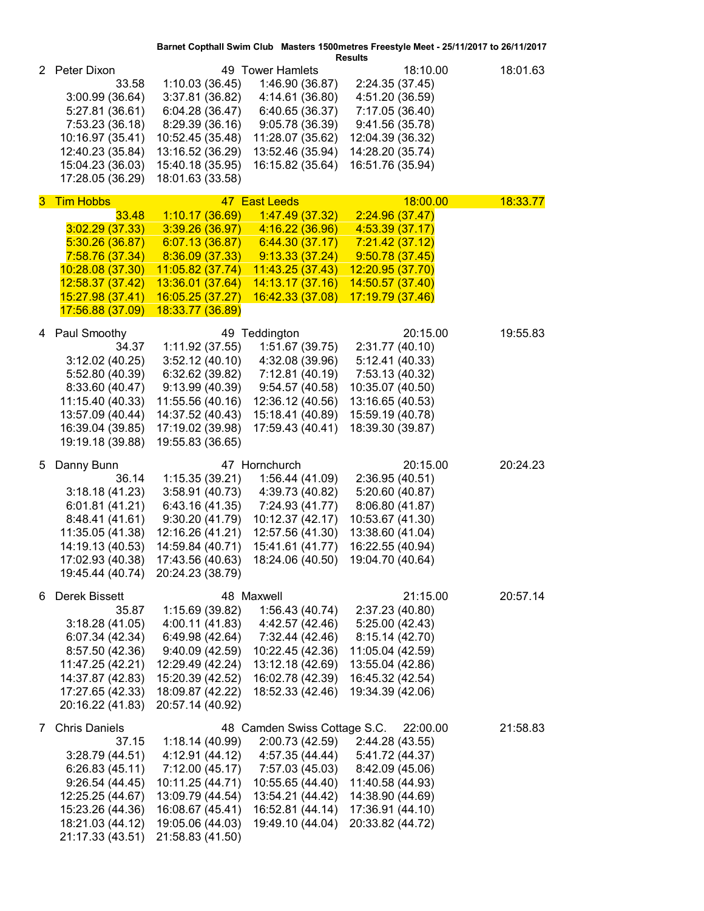|    |                      |                  |                                                                     | Barnet Copthall Swim Club Masters 1500 metres Freestyle Meet - 25/11/2017 to 26/11/2017<br><b>Results</b> |          |
|----|----------------------|------------------|---------------------------------------------------------------------|-----------------------------------------------------------------------------------------------------------|----------|
|    | 2 Peter Dixon        |                  | 49 Tower Hamlets                                                    | 18:10.00                                                                                                  | 18:01.63 |
|    | 33.58                | 1:10.03(36.45)   | 1:46.90 (36.87)                                                     | 2:24.35 (37.45)                                                                                           |          |
|    | 3:00.99(36.64)       | 3:37.81 (36.82)  | 4:14.61 (36.80)                                                     | 4:51.20 (36.59)                                                                                           |          |
|    | 5:27.81 (36.61)      | 6:04.28 (36.47)  | 6:40.65 (36.37)                                                     | 7:17.05 (36.40)                                                                                           |          |
|    | 7:53.23 (36.18)      | 8:29.39 (36.16)  | 9:05.78 (36.39)                                                     | 9:41.56 (35.78)                                                                                           |          |
|    | 10:16.97 (35.41)     | 10:52.45 (35.48) | 11:28.07 (35.62)                                                    | 12:04.39 (36.32)                                                                                          |          |
|    | 12:40.23 (35.84)     | 13:16.52 (36.29) | 13:52.46 (35.94)                                                    | 14:28.20 (35.74)                                                                                          |          |
|    | 15:04.23 (36.03)     | 15:40.18 (35.95) | 16:15.82 (35.64)                                                    | 16:51.76 (35.94)                                                                                          |          |
|    | 17:28.05 (36.29)     | 18:01.63 (33.58) |                                                                     |                                                                                                           |          |
| 3. | <b>Tim Hobbs</b>     |                  | 47 East Leeds                                                       | 18:00.00                                                                                                  | 18:33.77 |
|    | 33.48                | 1:10.17(36.69)   | 1:47.49(37.32)                                                      | 2:24.96(37.47)                                                                                            |          |
|    | 3:02.29(37.33)       | 3:39.26(36.97)   | 4:16.22 (36.96)                                                     | 4:53.39 (37.17)                                                                                           |          |
|    | 5:30.26(36.87)       | 6:07.13(36.87)   | 6:44.30(37.17)                                                      | 7:21.42(37.12)                                                                                            |          |
|    | 7:58.76 (37.34)      | 8:36.09 (37.33)  | 9:13.33(37.24)                                                      | 9:50.78(37.45)                                                                                            |          |
|    | 10:28.08 (37.30)     | 11:05.82 (37.74) | 11:43.25 (37.43)                                                    | 12:20.95 (37.70)                                                                                          |          |
|    | 12:58.37 (37.42)     | 13:36.01 (37.64) | 14:13.17 (37.16)                                                    | 14:50.57 (37.40)                                                                                          |          |
|    | 15:27.98 (37.41)     | 16:05.25 (37.27) | 16:42.33 (37.08)                                                    | 17:19.79 (37.46)                                                                                          |          |
|    | 17:56.88 (37.09)     | 18:33.77 (36.89) |                                                                     |                                                                                                           |          |
|    | 4 Paul Smoothy       |                  | 49 Teddington                                                       | 20:15.00                                                                                                  | 19:55.83 |
|    | 34.37                | 1:11.92(37.55)   | 1:51.67 (39.75)                                                     | 2:31.77 (40.10)                                                                                           |          |
|    | 3:12.02(40.25)       | 3:52.12(40.10)   | 4:32.08 (39.96)                                                     | 5:12.41 (40.33)                                                                                           |          |
|    | 5:52.80 (40.39)      | 6:32.62 (39.82)  | 7:12.81 (40.19)                                                     | 7:53.13 (40.32)                                                                                           |          |
|    | 8:33.60 (40.47)      | 9:13.99 (40.39)  | 9:54.57(40.58)                                                      | 10:35.07 (40.50)                                                                                          |          |
|    | 11:15.40 (40.33)     | 11:55.56 (40.16) | 12:36.12 (40.56)                                                    | 13:16.65 (40.53)                                                                                          |          |
|    | 13:57.09 (40.44)     | 14:37.52 (40.43) | 15:18.41 (40.89)                                                    | 15:59.19 (40.78)                                                                                          |          |
|    | 16:39.04 (39.85)     | 17:19.02 (39.98) | 17:59.43 (40.41)                                                    | 18:39.30 (39.87)                                                                                          |          |
|    | 19:19.18 (39.88)     | 19:55.83 (36.65) |                                                                     |                                                                                                           |          |
| 5  | Danny Bunn           |                  | 47 Hornchurch                                                       | 20:15.00                                                                                                  | 20:24.23 |
|    | 36.14                | 1:15.35(39.21)   | 1:56.44 (41.09)                                                     | 2:36.95 (40.51)                                                                                           |          |
|    | 3:18.18(41.23)       | 3:58.91(40.73)   | 4:39.73 (40.82)                                                     | 5:20.60 (40.87)                                                                                           |          |
|    | 6:01.81(41.21)       | 6:43.16 (41.35)  | 7:24.93 (41.77)                                                     | 8:06.80 (41.87)                                                                                           |          |
|    | 8:48.41 (41.61)      | 9:30.20(41.79)   | 10:12.37 (42.17)                                                    | 10:53.67 (41.30)                                                                                          |          |
|    | 11:35.05 (41.38)     | 12:16.26 (41.21) | 12:57.56 (41.30)                                                    | 13:38.60 (41.04)                                                                                          |          |
|    | 14:19.13 (40.53)     | 14:59.84 (40.71) | 15:41.61 (41.77)                                                    | 16:22.55 (40.94)                                                                                          |          |
|    |                      |                  | 17:02.93 (40.38) 17:43.56 (40.63) 18:24.06 (40.50) 19:04.70 (40.64) |                                                                                                           |          |
|    | 19:45.44 (40.74)     | 20:24.23 (38.79) |                                                                     |                                                                                                           |          |
| 6. | Derek Bissett        |                  | 48 Maxwell                                                          | 21:15.00                                                                                                  | 20:57.14 |
|    | 35.87                | 1:15.69 (39.82)  | 1:56.43 (40.74)                                                     | 2:37.23 (40.80)                                                                                           |          |
|    | 3:18.28(41.05)       | 4:00.11 (41.83)  | 4:42.57 (42.46)                                                     | 5:25.00(42.43)                                                                                            |          |
|    | 6:07.34 (42.34)      | 6:49.98 (42.64)  | 7:32.44 (42.46)                                                     | 8:15.14 (42.70)                                                                                           |          |
|    | 8:57.50 (42.36)      | 9:40.09 (42.59)  | 10:22.45 (42.36)                                                    | 11:05.04 (42.59)                                                                                          |          |
|    | 11:47.25 (42.21)     | 12:29.49 (42.24) | 13:12.18 (42.69)                                                    | 13:55.04 (42.86)                                                                                          |          |
|    | 14:37.87 (42.83)     | 15:20.39 (42.52) | 16:02.78 (42.39)                                                    | 16:45.32 (42.54)                                                                                          |          |
|    | 17:27.65 (42.33)     | 18:09.87 (42.22) | 18:52.33 (42.46)                                                    | 19:34.39 (42.06)                                                                                          |          |
|    | 20:16.22 (41.83)     | 20:57.14 (40.92) |                                                                     |                                                                                                           |          |
| 7  | <b>Chris Daniels</b> |                  | 48 Camden Swiss Cottage S.C.                                        | 22:00.00                                                                                                  | 21:58.83 |
|    | 37.15                | 1:18.14(40.99)   | 2:00.73 (42.59)                                                     | 2:44.28 (43.55)                                                                                           |          |
|    | 3:28.79(44.51)       | 4:12.91 (44.12)  | 4:57.35 (44.44)                                                     | 5:41.72 (44.37)                                                                                           |          |
|    | 6:26.83(45.11)       | 7:12.00 (45.17)  | 7:57.03 (45.03)                                                     | 8:42.09 (45.06)                                                                                           |          |
|    | 9:26.54(44.45)       | 10:11.25 (44.71) | 10:55.65 (44.40)                                                    | 11:40.58 (44.93)                                                                                          |          |
|    | 12:25.25 (44.67)     | 13:09.79 (44.54) | 13:54.21 (44.42)                                                    | 14:38.90 (44.69)                                                                                          |          |
|    | 15:23.26 (44.36)     | 16:08.67 (45.41) | 16:52.81 (44.14)                                                    | 17:36.91 (44.10)                                                                                          |          |
|    | 18:21.03 (44.12)     | 19:05.06 (44.03) | 19:49.10 (44.04)                                                    | 20:33.82 (44.72)                                                                                          |          |
|    | 21:17.33 (43.51)     | 21:58.83 (41.50) |                                                                     |                                                                                                           |          |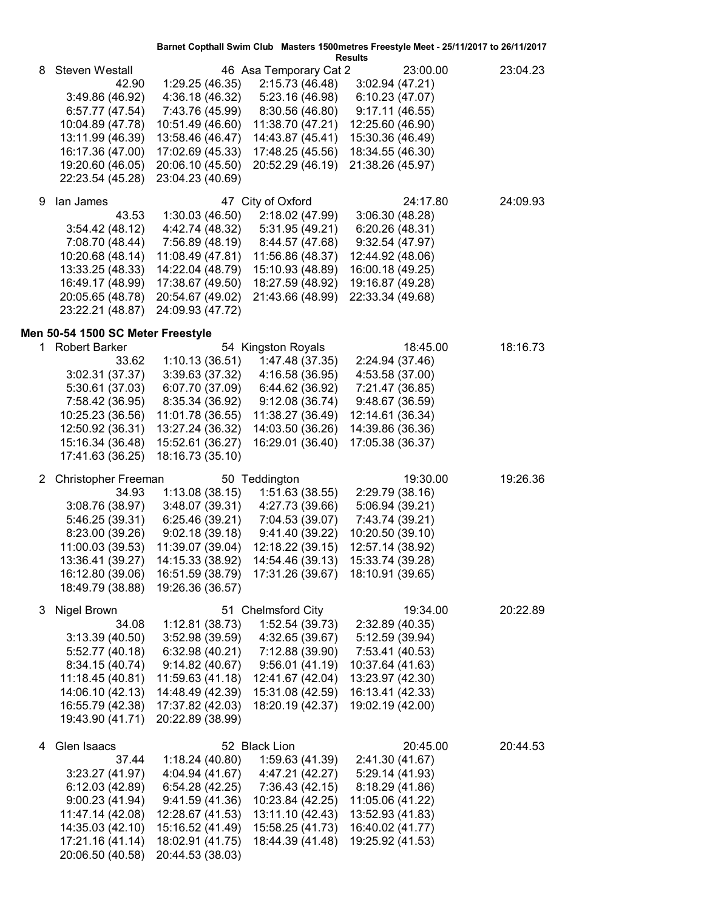| 46 Asa Temporary Cat 2<br>23:00.00<br>23:04.23<br>Steven Westall<br>8<br>2:15.73 (46.48)<br>42.90<br>1:29.25(46.35)<br>3:02.94 (47.21)<br>3:49.86 (46.92)<br>4:36.18 (46.32)<br>5:23.16 (46.98)<br>6:10.23 (47.07)<br>7:43.76 (45.99)<br>8:30.56 (46.80)<br>9:17.11(46.55)<br>6:57.77 (47.54)<br>10:04.89 (47.78)<br>10:51.49 (46.60)<br>11:38.70 (47.21)<br>12:25.60 (46.90)<br>13:11.99 (46.39)<br>13:58.46 (46.47)<br>14:43.87 (45.41)<br>15:30.36 (46.49)<br>16:17.36 (47.00)<br>17:02.69 (45.33)<br>17:48.25 (45.56)<br>18:34.55 (46.30)<br>19:20.60 (46.05)<br>20:06.10 (45.50)<br>20:52.29 (46.19)<br>21:38.26 (45.97)<br>22:23.54 (45.28)<br>23:04.23 (40.69)<br>lan James<br>47 City of Oxford<br>24:17.80<br>9<br>24:09.93<br>1:30.03 (46.50)<br>2:18.02 (47.99)<br>43.53<br>3:06.30(48.28)<br>3:54.42(48.12)<br>4:42.74 (48.32)<br>5:31.95 (49.21)<br>6:20.26(48.31)<br>7:56.89 (48.19)<br>7:08.70 (48.44)<br>8:44.57 (47.68)<br>9:32.54(47.97)<br>10:20.68 (48.14)<br>11:08.49 (47.81)<br>11:56.86 (48.37)<br>12:44.92 (48.06)<br>13:33.25 (48.33)<br>14:22.04 (48.79)<br>15:10.93 (48.89)<br>16:00.18 (49.25)<br>16:49.17 (48.99)<br>17:38.67 (49.50)<br>18:27.59 (48.92)<br>19:16.87 (49.28)<br>20:05.65 (48.78)<br>20:54.67 (49.02)<br>21:43.66 (48.99)<br>22:33.34 (49.68)<br>23:22.21 (48.87)<br>24:09.93 (47.72)<br>Men 50-54 1500 SC Meter Freestyle<br><b>Robert Barker</b><br>54 Kingston Royals<br>18:16.73<br>18:45.00<br>1.<br>1:10.13(36.51)<br>33.62<br>1:47.48 (37.35)<br>2:24.94 (37.46)<br>3:02.31 (37.37)<br>3:39.63 (37.32)<br>4:16.58 (36.95)<br>4:53.58 (37.00)<br>5:30.61 (37.03)<br>6:07.70 (37.09)<br>6:44.62 (36.92)<br>7:21.47 (36.85)<br>7:58.42 (36.95)<br>8:35.34 (36.92)<br>9:12.08(36.74)<br>9:48.67(36.59)<br>10:25.23 (36.56)<br>11:01.78 (36.55)<br>11:38.27 (36.49)<br>12:14.61 (36.34)<br>14:03.50 (36.26)<br>12:50.92 (36.31)<br>13:27.24 (36.32)<br>14:39.86 (36.36)<br>15:16.34 (36.48)<br>15:52.61 (36.27)<br>16:29.01 (36.40)<br>17:05.38 (36.37)<br>17:41.63 (36.25)<br>18:16.73 (35.10)<br>Christopher Freeman<br>50 Teddington<br>19:30.00<br>19:26.36<br>$\mathbf{2}$<br>34.93<br>1:13.08(38.15)<br>1:51.63 (38.55)<br>2:29.79 (38.16)<br>3:08.76 (38.97)<br>3:48.07 (39.31)<br>4:27.73 (39.66)<br>5:06.94 (39.21)<br>5:46.25 (39.31)<br>6:25.46(39.21)<br>7:04.53 (39.07)<br>7:43.74 (39.21)<br>8:23.00 (39.26)<br>9:02.18(39.18)<br>9:41.40(39.22)<br>10:20.50 (39.10)<br>12:57.14 (38.92)<br>11:00.03 (39.53)<br>11:39.07 (39.04)<br>12:18.22 (39.15)<br>13:36.41 (39.27)<br>14:15.33 (38.92)<br>14:54.46 (39.13)<br>15:33.74 (39.28)<br>18:10.91 (39.65)<br>16:12.80 (39.06)<br>16:51.59 (38.79)<br>17:31.26 (39.67)<br>18:49.79 (38.88)<br>19:26.36 (36.57)<br>51 Chelmsford City<br>Nigel Brown<br>19:34.00<br>20:22.89<br>3<br>1:12.81 (38.73)<br>1:52.54 (39.73)<br>34.08<br>2:32.89 (40.35)<br>3:52.98 (39.59)<br>4:32.65 (39.67)<br>5:12.59 (39.94)<br>3:13.39(40.50)<br>6:32.98(40.21)<br>7:53.41 (40.53)<br>5:52.77 (40.18)<br>7:12.88 (39.90)<br>8:34.15 (40.74)<br>9:14.82(40.67)<br>9:56.01(41.19)<br>10:37.64 (41.63)<br>11:18.45 (40.81)<br>11:59.63 (41.18)<br>13:23.97 (42.30)<br>12:41.67 (42.04)<br>14:06.10 (42.13)<br>14:48.49 (42.39)<br>15:31.08 (42.59)<br>16:13.41 (42.33)<br>16:55.79 (42.38)<br>17:37.82 (42.03)<br>18:20.19 (42.37)<br>19:02.19 (42.00)<br>19:43.90 (41.71)<br>20:22.89 (38.99)<br>Glen Isaacs<br>52 Black Lion<br>20:45.00<br>20:44.53<br>4<br>1:18.24 (40.80)<br>1:59.63 (41.39)<br>2:41.30 (41.67)<br>37.44<br>4:04.94 (41.67)<br>5:29.14 (41.93)<br>3:23.27 (41.97)<br>4:47.21 (42.27)<br>6:54.28(42.25)<br>7:36.43 (42.15)<br>8:18.29 (41.86)<br>6:12.03(42.89)<br>9:00.23 (41.94)<br>9:41.59(41.36)<br>10:23.84 (42.25)<br>11:05.06 (41.22)<br>11:47.14 (42.08)<br>12:28.67 (41.53)<br>13:11.10 (42.43)<br>13:52.93 (41.83)<br>15:16.52 (41.49)<br>16:40.02 (41.77)<br>14:35.03 (42.10)<br>15:58.25 (41.73)<br>18:02.91 (41.75)<br>17:21.16 (41.14)<br>18:44.39 (41.48)<br>19:25.92 (41.53)<br>20:06.50 (40.58)<br>20:44.53 (38.03) |  | Barnet Copthall Swim Club Masters 1500metres Freestyle Meet - 25/11/2017 to 26/11/2017<br><b>Results</b> |  |  |  |
|--------------------------------------------------------------------------------------------------------------------------------------------------------------------------------------------------------------------------------------------------------------------------------------------------------------------------------------------------------------------------------------------------------------------------------------------------------------------------------------------------------------------------------------------------------------------------------------------------------------------------------------------------------------------------------------------------------------------------------------------------------------------------------------------------------------------------------------------------------------------------------------------------------------------------------------------------------------------------------------------------------------------------------------------------------------------------------------------------------------------------------------------------------------------------------------------------------------------------------------------------------------------------------------------------------------------------------------------------------------------------------------------------------------------------------------------------------------------------------------------------------------------------------------------------------------------------------------------------------------------------------------------------------------------------------------------------------------------------------------------------------------------------------------------------------------------------------------------------------------------------------------------------------------------------------------------------------------------------------------------------------------------------------------------------------------------------------------------------------------------------------------------------------------------------------------------------------------------------------------------------------------------------------------------------------------------------------------------------------------------------------------------------------------------------------------------------------------------------------------------------------------------------------------------------------------------------------------------------------------------------------------------------------------------------------------------------------------------------------------------------------------------------------------------------------------------------------------------------------------------------------------------------------------------------------------------------------------------------------------------------------------------------------------------------------------------------------------------------------------------------------------------------------------------------------------------------------------------------------------------------------------------------------------------------------------------------------------------------------------------------------------------------------------------------------------------------------------------------------------------------------------------------------------------------------------------------------------------------------------------------------------------------------------------------------------------------------------------------------------------------------------------------------------------------------------------------------------------------------------------------------------------------------------------------------------------------------------------------------------------------------------------------------------------------|--|----------------------------------------------------------------------------------------------------------|--|--|--|
|                                                                                                                                                                                                                                                                                                                                                                                                                                                                                                                                                                                                                                                                                                                                                                                                                                                                                                                                                                                                                                                                                                                                                                                                                                                                                                                                                                                                                                                                                                                                                                                                                                                                                                                                                                                                                                                                                                                                                                                                                                                                                                                                                                                                                                                                                                                                                                                                                                                                                                                                                                                                                                                                                                                                                                                                                                                                                                                                                                                                                                                                                                                                                                                                                                                                                                                                                                                                                                                                                                                                                                                                                                                                                                                                                                                                                                                                                                                                                                                                                                                  |  |                                                                                                          |  |  |  |
|                                                                                                                                                                                                                                                                                                                                                                                                                                                                                                                                                                                                                                                                                                                                                                                                                                                                                                                                                                                                                                                                                                                                                                                                                                                                                                                                                                                                                                                                                                                                                                                                                                                                                                                                                                                                                                                                                                                                                                                                                                                                                                                                                                                                                                                                                                                                                                                                                                                                                                                                                                                                                                                                                                                                                                                                                                                                                                                                                                                                                                                                                                                                                                                                                                                                                                                                                                                                                                                                                                                                                                                                                                                                                                                                                                                                                                                                                                                                                                                                                                                  |  |                                                                                                          |  |  |  |
|                                                                                                                                                                                                                                                                                                                                                                                                                                                                                                                                                                                                                                                                                                                                                                                                                                                                                                                                                                                                                                                                                                                                                                                                                                                                                                                                                                                                                                                                                                                                                                                                                                                                                                                                                                                                                                                                                                                                                                                                                                                                                                                                                                                                                                                                                                                                                                                                                                                                                                                                                                                                                                                                                                                                                                                                                                                                                                                                                                                                                                                                                                                                                                                                                                                                                                                                                                                                                                                                                                                                                                                                                                                                                                                                                                                                                                                                                                                                                                                                                                                  |  |                                                                                                          |  |  |  |
|                                                                                                                                                                                                                                                                                                                                                                                                                                                                                                                                                                                                                                                                                                                                                                                                                                                                                                                                                                                                                                                                                                                                                                                                                                                                                                                                                                                                                                                                                                                                                                                                                                                                                                                                                                                                                                                                                                                                                                                                                                                                                                                                                                                                                                                                                                                                                                                                                                                                                                                                                                                                                                                                                                                                                                                                                                                                                                                                                                                                                                                                                                                                                                                                                                                                                                                                                                                                                                                                                                                                                                                                                                                                                                                                                                                                                                                                                                                                                                                                                                                  |  |                                                                                                          |  |  |  |
|                                                                                                                                                                                                                                                                                                                                                                                                                                                                                                                                                                                                                                                                                                                                                                                                                                                                                                                                                                                                                                                                                                                                                                                                                                                                                                                                                                                                                                                                                                                                                                                                                                                                                                                                                                                                                                                                                                                                                                                                                                                                                                                                                                                                                                                                                                                                                                                                                                                                                                                                                                                                                                                                                                                                                                                                                                                                                                                                                                                                                                                                                                                                                                                                                                                                                                                                                                                                                                                                                                                                                                                                                                                                                                                                                                                                                                                                                                                                                                                                                                                  |  |                                                                                                          |  |  |  |
|                                                                                                                                                                                                                                                                                                                                                                                                                                                                                                                                                                                                                                                                                                                                                                                                                                                                                                                                                                                                                                                                                                                                                                                                                                                                                                                                                                                                                                                                                                                                                                                                                                                                                                                                                                                                                                                                                                                                                                                                                                                                                                                                                                                                                                                                                                                                                                                                                                                                                                                                                                                                                                                                                                                                                                                                                                                                                                                                                                                                                                                                                                                                                                                                                                                                                                                                                                                                                                                                                                                                                                                                                                                                                                                                                                                                                                                                                                                                                                                                                                                  |  |                                                                                                          |  |  |  |
|                                                                                                                                                                                                                                                                                                                                                                                                                                                                                                                                                                                                                                                                                                                                                                                                                                                                                                                                                                                                                                                                                                                                                                                                                                                                                                                                                                                                                                                                                                                                                                                                                                                                                                                                                                                                                                                                                                                                                                                                                                                                                                                                                                                                                                                                                                                                                                                                                                                                                                                                                                                                                                                                                                                                                                                                                                                                                                                                                                                                                                                                                                                                                                                                                                                                                                                                                                                                                                                                                                                                                                                                                                                                                                                                                                                                                                                                                                                                                                                                                                                  |  |                                                                                                          |  |  |  |
|                                                                                                                                                                                                                                                                                                                                                                                                                                                                                                                                                                                                                                                                                                                                                                                                                                                                                                                                                                                                                                                                                                                                                                                                                                                                                                                                                                                                                                                                                                                                                                                                                                                                                                                                                                                                                                                                                                                                                                                                                                                                                                                                                                                                                                                                                                                                                                                                                                                                                                                                                                                                                                                                                                                                                                                                                                                                                                                                                                                                                                                                                                                                                                                                                                                                                                                                                                                                                                                                                                                                                                                                                                                                                                                                                                                                                                                                                                                                                                                                                                                  |  |                                                                                                          |  |  |  |
|                                                                                                                                                                                                                                                                                                                                                                                                                                                                                                                                                                                                                                                                                                                                                                                                                                                                                                                                                                                                                                                                                                                                                                                                                                                                                                                                                                                                                                                                                                                                                                                                                                                                                                                                                                                                                                                                                                                                                                                                                                                                                                                                                                                                                                                                                                                                                                                                                                                                                                                                                                                                                                                                                                                                                                                                                                                                                                                                                                                                                                                                                                                                                                                                                                                                                                                                                                                                                                                                                                                                                                                                                                                                                                                                                                                                                                                                                                                                                                                                                                                  |  |                                                                                                          |  |  |  |
|                                                                                                                                                                                                                                                                                                                                                                                                                                                                                                                                                                                                                                                                                                                                                                                                                                                                                                                                                                                                                                                                                                                                                                                                                                                                                                                                                                                                                                                                                                                                                                                                                                                                                                                                                                                                                                                                                                                                                                                                                                                                                                                                                                                                                                                                                                                                                                                                                                                                                                                                                                                                                                                                                                                                                                                                                                                                                                                                                                                                                                                                                                                                                                                                                                                                                                                                                                                                                                                                                                                                                                                                                                                                                                                                                                                                                                                                                                                                                                                                                                                  |  |                                                                                                          |  |  |  |
|                                                                                                                                                                                                                                                                                                                                                                                                                                                                                                                                                                                                                                                                                                                                                                                                                                                                                                                                                                                                                                                                                                                                                                                                                                                                                                                                                                                                                                                                                                                                                                                                                                                                                                                                                                                                                                                                                                                                                                                                                                                                                                                                                                                                                                                                                                                                                                                                                                                                                                                                                                                                                                                                                                                                                                                                                                                                                                                                                                                                                                                                                                                                                                                                                                                                                                                                                                                                                                                                                                                                                                                                                                                                                                                                                                                                                                                                                                                                                                                                                                                  |  |                                                                                                          |  |  |  |
|                                                                                                                                                                                                                                                                                                                                                                                                                                                                                                                                                                                                                                                                                                                                                                                                                                                                                                                                                                                                                                                                                                                                                                                                                                                                                                                                                                                                                                                                                                                                                                                                                                                                                                                                                                                                                                                                                                                                                                                                                                                                                                                                                                                                                                                                                                                                                                                                                                                                                                                                                                                                                                                                                                                                                                                                                                                                                                                                                                                                                                                                                                                                                                                                                                                                                                                                                                                                                                                                                                                                                                                                                                                                                                                                                                                                                                                                                                                                                                                                                                                  |  |                                                                                                          |  |  |  |
|                                                                                                                                                                                                                                                                                                                                                                                                                                                                                                                                                                                                                                                                                                                                                                                                                                                                                                                                                                                                                                                                                                                                                                                                                                                                                                                                                                                                                                                                                                                                                                                                                                                                                                                                                                                                                                                                                                                                                                                                                                                                                                                                                                                                                                                                                                                                                                                                                                                                                                                                                                                                                                                                                                                                                                                                                                                                                                                                                                                                                                                                                                                                                                                                                                                                                                                                                                                                                                                                                                                                                                                                                                                                                                                                                                                                                                                                                                                                                                                                                                                  |  |                                                                                                          |  |  |  |
|                                                                                                                                                                                                                                                                                                                                                                                                                                                                                                                                                                                                                                                                                                                                                                                                                                                                                                                                                                                                                                                                                                                                                                                                                                                                                                                                                                                                                                                                                                                                                                                                                                                                                                                                                                                                                                                                                                                                                                                                                                                                                                                                                                                                                                                                                                                                                                                                                                                                                                                                                                                                                                                                                                                                                                                                                                                                                                                                                                                                                                                                                                                                                                                                                                                                                                                                                                                                                                                                                                                                                                                                                                                                                                                                                                                                                                                                                                                                                                                                                                                  |  |                                                                                                          |  |  |  |
|                                                                                                                                                                                                                                                                                                                                                                                                                                                                                                                                                                                                                                                                                                                                                                                                                                                                                                                                                                                                                                                                                                                                                                                                                                                                                                                                                                                                                                                                                                                                                                                                                                                                                                                                                                                                                                                                                                                                                                                                                                                                                                                                                                                                                                                                                                                                                                                                                                                                                                                                                                                                                                                                                                                                                                                                                                                                                                                                                                                                                                                                                                                                                                                                                                                                                                                                                                                                                                                                                                                                                                                                                                                                                                                                                                                                                                                                                                                                                                                                                                                  |  |                                                                                                          |  |  |  |
|                                                                                                                                                                                                                                                                                                                                                                                                                                                                                                                                                                                                                                                                                                                                                                                                                                                                                                                                                                                                                                                                                                                                                                                                                                                                                                                                                                                                                                                                                                                                                                                                                                                                                                                                                                                                                                                                                                                                                                                                                                                                                                                                                                                                                                                                                                                                                                                                                                                                                                                                                                                                                                                                                                                                                                                                                                                                                                                                                                                                                                                                                                                                                                                                                                                                                                                                                                                                                                                                                                                                                                                                                                                                                                                                                                                                                                                                                                                                                                                                                                                  |  |                                                                                                          |  |  |  |
|                                                                                                                                                                                                                                                                                                                                                                                                                                                                                                                                                                                                                                                                                                                                                                                                                                                                                                                                                                                                                                                                                                                                                                                                                                                                                                                                                                                                                                                                                                                                                                                                                                                                                                                                                                                                                                                                                                                                                                                                                                                                                                                                                                                                                                                                                                                                                                                                                                                                                                                                                                                                                                                                                                                                                                                                                                                                                                                                                                                                                                                                                                                                                                                                                                                                                                                                                                                                                                                                                                                                                                                                                                                                                                                                                                                                                                                                                                                                                                                                                                                  |  |                                                                                                          |  |  |  |
|                                                                                                                                                                                                                                                                                                                                                                                                                                                                                                                                                                                                                                                                                                                                                                                                                                                                                                                                                                                                                                                                                                                                                                                                                                                                                                                                                                                                                                                                                                                                                                                                                                                                                                                                                                                                                                                                                                                                                                                                                                                                                                                                                                                                                                                                                                                                                                                                                                                                                                                                                                                                                                                                                                                                                                                                                                                                                                                                                                                                                                                                                                                                                                                                                                                                                                                                                                                                                                                                                                                                                                                                                                                                                                                                                                                                                                                                                                                                                                                                                                                  |  |                                                                                                          |  |  |  |
|                                                                                                                                                                                                                                                                                                                                                                                                                                                                                                                                                                                                                                                                                                                                                                                                                                                                                                                                                                                                                                                                                                                                                                                                                                                                                                                                                                                                                                                                                                                                                                                                                                                                                                                                                                                                                                                                                                                                                                                                                                                                                                                                                                                                                                                                                                                                                                                                                                                                                                                                                                                                                                                                                                                                                                                                                                                                                                                                                                                                                                                                                                                                                                                                                                                                                                                                                                                                                                                                                                                                                                                                                                                                                                                                                                                                                                                                                                                                                                                                                                                  |  |                                                                                                          |  |  |  |
|                                                                                                                                                                                                                                                                                                                                                                                                                                                                                                                                                                                                                                                                                                                                                                                                                                                                                                                                                                                                                                                                                                                                                                                                                                                                                                                                                                                                                                                                                                                                                                                                                                                                                                                                                                                                                                                                                                                                                                                                                                                                                                                                                                                                                                                                                                                                                                                                                                                                                                                                                                                                                                                                                                                                                                                                                                                                                                                                                                                                                                                                                                                                                                                                                                                                                                                                                                                                                                                                                                                                                                                                                                                                                                                                                                                                                                                                                                                                                                                                                                                  |  |                                                                                                          |  |  |  |
|                                                                                                                                                                                                                                                                                                                                                                                                                                                                                                                                                                                                                                                                                                                                                                                                                                                                                                                                                                                                                                                                                                                                                                                                                                                                                                                                                                                                                                                                                                                                                                                                                                                                                                                                                                                                                                                                                                                                                                                                                                                                                                                                                                                                                                                                                                                                                                                                                                                                                                                                                                                                                                                                                                                                                                                                                                                                                                                                                                                                                                                                                                                                                                                                                                                                                                                                                                                                                                                                                                                                                                                                                                                                                                                                                                                                                                                                                                                                                                                                                                                  |  |                                                                                                          |  |  |  |
|                                                                                                                                                                                                                                                                                                                                                                                                                                                                                                                                                                                                                                                                                                                                                                                                                                                                                                                                                                                                                                                                                                                                                                                                                                                                                                                                                                                                                                                                                                                                                                                                                                                                                                                                                                                                                                                                                                                                                                                                                                                                                                                                                                                                                                                                                                                                                                                                                                                                                                                                                                                                                                                                                                                                                                                                                                                                                                                                                                                                                                                                                                                                                                                                                                                                                                                                                                                                                                                                                                                                                                                                                                                                                                                                                                                                                                                                                                                                                                                                                                                  |  |                                                                                                          |  |  |  |
|                                                                                                                                                                                                                                                                                                                                                                                                                                                                                                                                                                                                                                                                                                                                                                                                                                                                                                                                                                                                                                                                                                                                                                                                                                                                                                                                                                                                                                                                                                                                                                                                                                                                                                                                                                                                                                                                                                                                                                                                                                                                                                                                                                                                                                                                                                                                                                                                                                                                                                                                                                                                                                                                                                                                                                                                                                                                                                                                                                                                                                                                                                                                                                                                                                                                                                                                                                                                                                                                                                                                                                                                                                                                                                                                                                                                                                                                                                                                                                                                                                                  |  |                                                                                                          |  |  |  |
|                                                                                                                                                                                                                                                                                                                                                                                                                                                                                                                                                                                                                                                                                                                                                                                                                                                                                                                                                                                                                                                                                                                                                                                                                                                                                                                                                                                                                                                                                                                                                                                                                                                                                                                                                                                                                                                                                                                                                                                                                                                                                                                                                                                                                                                                                                                                                                                                                                                                                                                                                                                                                                                                                                                                                                                                                                                                                                                                                                                                                                                                                                                                                                                                                                                                                                                                                                                                                                                                                                                                                                                                                                                                                                                                                                                                                                                                                                                                                                                                                                                  |  |                                                                                                          |  |  |  |
|                                                                                                                                                                                                                                                                                                                                                                                                                                                                                                                                                                                                                                                                                                                                                                                                                                                                                                                                                                                                                                                                                                                                                                                                                                                                                                                                                                                                                                                                                                                                                                                                                                                                                                                                                                                                                                                                                                                                                                                                                                                                                                                                                                                                                                                                                                                                                                                                                                                                                                                                                                                                                                                                                                                                                                                                                                                                                                                                                                                                                                                                                                                                                                                                                                                                                                                                                                                                                                                                                                                                                                                                                                                                                                                                                                                                                                                                                                                                                                                                                                                  |  |                                                                                                          |  |  |  |
|                                                                                                                                                                                                                                                                                                                                                                                                                                                                                                                                                                                                                                                                                                                                                                                                                                                                                                                                                                                                                                                                                                                                                                                                                                                                                                                                                                                                                                                                                                                                                                                                                                                                                                                                                                                                                                                                                                                                                                                                                                                                                                                                                                                                                                                                                                                                                                                                                                                                                                                                                                                                                                                                                                                                                                                                                                                                                                                                                                                                                                                                                                                                                                                                                                                                                                                                                                                                                                                                                                                                                                                                                                                                                                                                                                                                                                                                                                                                                                                                                                                  |  |                                                                                                          |  |  |  |
|                                                                                                                                                                                                                                                                                                                                                                                                                                                                                                                                                                                                                                                                                                                                                                                                                                                                                                                                                                                                                                                                                                                                                                                                                                                                                                                                                                                                                                                                                                                                                                                                                                                                                                                                                                                                                                                                                                                                                                                                                                                                                                                                                                                                                                                                                                                                                                                                                                                                                                                                                                                                                                                                                                                                                                                                                                                                                                                                                                                                                                                                                                                                                                                                                                                                                                                                                                                                                                                                                                                                                                                                                                                                                                                                                                                                                                                                                                                                                                                                                                                  |  |                                                                                                          |  |  |  |
|                                                                                                                                                                                                                                                                                                                                                                                                                                                                                                                                                                                                                                                                                                                                                                                                                                                                                                                                                                                                                                                                                                                                                                                                                                                                                                                                                                                                                                                                                                                                                                                                                                                                                                                                                                                                                                                                                                                                                                                                                                                                                                                                                                                                                                                                                                                                                                                                                                                                                                                                                                                                                                                                                                                                                                                                                                                                                                                                                                                                                                                                                                                                                                                                                                                                                                                                                                                                                                                                                                                                                                                                                                                                                                                                                                                                                                                                                                                                                                                                                                                  |  |                                                                                                          |  |  |  |
|                                                                                                                                                                                                                                                                                                                                                                                                                                                                                                                                                                                                                                                                                                                                                                                                                                                                                                                                                                                                                                                                                                                                                                                                                                                                                                                                                                                                                                                                                                                                                                                                                                                                                                                                                                                                                                                                                                                                                                                                                                                                                                                                                                                                                                                                                                                                                                                                                                                                                                                                                                                                                                                                                                                                                                                                                                                                                                                                                                                                                                                                                                                                                                                                                                                                                                                                                                                                                                                                                                                                                                                                                                                                                                                                                                                                                                                                                                                                                                                                                                                  |  |                                                                                                          |  |  |  |
|                                                                                                                                                                                                                                                                                                                                                                                                                                                                                                                                                                                                                                                                                                                                                                                                                                                                                                                                                                                                                                                                                                                                                                                                                                                                                                                                                                                                                                                                                                                                                                                                                                                                                                                                                                                                                                                                                                                                                                                                                                                                                                                                                                                                                                                                                                                                                                                                                                                                                                                                                                                                                                                                                                                                                                                                                                                                                                                                                                                                                                                                                                                                                                                                                                                                                                                                                                                                                                                                                                                                                                                                                                                                                                                                                                                                                                                                                                                                                                                                                                                  |  |                                                                                                          |  |  |  |
|                                                                                                                                                                                                                                                                                                                                                                                                                                                                                                                                                                                                                                                                                                                                                                                                                                                                                                                                                                                                                                                                                                                                                                                                                                                                                                                                                                                                                                                                                                                                                                                                                                                                                                                                                                                                                                                                                                                                                                                                                                                                                                                                                                                                                                                                                                                                                                                                                                                                                                                                                                                                                                                                                                                                                                                                                                                                                                                                                                                                                                                                                                                                                                                                                                                                                                                                                                                                                                                                                                                                                                                                                                                                                                                                                                                                                                                                                                                                                                                                                                                  |  |                                                                                                          |  |  |  |
|                                                                                                                                                                                                                                                                                                                                                                                                                                                                                                                                                                                                                                                                                                                                                                                                                                                                                                                                                                                                                                                                                                                                                                                                                                                                                                                                                                                                                                                                                                                                                                                                                                                                                                                                                                                                                                                                                                                                                                                                                                                                                                                                                                                                                                                                                                                                                                                                                                                                                                                                                                                                                                                                                                                                                                                                                                                                                                                                                                                                                                                                                                                                                                                                                                                                                                                                                                                                                                                                                                                                                                                                                                                                                                                                                                                                                                                                                                                                                                                                                                                  |  |                                                                                                          |  |  |  |
|                                                                                                                                                                                                                                                                                                                                                                                                                                                                                                                                                                                                                                                                                                                                                                                                                                                                                                                                                                                                                                                                                                                                                                                                                                                                                                                                                                                                                                                                                                                                                                                                                                                                                                                                                                                                                                                                                                                                                                                                                                                                                                                                                                                                                                                                                                                                                                                                                                                                                                                                                                                                                                                                                                                                                                                                                                                                                                                                                                                                                                                                                                                                                                                                                                                                                                                                                                                                                                                                                                                                                                                                                                                                                                                                                                                                                                                                                                                                                                                                                                                  |  |                                                                                                          |  |  |  |
|                                                                                                                                                                                                                                                                                                                                                                                                                                                                                                                                                                                                                                                                                                                                                                                                                                                                                                                                                                                                                                                                                                                                                                                                                                                                                                                                                                                                                                                                                                                                                                                                                                                                                                                                                                                                                                                                                                                                                                                                                                                                                                                                                                                                                                                                                                                                                                                                                                                                                                                                                                                                                                                                                                                                                                                                                                                                                                                                                                                                                                                                                                                                                                                                                                                                                                                                                                                                                                                                                                                                                                                                                                                                                                                                                                                                                                                                                                                                                                                                                                                  |  |                                                                                                          |  |  |  |
|                                                                                                                                                                                                                                                                                                                                                                                                                                                                                                                                                                                                                                                                                                                                                                                                                                                                                                                                                                                                                                                                                                                                                                                                                                                                                                                                                                                                                                                                                                                                                                                                                                                                                                                                                                                                                                                                                                                                                                                                                                                                                                                                                                                                                                                                                                                                                                                                                                                                                                                                                                                                                                                                                                                                                                                                                                                                                                                                                                                                                                                                                                                                                                                                                                                                                                                                                                                                                                                                                                                                                                                                                                                                                                                                                                                                                                                                                                                                                                                                                                                  |  |                                                                                                          |  |  |  |
|                                                                                                                                                                                                                                                                                                                                                                                                                                                                                                                                                                                                                                                                                                                                                                                                                                                                                                                                                                                                                                                                                                                                                                                                                                                                                                                                                                                                                                                                                                                                                                                                                                                                                                                                                                                                                                                                                                                                                                                                                                                                                                                                                                                                                                                                                                                                                                                                                                                                                                                                                                                                                                                                                                                                                                                                                                                                                                                                                                                                                                                                                                                                                                                                                                                                                                                                                                                                                                                                                                                                                                                                                                                                                                                                                                                                                                                                                                                                                                                                                                                  |  |                                                                                                          |  |  |  |
|                                                                                                                                                                                                                                                                                                                                                                                                                                                                                                                                                                                                                                                                                                                                                                                                                                                                                                                                                                                                                                                                                                                                                                                                                                                                                                                                                                                                                                                                                                                                                                                                                                                                                                                                                                                                                                                                                                                                                                                                                                                                                                                                                                                                                                                                                                                                                                                                                                                                                                                                                                                                                                                                                                                                                                                                                                                                                                                                                                                                                                                                                                                                                                                                                                                                                                                                                                                                                                                                                                                                                                                                                                                                                                                                                                                                                                                                                                                                                                                                                                                  |  |                                                                                                          |  |  |  |
|                                                                                                                                                                                                                                                                                                                                                                                                                                                                                                                                                                                                                                                                                                                                                                                                                                                                                                                                                                                                                                                                                                                                                                                                                                                                                                                                                                                                                                                                                                                                                                                                                                                                                                                                                                                                                                                                                                                                                                                                                                                                                                                                                                                                                                                                                                                                                                                                                                                                                                                                                                                                                                                                                                                                                                                                                                                                                                                                                                                                                                                                                                                                                                                                                                                                                                                                                                                                                                                                                                                                                                                                                                                                                                                                                                                                                                                                                                                                                                                                                                                  |  |                                                                                                          |  |  |  |
|                                                                                                                                                                                                                                                                                                                                                                                                                                                                                                                                                                                                                                                                                                                                                                                                                                                                                                                                                                                                                                                                                                                                                                                                                                                                                                                                                                                                                                                                                                                                                                                                                                                                                                                                                                                                                                                                                                                                                                                                                                                                                                                                                                                                                                                                                                                                                                                                                                                                                                                                                                                                                                                                                                                                                                                                                                                                                                                                                                                                                                                                                                                                                                                                                                                                                                                                                                                                                                                                                                                                                                                                                                                                                                                                                                                                                                                                                                                                                                                                                                                  |  |                                                                                                          |  |  |  |
|                                                                                                                                                                                                                                                                                                                                                                                                                                                                                                                                                                                                                                                                                                                                                                                                                                                                                                                                                                                                                                                                                                                                                                                                                                                                                                                                                                                                                                                                                                                                                                                                                                                                                                                                                                                                                                                                                                                                                                                                                                                                                                                                                                                                                                                                                                                                                                                                                                                                                                                                                                                                                                                                                                                                                                                                                                                                                                                                                                                                                                                                                                                                                                                                                                                                                                                                                                                                                                                                                                                                                                                                                                                                                                                                                                                                                                                                                                                                                                                                                                                  |  |                                                                                                          |  |  |  |
|                                                                                                                                                                                                                                                                                                                                                                                                                                                                                                                                                                                                                                                                                                                                                                                                                                                                                                                                                                                                                                                                                                                                                                                                                                                                                                                                                                                                                                                                                                                                                                                                                                                                                                                                                                                                                                                                                                                                                                                                                                                                                                                                                                                                                                                                                                                                                                                                                                                                                                                                                                                                                                                                                                                                                                                                                                                                                                                                                                                                                                                                                                                                                                                                                                                                                                                                                                                                                                                                                                                                                                                                                                                                                                                                                                                                                                                                                                                                                                                                                                                  |  |                                                                                                          |  |  |  |
|                                                                                                                                                                                                                                                                                                                                                                                                                                                                                                                                                                                                                                                                                                                                                                                                                                                                                                                                                                                                                                                                                                                                                                                                                                                                                                                                                                                                                                                                                                                                                                                                                                                                                                                                                                                                                                                                                                                                                                                                                                                                                                                                                                                                                                                                                                                                                                                                                                                                                                                                                                                                                                                                                                                                                                                                                                                                                                                                                                                                                                                                                                                                                                                                                                                                                                                                                                                                                                                                                                                                                                                                                                                                                                                                                                                                                                                                                                                                                                                                                                                  |  |                                                                                                          |  |  |  |
|                                                                                                                                                                                                                                                                                                                                                                                                                                                                                                                                                                                                                                                                                                                                                                                                                                                                                                                                                                                                                                                                                                                                                                                                                                                                                                                                                                                                                                                                                                                                                                                                                                                                                                                                                                                                                                                                                                                                                                                                                                                                                                                                                                                                                                                                                                                                                                                                                                                                                                                                                                                                                                                                                                                                                                                                                                                                                                                                                                                                                                                                                                                                                                                                                                                                                                                                                                                                                                                                                                                                                                                                                                                                                                                                                                                                                                                                                                                                                                                                                                                  |  |                                                                                                          |  |  |  |
|                                                                                                                                                                                                                                                                                                                                                                                                                                                                                                                                                                                                                                                                                                                                                                                                                                                                                                                                                                                                                                                                                                                                                                                                                                                                                                                                                                                                                                                                                                                                                                                                                                                                                                                                                                                                                                                                                                                                                                                                                                                                                                                                                                                                                                                                                                                                                                                                                                                                                                                                                                                                                                                                                                                                                                                                                                                                                                                                                                                                                                                                                                                                                                                                                                                                                                                                                                                                                                                                                                                                                                                                                                                                                                                                                                                                                                                                                                                                                                                                                                                  |  |                                                                                                          |  |  |  |
|                                                                                                                                                                                                                                                                                                                                                                                                                                                                                                                                                                                                                                                                                                                                                                                                                                                                                                                                                                                                                                                                                                                                                                                                                                                                                                                                                                                                                                                                                                                                                                                                                                                                                                                                                                                                                                                                                                                                                                                                                                                                                                                                                                                                                                                                                                                                                                                                                                                                                                                                                                                                                                                                                                                                                                                                                                                                                                                                                                                                                                                                                                                                                                                                                                                                                                                                                                                                                                                                                                                                                                                                                                                                                                                                                                                                                                                                                                                                                                                                                                                  |  |                                                                                                          |  |  |  |
|                                                                                                                                                                                                                                                                                                                                                                                                                                                                                                                                                                                                                                                                                                                                                                                                                                                                                                                                                                                                                                                                                                                                                                                                                                                                                                                                                                                                                                                                                                                                                                                                                                                                                                                                                                                                                                                                                                                                                                                                                                                                                                                                                                                                                                                                                                                                                                                                                                                                                                                                                                                                                                                                                                                                                                                                                                                                                                                                                                                                                                                                                                                                                                                                                                                                                                                                                                                                                                                                                                                                                                                                                                                                                                                                                                                                                                                                                                                                                                                                                                                  |  |                                                                                                          |  |  |  |
|                                                                                                                                                                                                                                                                                                                                                                                                                                                                                                                                                                                                                                                                                                                                                                                                                                                                                                                                                                                                                                                                                                                                                                                                                                                                                                                                                                                                                                                                                                                                                                                                                                                                                                                                                                                                                                                                                                                                                                                                                                                                                                                                                                                                                                                                                                                                                                                                                                                                                                                                                                                                                                                                                                                                                                                                                                                                                                                                                                                                                                                                                                                                                                                                                                                                                                                                                                                                                                                                                                                                                                                                                                                                                                                                                                                                                                                                                                                                                                                                                                                  |  |                                                                                                          |  |  |  |
|                                                                                                                                                                                                                                                                                                                                                                                                                                                                                                                                                                                                                                                                                                                                                                                                                                                                                                                                                                                                                                                                                                                                                                                                                                                                                                                                                                                                                                                                                                                                                                                                                                                                                                                                                                                                                                                                                                                                                                                                                                                                                                                                                                                                                                                                                                                                                                                                                                                                                                                                                                                                                                                                                                                                                                                                                                                                                                                                                                                                                                                                                                                                                                                                                                                                                                                                                                                                                                                                                                                                                                                                                                                                                                                                                                                                                                                                                                                                                                                                                                                  |  |                                                                                                          |  |  |  |
|                                                                                                                                                                                                                                                                                                                                                                                                                                                                                                                                                                                                                                                                                                                                                                                                                                                                                                                                                                                                                                                                                                                                                                                                                                                                                                                                                                                                                                                                                                                                                                                                                                                                                                                                                                                                                                                                                                                                                                                                                                                                                                                                                                                                                                                                                                                                                                                                                                                                                                                                                                                                                                                                                                                                                                                                                                                                                                                                                                                                                                                                                                                                                                                                                                                                                                                                                                                                                                                                                                                                                                                                                                                                                                                                                                                                                                                                                                                                                                                                                                                  |  |                                                                                                          |  |  |  |
|                                                                                                                                                                                                                                                                                                                                                                                                                                                                                                                                                                                                                                                                                                                                                                                                                                                                                                                                                                                                                                                                                                                                                                                                                                                                                                                                                                                                                                                                                                                                                                                                                                                                                                                                                                                                                                                                                                                                                                                                                                                                                                                                                                                                                                                                                                                                                                                                                                                                                                                                                                                                                                                                                                                                                                                                                                                                                                                                                                                                                                                                                                                                                                                                                                                                                                                                                                                                                                                                                                                                                                                                                                                                                                                                                                                                                                                                                                                                                                                                                                                  |  |                                                                                                          |  |  |  |
|                                                                                                                                                                                                                                                                                                                                                                                                                                                                                                                                                                                                                                                                                                                                                                                                                                                                                                                                                                                                                                                                                                                                                                                                                                                                                                                                                                                                                                                                                                                                                                                                                                                                                                                                                                                                                                                                                                                                                                                                                                                                                                                                                                                                                                                                                                                                                                                                                                                                                                                                                                                                                                                                                                                                                                                                                                                                                                                                                                                                                                                                                                                                                                                                                                                                                                                                                                                                                                                                                                                                                                                                                                                                                                                                                                                                                                                                                                                                                                                                                                                  |  |                                                                                                          |  |  |  |
|                                                                                                                                                                                                                                                                                                                                                                                                                                                                                                                                                                                                                                                                                                                                                                                                                                                                                                                                                                                                                                                                                                                                                                                                                                                                                                                                                                                                                                                                                                                                                                                                                                                                                                                                                                                                                                                                                                                                                                                                                                                                                                                                                                                                                                                                                                                                                                                                                                                                                                                                                                                                                                                                                                                                                                                                                                                                                                                                                                                                                                                                                                                                                                                                                                                                                                                                                                                                                                                                                                                                                                                                                                                                                                                                                                                                                                                                                                                                                                                                                                                  |  |                                                                                                          |  |  |  |
|                                                                                                                                                                                                                                                                                                                                                                                                                                                                                                                                                                                                                                                                                                                                                                                                                                                                                                                                                                                                                                                                                                                                                                                                                                                                                                                                                                                                                                                                                                                                                                                                                                                                                                                                                                                                                                                                                                                                                                                                                                                                                                                                                                                                                                                                                                                                                                                                                                                                                                                                                                                                                                                                                                                                                                                                                                                                                                                                                                                                                                                                                                                                                                                                                                                                                                                                                                                                                                                                                                                                                                                                                                                                                                                                                                                                                                                                                                                                                                                                                                                  |  |                                                                                                          |  |  |  |
|                                                                                                                                                                                                                                                                                                                                                                                                                                                                                                                                                                                                                                                                                                                                                                                                                                                                                                                                                                                                                                                                                                                                                                                                                                                                                                                                                                                                                                                                                                                                                                                                                                                                                                                                                                                                                                                                                                                                                                                                                                                                                                                                                                                                                                                                                                                                                                                                                                                                                                                                                                                                                                                                                                                                                                                                                                                                                                                                                                                                                                                                                                                                                                                                                                                                                                                                                                                                                                                                                                                                                                                                                                                                                                                                                                                                                                                                                                                                                                                                                                                  |  |                                                                                                          |  |  |  |
|                                                                                                                                                                                                                                                                                                                                                                                                                                                                                                                                                                                                                                                                                                                                                                                                                                                                                                                                                                                                                                                                                                                                                                                                                                                                                                                                                                                                                                                                                                                                                                                                                                                                                                                                                                                                                                                                                                                                                                                                                                                                                                                                                                                                                                                                                                                                                                                                                                                                                                                                                                                                                                                                                                                                                                                                                                                                                                                                                                                                                                                                                                                                                                                                                                                                                                                                                                                                                                                                                                                                                                                                                                                                                                                                                                                                                                                                                                                                                                                                                                                  |  |                                                                                                          |  |  |  |
|                                                                                                                                                                                                                                                                                                                                                                                                                                                                                                                                                                                                                                                                                                                                                                                                                                                                                                                                                                                                                                                                                                                                                                                                                                                                                                                                                                                                                                                                                                                                                                                                                                                                                                                                                                                                                                                                                                                                                                                                                                                                                                                                                                                                                                                                                                                                                                                                                                                                                                                                                                                                                                                                                                                                                                                                                                                                                                                                                                                                                                                                                                                                                                                                                                                                                                                                                                                                                                                                                                                                                                                                                                                                                                                                                                                                                                                                                                                                                                                                                                                  |  |                                                                                                          |  |  |  |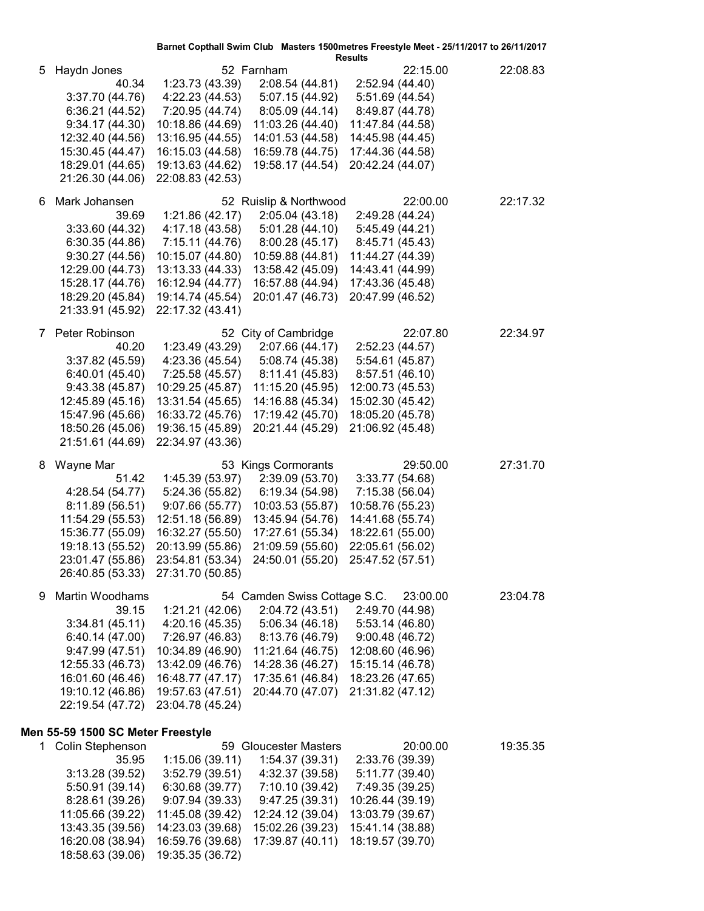|    |                                   |                  |                                                    | Barnet Copthall Swim Club Masters 1500metres Freestyle Meet - 25/11/2017 to 26/11/2017 |          |
|----|-----------------------------------|------------------|----------------------------------------------------|----------------------------------------------------------------------------------------|----------|
| 5  | Haydn Jones                       |                  | 52 Farnham                                         | <b>Results</b><br>22:15.00                                                             | 22:08.83 |
|    | 40.34                             | 1:23.73 (43.39)  | 2:08.54 (44.81)                                    | 2:52.94 (44.40)                                                                        |          |
|    | 3:37.70(44.76)                    | 4:22.23 (44.53)  | 5:07.15 (44.92)                                    | 5:51.69 (44.54)                                                                        |          |
|    | 6:36.21 (44.52)                   | 7:20.95 (44.74)  | 8:05.09 (44.14)                                    | 8:49.87 (44.78)                                                                        |          |
|    | 9:34.17(44.30)                    | 10:18.86 (44.69) | 11:03.26 (44.40)                                   | 11:47.84 (44.58)                                                                       |          |
|    | 12:32.40 (44.56)                  | 13:16.95 (44.55) | 14:01.53 (44.58)                                   | 14:45.98 (44.45)                                                                       |          |
|    | 15:30.45 (44.47)                  | 16:15.03 (44.58) | 16:59.78 (44.75)                                   | 17:44.36 (44.58)                                                                       |          |
|    | 18:29.01 (44.65)                  | 19:13.63 (44.62) | 19:58.17 (44.54)                                   | 20:42.24 (44.07)                                                                       |          |
|    | 21:26.30 (44.06)                  | 22:08.83 (42.53) |                                                    |                                                                                        |          |
| 6. | Mark Johansen                     |                  | 52 Ruislip & Northwood                             | 22:00.00                                                                               | 22:17.32 |
|    | 39.69                             | 1:21.86 (42.17)  | 2:05.04 (43.18)                                    | 2:49.28 (44.24)                                                                        |          |
|    | 3:33.60(44.32)                    | 4:17.18 (43.58)  | 5:01.28(44.10)                                     | 5:45.49 (44.21)                                                                        |          |
|    | 6:30.35(44.86)                    | 7:15.11 (44.76)  | 8:00.28 (45.17)                                    | 8:45.71 (45.43)                                                                        |          |
|    | 9:30.27(44.56)                    | 10:15.07 (44.80) | 10:59.88 (44.81)                                   | 11:44.27 (44.39)                                                                       |          |
|    | 12:29.00 (44.73)                  | 13:13.33 (44.33) | 13:58.42 (45.09)                                   | 14:43.41 (44.99)                                                                       |          |
|    | 15:28.17 (44.76)                  | 16:12.94 (44.77) | 16:57.88 (44.94)                                   | 17:43.36 (45.48)                                                                       |          |
|    | 18:29.20 (45.84)                  | 19:14.74 (45.54) | 20:01.47 (46.73)                                   | 20:47.99 (46.52)                                                                       |          |
|    | 21:33.91 (45.92)                  | 22:17.32 (43.41) |                                                    |                                                                                        |          |
| 7  | Peter Robinson                    |                  | 52 City of Cambridge                               | 22:07.80                                                                               | 22:34.97 |
|    | 40.20                             | 1:23.49 (43.29)  | 2:07.66 (44.17)                                    | 2:52.23 (44.57)                                                                        |          |
|    | 3:37.82(45.59)                    | 4:23.36 (45.54)  | 5:08.74 (45.38)                                    | 5:54.61 (45.87)                                                                        |          |
|    | 6:40.01(45.40)                    |                  | 7:25.58 (45.57) 8:11.41 (45.83)                    | 8:57.51 (46.10)                                                                        |          |
|    | 9:43.38(45.87)                    | 10:29.25 (45.87) | 11:15.20 (45.95)                                   | 12:00.73 (45.53)                                                                       |          |
|    | 12:45.89 (45.16)                  | 13:31.54 (45.65) | 14:16.88 (45.34)                                   | 15:02.30 (45.42)                                                                       |          |
|    | 15:47.96 (45.66)                  | 16:33.72 (45.76) | 17:19.42 (45.70)                                   | 18:05.20 (45.78)                                                                       |          |
|    | 18:50.26 (45.06)                  | 19:36.15 (45.89) | 20:21.44 (45.29)                                   | 21:06.92 (45.48)                                                                       |          |
|    | 21:51.61 (44.69)                  | 22:34.97 (43.36) |                                                    |                                                                                        |          |
| 8  | Wayne Mar                         |                  | 53 Kings Cormorants                                | 29:50.00                                                                               | 27:31.70 |
|    | 51.42                             | 1:45.39 (53.97)  | 2:39.09 (53.70)                                    | 3:33.77 (54.68)                                                                        |          |
|    | 4:28.54 (54.77)                   | 5:24.36 (55.82)  | 6:19.34 (54.98)                                    | 7:15.38 (56.04)                                                                        |          |
|    | 8:11.89 (56.51)                   | 9:07.66 (55.77)  | 10:03.53 (55.87)                                   | 10:58.76 (55.23)                                                                       |          |
|    | 11:54.29 (55.53)                  | 12:51.18 (56.89) | 13:45.94 (54.76)                                   | 14:41.68 (55.74)                                                                       |          |
|    | 15:36.77 (55.09)                  | 16:32.27 (55.50) | 17:27.61 (55.34)                                   | 18:22.61 (55.00)                                                                       |          |
|    | 19:18.13 (55.52)                  | 20:13.99 (55.86) | 21:09.59 (55.60)                                   | 22:05.61 (56.02)                                                                       |          |
|    | 23:01.47 (55.86)                  |                  | 23:54.81 (53.34) 24:50.01 (55.20) 25:47.52 (57.51) |                                                                                        |          |
|    | 26:40.85 (53.33)                  | 27:31.70 (50.85) |                                                    |                                                                                        |          |
| 9  | Martin Woodhams                   |                  | 54 Camden Swiss Cottage S.C.                       | 23:00.00                                                                               | 23:04.78 |
|    | 39.15                             | 1:21.21 (42.06)  | 2:04.72 (43.51)                                    | 2:49.70 (44.98)                                                                        |          |
|    | 3:34.81(45.11)                    | 4:20.16 (45.35)  | 5:06.34(46.18)                                     | 5:53.14 (46.80)                                                                        |          |
|    | 6:40.14(47.00)                    | 7:26.97 (46.83)  | 8:13.76 (46.79)                                    | 9:00.48(46.72)                                                                         |          |
|    | 9:47.99(47.51)                    | 10:34.89 (46.90) | 11:21.64 (46.75)                                   | 12:08.60 (46.96)                                                                       |          |
|    | 12:55.33 (46.73)                  | 13:42.09 (46.76) | 14:28.36 (46.27)                                   | 15:15.14 (46.78)                                                                       |          |
|    | 16:01.60 (46.46)                  | 16:48.77 (47.17) | 17:35.61 (46.84)                                   | 18:23.26 (47.65)                                                                       |          |
|    | 19:10.12 (46.86)                  | 19:57.63 (47.51) | 20:44.70 (47.07)                                   | 21:31.82 (47.12)                                                                       |          |
|    | 22:19.54 (47.72)                  | 23:04.78 (45.24) |                                                    |                                                                                        |          |
|    | Men 55-59 1500 SC Meter Freestyle |                  |                                                    |                                                                                        |          |
|    | 1 Colin Stephenson                |                  | 59 Gloucester Masters                              | 20:00.00                                                                               | 19:35.35 |
|    | 35.95                             | 1:15.06(39.11)   | 1:54.37(39.31)                                     | 2:33.76 (39.39)                                                                        |          |
|    | 3:13.28(39.52)                    | 3:52.79(39.51)   | 4:32.37 (39.58)                                    | 5:11.77 (39.40)                                                                        |          |
|    | 5:50.91 (39.14)                   | 6:30.68(39.77)   | 7:10.10 (39.42)                                    | 7:49.35 (39.25)                                                                        |          |
|    | 8:28.61(39.26)                    | 9:07.94 (39.33)  | 9:47.25(39.31)                                     | 10:26.44 (39.19)                                                                       |          |
|    | 11:05.66 (39.22)                  | 11:45.08 (39.42) | 12:24.12 (39.04)                                   | 13:03.79 (39.67)                                                                       |          |
|    | 13:43.35 (39.56)                  | 14:23.03 (39.68) | 15:02.26 (39.23)                                   | 15:41.14 (38.88)                                                                       |          |
|    | 16:20.08 (38.94)                  | 16:59.76 (39.68) | 17:39.87 (40.11)                                   | 18:19.57 (39.70)                                                                       |          |

18:58.63 (39.06) 19:35.35 (36.72)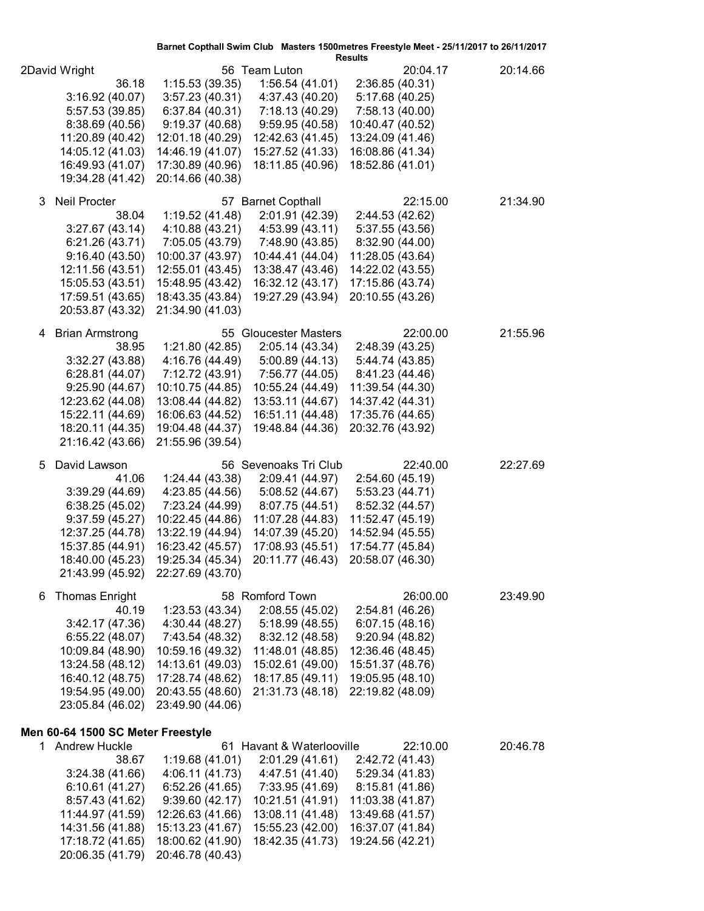|                                                              |                                                        |                                                                       | Barnet Copthall Swim Club Masters 1500metres Freestyle Meet - 25/11/2017 to 26/11/2017<br><b>Results</b> |          |
|--------------------------------------------------------------|--------------------------------------------------------|-----------------------------------------------------------------------|----------------------------------------------------------------------------------------------------------|----------|
| 2David Wright<br>36.18<br>3:16.92 (40.07)<br>5:57.53 (39.85) | 1:15.53 (39.35)<br>3:57.23(40.31)<br>6:37.84(40.31)    | 56 Team Luton<br>1:56.54(41.01)<br>4:37.43 (40.20)<br>7:18.13 (40.29) | 20:04.17<br>2:36.85 (40.31)<br>5:17.68 (40.25)<br>7:58.13 (40.00)                                        | 20:14.66 |
| 8:38.69 (40.56)<br>11:20.89 (40.42)<br>14:05.12 (41.03)      | 9:19.37(40.68)<br>12:01.18 (40.29)<br>14:46.19 (41.07) | 9:59.95(40.58)<br>12:42.63 (41.45)<br>15:27.52 (41.33)                | 10:40.47 (40.52)<br>13:24.09 (41.46)<br>16:08.86 (41.34)                                                 |          |
| 16:49.93 (41.07)<br>19:34.28 (41.42)                         | 17:30.89 (40.96)<br>20:14.66 (40.38)                   | 18:11.85 (40.96)                                                      | 18:52.86 (41.01)                                                                                         |          |
| <b>Neil Procter</b><br>3                                     |                                                        | 57 Barnet Copthall                                                    | 22:15.00                                                                                                 | 21:34.90 |
| 38.04<br>3:27.67 (43.14)                                     | 1:19.52 (41.48)<br>4:10.88 (43.21)                     | 2:01.91 (42.39)<br>4:53.99 (43.11)                                    | 2:44.53 (42.62)<br>5:37.55 (43.56)                                                                       |          |
| 6:21.26 (43.71)                                              |                                                        | 7:05.05 (43.79) 7:48.90 (43.85)                                       | 8:32.90 (44.00)                                                                                          |          |
| 9:16.40(43.50)<br>12:11.56 (43.51)                           | 10:00.37 (43.97)<br>12:55.01 (43.45)                   | 10:44.41 (44.04)<br>13:38.47 (43.46)                                  | 11:28.05 (43.64)<br>14:22.02 (43.55)                                                                     |          |
| 15:05.53 (43.51)                                             | 15:48.95 (43.42)                                       | 16:32.12 (43.17)                                                      | 17:15.86 (43.74)                                                                                         |          |
| 17:59.51 (43.65)                                             | 18:43.35 (43.84)                                       | 19:27.29 (43.94)                                                      | 20:10.55 (43.26)                                                                                         |          |
| 20:53.87 (43.32)                                             | 21:34.90 (41.03)                                       |                                                                       |                                                                                                          |          |
| <b>Brian Armstrong</b><br>4                                  |                                                        | 55 Gloucester Masters                                                 | 22:00.00                                                                                                 | 21:55.96 |
| 38.95                                                        | 1:21.80 (42.85)                                        | 2:05.14(43.34)                                                        | 2:48.39 (43.25)                                                                                          |          |
| 3:32.27(43.88)<br>6:28.81(44.07)                             | 4:16.76 (44.49)<br>7:12.72 (43.91)                     | 5:00.89(44.13)<br>7:56.77 (44.05)                                     | 5:44.74 (43.85)<br>8:41.23 (44.46)                                                                       |          |
| 9:25.90(44.67)                                               | 10:10.75 (44.85)                                       | 10:55.24 (44.49)                                                      | 11:39.54 (44.30)                                                                                         |          |
| 12:23.62 (44.08)                                             | 13:08.44 (44.82)                                       | 13:53.11 (44.67)                                                      | 14:37.42 (44.31)                                                                                         |          |
| 15:22.11 (44.69)                                             | 16:06.63 (44.52)                                       | 16:51.11 (44.48)                                                      | 17:35.76 (44.65)                                                                                         |          |
| 18:20.11 (44.35)<br>21:16.42 (43.66)                         | 19:04.48 (44.37)<br>21:55.96 (39.54)                   | 19:48.84 (44.36)                                                      | 20:32.76 (43.92)                                                                                         |          |
|                                                              |                                                        |                                                                       |                                                                                                          |          |
| 5<br>David Lawson<br>41.06                                   | 1:24.44 (43.38)                                        | 56 Sevenoaks Tri Club<br>2:09.41 (44.97)                              | 22:40.00<br>2:54.60 (45.19)                                                                              | 22:27.69 |
| 3:39.29(44.69)                                               | 4:23.85 (44.56)                                        | 5:08.52 (44.67)                                                       | 5:53.23(44.71)                                                                                           |          |
| 6:38.25(45.02)                                               | 7:23.24 (44.99)                                        | 8:07.75 (44.51)                                                       | 8:52.32 (44.57)                                                                                          |          |
| 9:37.59(45.27)                                               | 10:22.45 (44.86)                                       | 11:07.28 (44.83)                                                      | 11:52.47 (45.19)                                                                                         |          |
| 12:37.25 (44.78)<br>15:37.85 (44.91)                         | 13:22.19 (44.94)<br>16:23.42 (45.57)                   | 14:07.39 (45.20)<br>17:08.93 (45.51)                                  | 14:52.94 (45.55)<br>17:54.77 (45.84)                                                                     |          |
| 18:40.00 (45.23)                                             | 19:25.34 (45.34)                                       | 20:11.77 (46.43) 20:58.07 (46.30)                                     |                                                                                                          |          |
| 21:43.99 (45.92)                                             | 22:27.69 (43.70)                                       |                                                                       |                                                                                                          |          |
| <b>Thomas Enright</b><br>6                                   |                                                        | 58 Romford Town                                                       | 26:00.00                                                                                                 | 23:49.90 |
| 40.19                                                        | 1:23.53(43.34)                                         | 2:08.55 (45.02)                                                       | 2:54.81 (46.26)                                                                                          |          |
| 3:42.17 (47.36)<br>6:55.22(48.07)                            | 4:30.44 (48.27)<br>7:43.54 (48.32)                     | 5:18.99 (48.55)<br>8:32.12 (48.58)                                    | 6:07.15(48.16)<br>9:20.94(48.82)                                                                         |          |
| 10:09.84 (48.90)                                             | 10:59.16 (49.32)                                       | 11:48.01 (48.85)                                                      | 12:36.46 (48.45)                                                                                         |          |
| 13:24.58 (48.12)                                             | 14:13.61 (49.03)                                       | 15:02.61 (49.00)                                                      | 15:51.37 (48.76)                                                                                         |          |
| 16:40.12 (48.75)                                             | 17:28.74 (48.62)                                       | 18:17.85 (49.11)                                                      | 19:05.95 (48.10)                                                                                         |          |
| 19:54.95 (49.00)<br>23:05.84 (46.02)                         | 20:43.55 (48.60)<br>23:49.90 (44.06)                   | 21:31.73 (48.18)                                                      | 22:19.82 (48.09)                                                                                         |          |
|                                                              |                                                        |                                                                       |                                                                                                          |          |
| Men 60-64 1500 SC Meter Freestyle                            |                                                        |                                                                       |                                                                                                          |          |
| 1 Andrew Huckle<br>38.67                                     | 1:19.68(41.01)                                         | 61 Havant & Waterlooville<br>2:01.29 (41.61)                          | 22:10.00                                                                                                 | 20:46.78 |
| 3:24.38(41.66)                                               | 4:06.11 (41.73)                                        | 4:47.51 (41.40)                                                       | 2:42.72 (41.43)<br>5:29.34 (41.83)                                                                       |          |
| 6:10.61 (41.27)                                              | 6:52.26 (41.65)                                        | 7:33.95 (41.69)                                                       | 8:15.81 (41.86)                                                                                          |          |
| 8:57.43 (41.62)                                              | 9:39.60(42.17)                                         | 10:21.51 (41.91)                                                      | 11:03.38 (41.87)                                                                                         |          |
| 11:44.97 (41.59)<br>14:31.56 (41.88)                         | 12:26.63 (41.66)<br>15:13.23 (41.67)                   | 13:08.11 (41.48)<br>15:55.23 (42.00)                                  | 13:49.68 (41.57)<br>16:37.07 (41.84)                                                                     |          |
| 17:18.72 (41.65)                                             | 18:00.62 (41.90)                                       | 18:42.35 (41.73)                                                      | 19:24.56 (42.21)                                                                                         |          |
| 20:06.35 (41.79)                                             | 20:46.78 (40.43)                                       |                                                                       |                                                                                                          |          |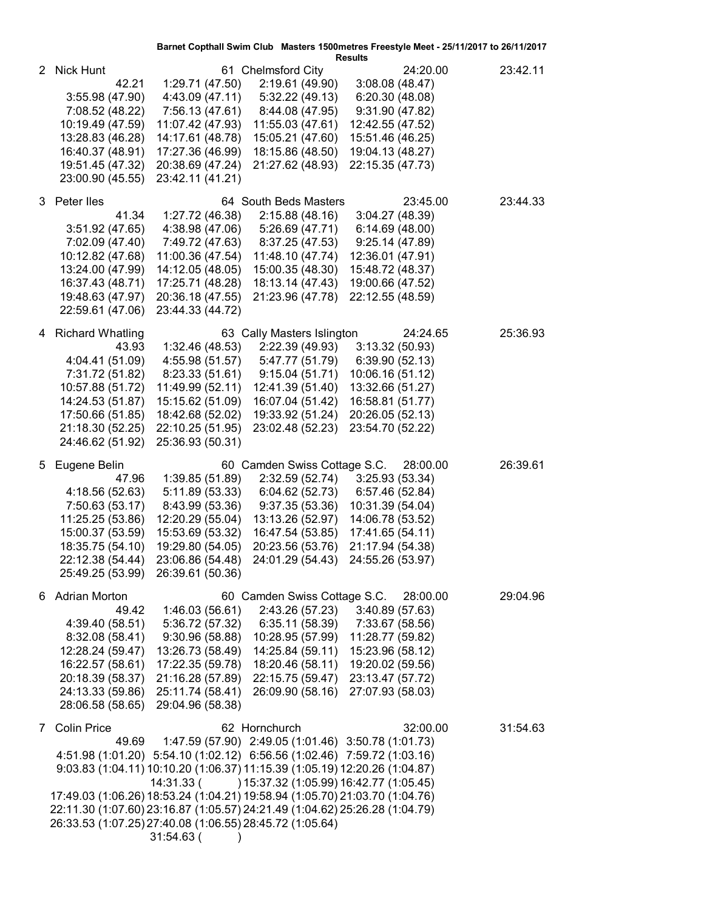|                       |                                                                                                                                                                                                                                                                                                                                                                                                                |                                                                                                                                                           |                                                                                                                                                                       | <b>Results</b>                                                                                                                                         | Barnet Copthall Swim Club Masters 1500metres Freestyle Meet - 25/11/2017 to 26/11/2017 |          |
|-----------------------|----------------------------------------------------------------------------------------------------------------------------------------------------------------------------------------------------------------------------------------------------------------------------------------------------------------------------------------------------------------------------------------------------------------|-----------------------------------------------------------------------------------------------------------------------------------------------------------|-----------------------------------------------------------------------------------------------------------------------------------------------------------------------|--------------------------------------------------------------------------------------------------------------------------------------------------------|----------------------------------------------------------------------------------------|----------|
| $\mathbf{2}^{\prime}$ | <b>Nick Hunt</b><br>42.21<br>3:55.98 (47.90)<br>7:08.52 (48.22)<br>10:19.49 (47.59)<br>13:28.83 (46.28)<br>16:40.37 (48.91)<br>19:51.45 (47.32)<br>23:00.90 (45.55)                                                                                                                                                                                                                                            | 1:29.71 (47.50)<br>4:43.09 (47.11)<br>7:56.13 (47.61)<br>11:07.42 (47.93)<br>14:17.61 (48.78)<br>17:27.36 (46.99)<br>20:38.69 (47.24)<br>23:42.11 (41.21) | 61 Chelmsford City<br>2:19.61 (49.90)<br>5:32.22(49.13)<br>8:44.08 (47.95)<br>11:55.03 (47.61)<br>15:05.21 (47.60)<br>18:15.86 (48.50)<br>21:27.62 (48.93)            | 3:08.08(48.47)<br>6:20.30 (48.08)<br>9:31.90 (47.82)<br>12:42.55 (47.52)<br>15:51.46 (46.25)<br>19:04.13 (48.27)<br>22:15.35 (47.73)                   | 24:20.00                                                                               | 23:42.11 |
|                       | 3 Peter lles<br>41.34<br>3:51.92 (47.65)<br>7:02.09 (47.40)<br>10:12.82 (47.68)<br>13:24.00 (47.99)<br>16:37.43 (48.71)<br>19:48.63 (47.97)<br>22:59.61 (47.06)                                                                                                                                                                                                                                                | 1:27.72 (46.38)<br>4:38.98 (47.06)<br>7:49.72 (47.63)<br>11:00.36 (47.54)<br>14:12.05 (48.05)<br>17:25.71 (48.28)<br>20:36.18 (47.55)<br>23:44.33 (44.72) | 64 South Beds Masters<br>2:15.88(48.16)<br>5:26.69 (47.71)<br>8:37.25 (47.53)<br>11:48.10 (47.74)<br>15:00.35 (48.30)<br>18:13.14 (47.43)<br>21:23.96 (47.78)         | 3:04.27 (48.39)<br>6:14.69(48.00)<br>9:25.14(47.89)<br>12:36.01 (47.91)<br>15:48.72 (48.37)<br>19:00.66 (47.52)<br>22:12.55 (48.59)                    | 23:45.00                                                                               | 23:44.33 |
| 4                     | <b>Richard Whatling</b><br>43.93<br>4:04.41 (51.09)<br>7:31.72 (51.82)<br>10:57.88 (51.72)<br>14:24.53 (51.87)<br>17:50.66 (51.85)<br>21:18.30 (52.25)<br>24:46.62 (51.92)                                                                                                                                                                                                                                     | 1:32.46(48.53)<br>4:55.98 (51.57)<br>8:23.33 (51.61)<br>11:49.99 (52.11)<br>15:15.62 (51.09)<br>18:42.68 (52.02)<br>22:10.25 (51.95)<br>25:36.93 (50.31)  | 63 Cally Masters Islington<br>2:22.39 (49.93)<br>5:47.77 (51.79)<br>9:15.04(51.71)<br>12:41.39 (51.40)<br>16:07.04 (51.42)<br>19:33.92 (51.24)<br>23:02.48 (52.23)    | 3:13.32(50.93)<br>6:39.90 (52.13)<br>10:06.16 (51.12)<br>13:32.66 (51.27)<br>16:58.81 (51.77)<br>20:26.05 (52.13)<br>23:54.70 (52.22)                  | 24:24.65                                                                               | 25:36.93 |
| 5.                    | Eugene Belin<br>47.96<br>4:18.56 (52.63)<br>7:50.63 (53.17)<br>11:25.25 (53.86)<br>15:00.37 (53.59)<br>18:35.75 (54.10)<br>22:12.38 (54.44)<br>25:49.25 (53.99)                                                                                                                                                                                                                                                | 1:39.85(51.89)<br>5:11.89 (53.33)<br>8:43.99 (53.36)<br>12:20.29 (55.04)<br>15:53.69 (53.32)<br>19:29.80 (54.05)<br>23:06.86 (54.48)<br>26:39.61 (50.36)  | 60 Camden Swiss Cottage S.C.<br>2:32.59 (52.74)<br>6:04.62(52.73)<br>9:37.35(53.36)<br>13:13.26 (52.97)<br>16:47.54 (53.85)<br>20:23.56 (53.76)                       | 3:25.93(53.34)<br>6:57.46 (52.84)<br>10:31.39 (54.04)<br>14:06.78 (53.52)<br>17:41.65 (54.11)<br>21:17.94 (54.38)<br>24:01.29 (54.43) 24:55.26 (53.97) | 28:00.00                                                                               | 26:39.61 |
|                       | 6 Adrian Morton<br>49.42<br>4:39.40 (58.51)<br>8:32.08 (58.41)<br>12:28.24 (59.47)<br>16:22.57 (58.61)<br>20:18.39 (58.37)<br>24:13.33 (59.86)<br>28:06.58 (58.65)                                                                                                                                                                                                                                             | 1:46.03(56.61)<br>5:36.72 (57.32)<br>9:30.96(58.88)<br>13:26.73 (58.49)<br>17:22.35 (59.78)<br>21:16.28 (57.89)<br>25:11.74 (58.41)<br>29:04.96 (58.38)   | 60 Camden Swiss Cottage S.C.<br>2:43.26 (57.23)<br>6:35.11(58.39)<br>10:28.95 (57.99)<br>14:25.84 (59.11)<br>18:20.46 (58.11)<br>22:15.75 (59.47)<br>26:09.90 (58.16) | 3:40.89(57.63)<br>7:33.67 (58.56)<br>11:28.77 (59.82)<br>15:23.96 (58.12)<br>19:20.02 (59.56)<br>23:13.47 (57.72)<br>27:07.93 (58.03)                  | 28:00.00                                                                               | 29:04.96 |
| $7\phantom{0}$        | <b>Colin Price</b><br>49.69<br>4:51.98 (1:01.20) 5:54.10 (1:02.12) 6:56.56 (1:02.46) 7:59.72 (1:03.16)<br>9:03.83 (1:04.11) 10:10.20 (1:06.37) 11:15.39 (1:05.19) 12:20.26 (1:04.87)<br>17:49.03 (1:06.26) 18:53.24 (1:04.21) 19:58.94 (1:05.70) 21:03.70 (1:04.76)<br>22:11.30 (1:07.60) 23:16.87 (1:05.57) 24:21.49 (1:04.62) 25:26.28 (1:04.79)<br>26:33.53 (1:07.25) 27:40.08 (1:06.55) 28:45.72 (1:05.64) | 1:47.59 (57.90) 2:49.05 (1:01.46) 3:50.78 (1:01.73)<br>14:31.33 (<br>31:54.63 (                                                                           | 62 Hornchurch                                                                                                                                                         | ) 15:37.32 (1:05.99) 16:42.77 (1:05.45)                                                                                                                | 32:00.00                                                                               | 31:54.63 |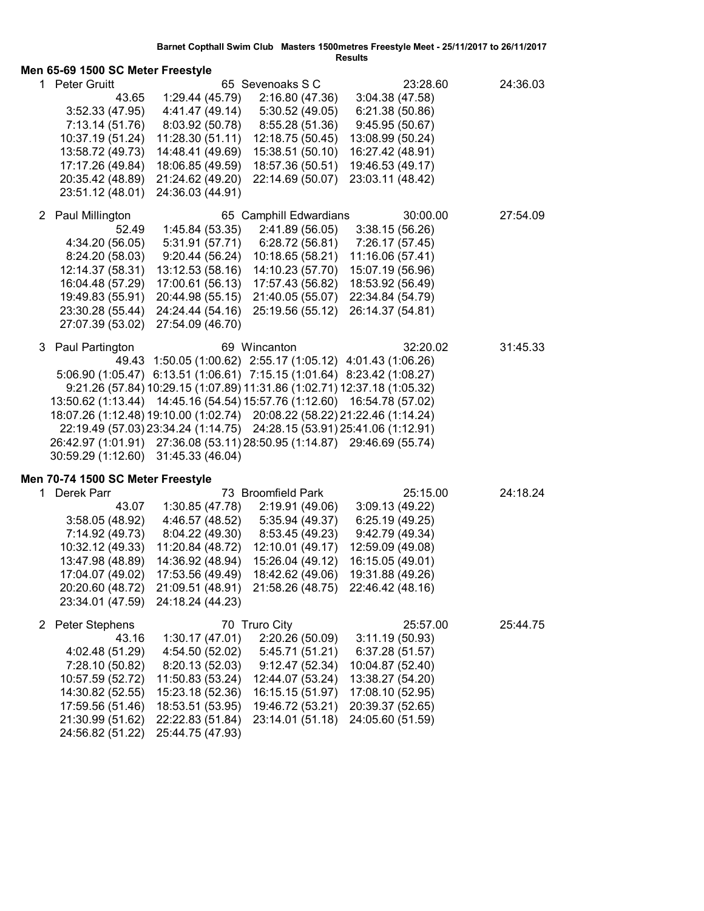|                                   | Results                           |                                                                           |                        |                       |          |
|-----------------------------------|-----------------------------------|---------------------------------------------------------------------------|------------------------|-----------------------|----------|
| Men 65-69 1500 SC Meter Freestyle |                                   |                                                                           |                        |                       |          |
| 1.                                | <b>Peter Gruitt</b>               |                                                                           | 65 Sevenoaks S C       | 23:28.60              | 24:36.03 |
|                                   | 43.65                             | 1:29.44 (45.79)                                                           | 2:16.80 (47.36)        | 3:04.38(47.58)        |          |
|                                   | 3:52.33(47.95)                    | 4:41.47 (49.14)                                                           | 5:30.52(49.05)         | 6:21.38 (50.86)       |          |
|                                   | 7:13.14 (51.76)                   | 8:03.92 (50.78)                                                           | 8:55.28(51.36)         | 9:45.95(50.67)        |          |
|                                   | 10:37.19 (51.24)                  | 11:28.30 (51.11)                                                          | 12:18.75 (50.45)       | 13:08.99 (50.24)      |          |
|                                   | 13:58.72 (49.73)                  | 14:48.41 (49.69)                                                          | 15:38.51 (50.10)       | 16:27.42 (48.91)      |          |
|                                   | 17:17.26 (49.84)                  | 18:06.85 (49.59)                                                          | 18:57.36 (50.51)       | 19:46.53 (49.17)      |          |
|                                   | 20:35.42 (48.89)                  | 21:24.62 (49.20)                                                          | 22:14.69 (50.07)       | 23:03.11 (48.42)      |          |
|                                   | 23:51.12 (48.01)                  | 24:36.03 (44.91)                                                          |                        |                       |          |
|                                   | 2 Paul Millington                 |                                                                           | 65 Camphill Edwardians | 30:00.00              | 27:54.09 |
|                                   | 52.49                             | 1:45.84 (53.35)                                                           | 2:41.89 (56.05)        | 3:38.15(56.26)        |          |
|                                   | 4:34.20 (56.05)                   | 5:31.91 (57.71)                                                           | 6:28.72 (56.81)        | 7:26.17 (57.45)       |          |
|                                   | 8:24.20 (58.03)                   | 9:20.44(56.24)                                                            | 10:18.65 (58.21)       | 11:16.06 (57.41)      |          |
|                                   | 12:14.37 (58.31)                  | 13:12.53 (58.16)                                                          | 14:10.23 (57.70)       | 15:07.19 (56.96)      |          |
|                                   | 16:04.48 (57.29)                  | 17:00.61 (56.13)                                                          | 17:57.43 (56.82)       | 18:53.92 (56.49)      |          |
|                                   | 19:49.83 (55.91)                  | 20:44.98 (55.15)                                                          | 21:40.05 (55.07)       | 22:34.84 (54.79)      |          |
|                                   | 23:30.28 (55.44)                  | 24:24.44 (54.16)                                                          | 25:19.56 (55.12)       | 26:14.37 (54.81)      |          |
|                                   | 27:07.39 (53.02)                  | 27:54.09 (46.70)                                                          |                        |                       |          |
|                                   |                                   |                                                                           | 69 Wincanton           | 32:20.02              |          |
|                                   | 3 Paul Partington                 |                                                                           |                        |                       | 31:45.33 |
|                                   |                                   | 49.43 1:50.05 (1:00.62) 2:55.17 (1:05.12) 4:01.43 (1:06.26)               |                        |                       |          |
|                                   |                                   | 5:06.90 (1:05.47) 6:13.51 (1:06.61) 7:15.15 (1:01.64) 8:23.42 (1:08.27)   |                        |                       |          |
|                                   |                                   | 9:21.26 (57.84) 10:29.15 (1:07.89) 11:31.86 (1:02.71) 12:37.18 (1:05.32)  |                        |                       |          |
|                                   |                                   | 13:50.62 (1:13.44) 14:45.16 (54.54) 15:57.76 (1:12.60) 16:54.78 (57.02)   |                        |                       |          |
|                                   |                                   | 18:07.26 (1:12.48) 19:10.00 (1:02.74) 20:08.22 (58.22) 21:22.46 (1:14.24) |                        |                       |          |
|                                   |                                   | 22:19.49 (57.03) 23:34.24 (1:14.75) 24:28.15 (53.91) 25:41.06 (1:12.91)   |                        |                       |          |
|                                   |                                   | 26:42.97 (1:01.91) 27:36.08 (53.11) 28:50.95 (1:14.87) 29:46.69 (55.74)   |                        |                       |          |
|                                   |                                   | 30:59.29 (1:12.60) 31:45.33 (46.04)                                       |                        |                       |          |
|                                   | Men 70-74 1500 SC Meter Freestyle |                                                                           |                        |                       |          |
|                                   | 1 Derek Parr                      |                                                                           | 73 Broomfield Park     | 25:15.00              | 24:18.24 |
|                                   | 43.07                             | 1:30.85 (47.78)                                                           | 2:19.91 (49.06)        | 3:09.13(49.22)        |          |
|                                   | 3:58.05(48.92)                    | 4:46.57 (48.52)                                                           | 5:35.94 (49.37)        | 6:25.19(49.25)        |          |
|                                   | 7:14.92 (49.73)                   | 8:04.22 (49.30)                                                           | 8:53.45 (49.23)        | 9:42.79 (49.34)       |          |
|                                   | 10:32.12 (49.33)                  | 11:20.84 (48.72)                                                          | 12:10.01 (49.17)       | 12:59.09 (49.08)      |          |
|                                   | 13:47.98 (48.89)                  | 14:36.92 (48.94)                                                          | 15:26.04 (49.12)       | 16:15.05 (49.01)      |          |
|                                   | 17:04.07 (49.02)                  | 17:53.56 (49.49)                                                          | 18:42.62 (49.06)       | 19:31.88 (49.26)      |          |
|                                   | 20:20.60 (48.72)                  | 21:09.51 (48.91)                                                          | 21:58.26 (48.75)       | 22:46.42 (48.16)      |          |
|                                   | 23:34.01 (47.59)                  | 24:18.24 (44.23)                                                          |                        |                       |          |
|                                   | 2 Peter Stephens                  |                                                                           | 70 Truro City          | 25:57.00              | 25:44.75 |
|                                   | 43.16                             | 1:30.17 (47.01)                                                           | 2:20.26 (50.09)        | 3:11.19(50.93)        |          |
|                                   | 4:02.48 (51.29)                   | 4:54.50 (52.02)                                                           | 5:45.71 (51.21)        | 6:37.28(51.57)        |          |
|                                   | $7.28$ 10 (50.82)                 | 9.20 12 (52 03)                                                           | $0.12$ $17$ $(52.31)$  | $10.04$ 87 (52 $10$ ) |          |

| 7:28.10 (50.82)                                                     | 8:20.13 (52.03)  | 9:12.47 (52.34) 10:04.87 (52.40)  |                  |
|---------------------------------------------------------------------|------------------|-----------------------------------|------------------|
| 10:57.59 (52.72)                                                    | 11:50.83 (53.24) | 12:44.07 (53.24)                  | 13:38.27 (54.20) |
| 14:30.82 (52.55) 15:23.18 (52.36)                                   |                  | 16:15.15 (51.97) 17:08.10 (52.95) |                  |
| 17:59.56 (51.46) 18:53.51 (53.95)                                   |                  | 19:46.72 (53.21) 20:39.37 (52.65) |                  |
| 21:30.99 (51.62) 22:22.83 (51.84) 23:14.01 (51.18) 24:05.60 (51.59) |                  |                                   |                  |
| 24:56.82 (51.22) 25:44.75 (47.93)                                   |                  |                                   |                  |